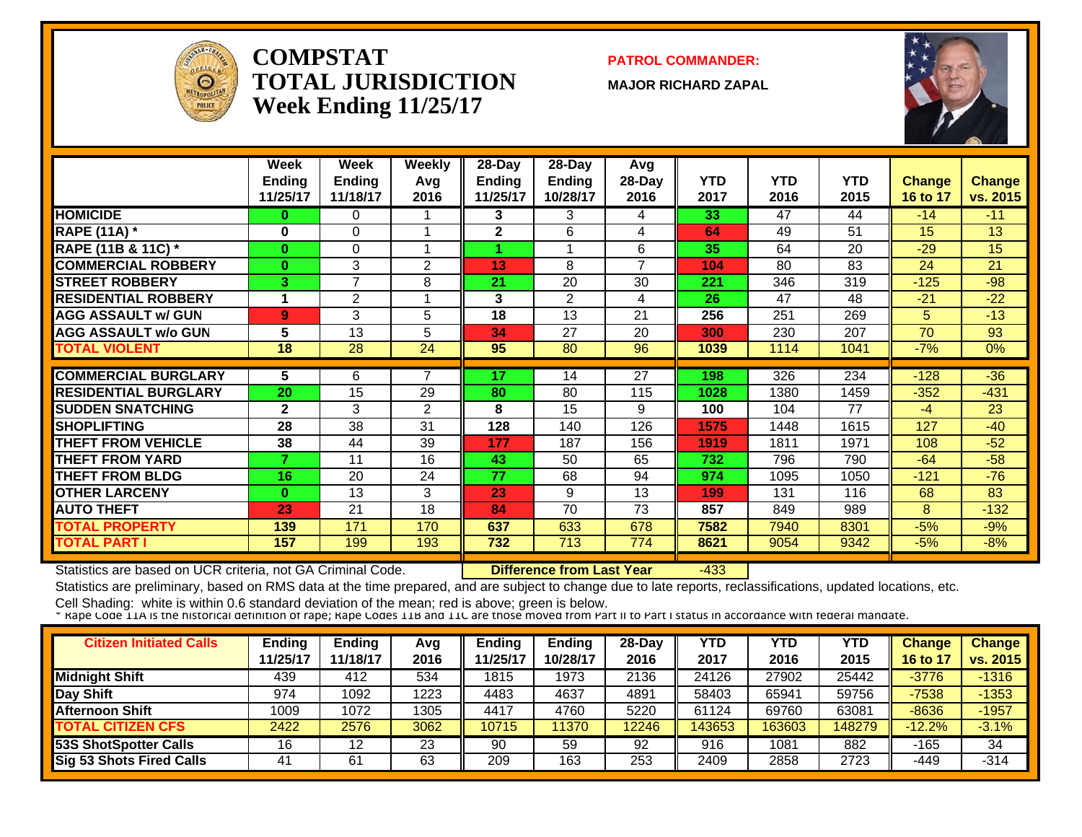

#### **COMPSTATTOTAL JURISDICTIONWeek Ending 11/25/17**

**PATROL COMMANDER:**

**MAJOR RICHARD ZAPAL**



|                             | Week<br><b>Ending</b><br>11/25/17 | Week<br><b>Ending</b><br>11/18/17 | <b>Weekly</b><br>Avg<br>2016 | 28-Day<br>Ending<br>11/25/17 | $28$ -Day<br><b>Ending</b><br>10/28/17 | Avg<br>28-Day<br>2016 | <b>YTD</b><br>2017 | <b>YTD</b><br>2016 | <b>YTD</b><br>2015 | <b>Change</b><br>16 to 17 | Change<br>vs. 2015 |
|-----------------------------|-----------------------------------|-----------------------------------|------------------------------|------------------------------|----------------------------------------|-----------------------|--------------------|--------------------|--------------------|---------------------------|--------------------|
| <b>HOMICIDE</b>             | $\bf{0}$                          | 0                                 |                              | 3                            | 3                                      | 4                     | 33                 | 47                 | 44                 | $-14$                     | $-11$              |
| <b>RAPE (11A)</b> *         | 0                                 | $\Omega$                          |                              | $\mathbf{2}$                 | 6                                      | 4                     | 64                 | 49                 | 51                 | 15                        | 13                 |
| RAPE (11B & 11C) *          | $\mathbf{0}$                      | $\Omega$                          |                              |                              |                                        | 6                     | 35                 | 64                 | 20                 | $-29$                     | 15                 |
| <b>COMMERCIAL ROBBERY</b>   | $\bf{0}$                          | 3                                 | 2                            | 13                           | 8                                      | $\overline{7}$        | 104                | 80                 | 83                 | 24                        | 21                 |
| <b>STREET ROBBERY</b>       | 3                                 | $\overline{ }$                    | 8                            | 21                           | 20                                     | 30                    | 221                | 346                | 319                | $-125$                    | $-98$              |
| <b>RESIDENTIAL ROBBERY</b>  |                                   | 2                                 |                              | 3                            | 2                                      | 4                     | 26                 | 47                 | 48                 | $-21$                     | $-22$              |
| <b>AGG ASSAULT w/ GUN</b>   | 9                                 | 3                                 | 5                            | 18                           | 13                                     | 21                    | 256                | 251                | 269                | 5                         | $-13$              |
| <b>AGG ASSAULT w/o GUN</b>  | 5                                 | 13                                | 5                            | 34                           | 27                                     | 20                    | 300                | 230                | 207                | 70                        | 93                 |
| <b>TOTAL VIOLENT</b>        | 18                                | 28                                | 24                           | 95                           | 80                                     | 96                    | 1039               | 1114               | 1041               | $-7%$                     | $0\%$              |
|                             |                                   |                                   |                              |                              |                                        |                       |                    |                    |                    |                           |                    |
| <b>COMMERCIAL BURGLARY</b>  | 5                                 | 6                                 | 7                            | 17                           | 14                                     | 27                    | 198                | 326                | 234                | $-128$                    | $-36$              |
| <b>RESIDENTIAL BURGLARY</b> | 20                                | 15                                | 29                           | 80                           | 80                                     | 115                   | 1028               | 1380               | 1459               | $-352$                    | $-431$             |
| <b>ISUDDEN SNATCHING</b>    | $\mathbf{2}$                      | 3                                 | $\overline{2}$               | 8                            | 15                                     | 9                     | 100                | 104                | 77                 | $-4$                      | 23                 |
| <b>SHOPLIFTING</b>          | 28                                | 38                                | 31                           | 128                          | 140                                    | 126                   | 1575               | 1448               | 1615               | 127                       | $-40$              |
| <b>THEFT FROM VEHICLE</b>   | 38                                | 44                                | 39                           | 177                          | 187                                    | 156                   | 1919               | 1811               | 1971               | 108                       | $-52$              |
| <b>THEFT FROM YARD</b>      | 7                                 | 11                                | 16                           | 43                           | 50                                     | 65                    | 732                | 796                | 790                | $-64$                     | $-58$              |
| <b>THEFT FROM BLDG</b>      | 16                                | 20                                | 24                           | 77                           | 68                                     | 94                    | 974                | 1095               | 1050               | $-121$                    | $-76$              |
| <b>OTHER LARCENY</b>        | $\mathbf{0}$                      | 13                                | 3                            | 23                           | 9                                      | 13                    | 199                | 131                | 116                | 68                        | 83                 |
| <b>AUTO THEFT</b>           | 23                                | 21                                | 18                           | 84                           | 70                                     | 73                    | 857                | 849                | 989                | 8                         | $-132$             |
| <b>TOTAL PROPERTY</b>       | 139                               | 171                               | 170                          | 637                          | 633                                    | 678                   | 7582               | 7940               | 8301               | $-5%$                     | $-9%$              |
| <b>TOTAL PART I</b>         | 157                               | 199                               | 193                          | 732                          | 713                                    | 774                   | 8621               | 9054               | 9342               | $-5%$                     | $-8%$              |

Statistics are based on UCR criteria, not GA Criminal Code. **Difference from Last Year** -433

Statistics are preliminary, based on RMS data at the time prepared, and are subject to change due to late reports, reclassifications, updated locations, etc.

| <b>Citizen Initiated Calls</b>  | <b>Ending</b><br>11/25/17 | <b>Ending</b><br>11/18/17 | Avg<br>2016 | Ending<br>11/25/17 | <b>Ending</b><br>10/28/17 | $28-Dav$<br>2016 | YTD<br>2017 | YTD<br>2016 | YTD<br>2015 | <b>Change</b><br>16 to $1$ | <b>Change</b><br>vs. 2015 |
|---------------------------------|---------------------------|---------------------------|-------------|--------------------|---------------------------|------------------|-------------|-------------|-------------|----------------------------|---------------------------|
| <b>Midnight Shift</b>           | 439                       | 412                       | 534         | 1815               | 1973                      | 2136             | 24126       | 27902       | 25442       | $-3776$                    | $-1316$                   |
| Day Shift                       | 974                       | 1092                      | 1223        | 4483               | 4637                      | 4891             | 58403       | 65941       | 59756       | $-7538$                    | $-1353$                   |
| <b>Afternoon Shift</b>          | 1009                      | 1072                      | 1305        | 4417               | 4760                      | 5220             | 61124       | 69760       | 63081       | $-8636$                    | $-1957$                   |
| <b>TOTAL CITIZEN CFS</b>        | 2422                      | 2576                      | 3062        | 10715              | 1370                      | 12246            | 143653      | 163603      | 148279      | $-12.2%$                   | $-3.1%$                   |
| <b>53S ShotSpotter Calls</b>    | 16                        | 12                        | 23          | 90                 | 59                        | 92               | 916         | 1081        | 882         | -165                       | 34                        |
| <b>Sig 53 Shots Fired Calls</b> | 41                        | 61                        | 63          | 209                | 163                       | 253              | 2409        | 2858        | 2723        | -449                       | $-314$                    |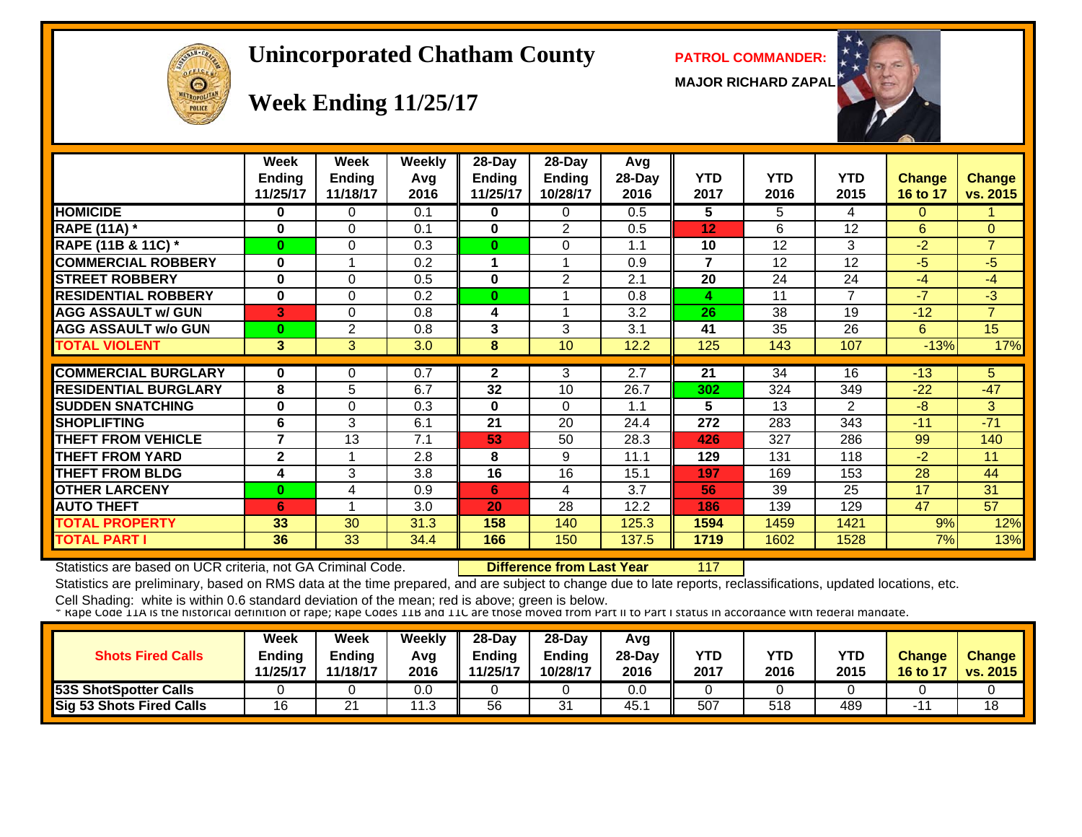

#### **Unincorporated Chatham County PATROL COMMANDER:**

**MAJOR RICHARD ZAPAL**



#### **Week Ending 11/25/17**

|                             | Week<br><b>Ending</b><br>11/25/17 | Week<br>Ending<br>11/18/17 | Weekly<br>Avg<br>2016 | 28-Day<br><b>Ending</b><br>11/25/17 | 28-Day<br><b>Ending</b><br>10/28/17 | Avg<br>28-Day<br>2016 | <b>YTD</b><br>2017 | <b>YTD</b><br>2016 | <b>YTD</b><br>2015 | Change<br>16 to 17 | <b>Change</b><br>vs. 2015 |
|-----------------------------|-----------------------------------|----------------------------|-----------------------|-------------------------------------|-------------------------------------|-----------------------|--------------------|--------------------|--------------------|--------------------|---------------------------|
| <b>HOMICIDE</b>             | 0                                 | 0                          | 0.1                   | 0                                   | 0                                   | 0.5                   | 5                  | 5                  | 4                  | 0                  |                           |
| <b>RAPE (11A) *</b>         | 0                                 | 0                          | 0.1                   | 0                                   | 2                                   | 0.5                   | 12                 | 6                  | 12                 | 6                  | $\Omega$                  |
| RAPE (11B & 11C) *          | $\bf{0}$                          | 0                          | 0.3                   | $\bf{0}$                            | 0                                   | 1.1                   | 10                 | 12                 | 3                  | $-2$               | $\overline{7}$            |
| <b>COMMERCIAL ROBBERY</b>   | $\bf{0}$                          | 1                          | 0.2                   | 1                                   | 1                                   | 0.9                   | $\overline{7}$     | 12                 | 12                 | $-5$               | $-5$                      |
| <b>STREET ROBBERY</b>       | $\bf{0}$                          | 0                          | 0.5                   | 0                                   | 2                                   | 2.1                   | 20                 | 24                 | 24                 | $-4$               | $-4$                      |
| <b>RESIDENTIAL ROBBERY</b>  | $\bf{0}$                          | $\Omega$                   | 0.2                   | $\bf{0}$                            |                                     | 0.8                   | 4                  | 11                 | $\overline{7}$     | $-7$               | $-3$                      |
| <b>AGG ASSAULT w/ GUN</b>   | 3                                 | 0                          | 0.8                   | 4                                   |                                     | 3.2                   | 26                 | 38                 | 19                 | $-12$              | $\overline{7}$            |
| <b>AGG ASSAULT w/o GUN</b>  | $\bf{0}$                          | 2                          | 0.8                   | 3                                   | 3                                   | 3.1                   | 41                 | 35                 | 26                 | 6                  | 15                        |
| <b>TOTAL VIOLENT</b>        | 3                                 | 3                          | 3.0                   | 8                                   | 10                                  | 12.2                  | 125                | 143                | 107                | $-13%$             | 17%                       |
|                             |                                   |                            |                       |                                     |                                     |                       |                    |                    |                    |                    |                           |
| <b>COMMERCIAL BURGLARY</b>  | 0                                 | 0                          | 0.7                   | $\mathbf{2}$                        | 3                                   | 2.7                   | 21                 | 34                 | 16                 | $-13$              | 5 <sup>5</sup>            |
| <b>RESIDENTIAL BURGLARY</b> | 8                                 | 5                          | 6.7                   | 32                                  | 10                                  | 26.7                  | 302                | 324                | 349                | $-22$              | $-47$                     |
| <b>SUDDEN SNATCHING</b>     | 0                                 | 0                          | 0.3                   | 0                                   | $\Omega$                            | 1.1                   | 5                  | 13                 | $\overline{2}$     | $-8$               | 3                         |
| <b>SHOPLIFTING</b>          | 6                                 | 3                          | 6.1                   | 21                                  | 20                                  | 24.4                  | 272                | 283                | 343                | $-11$              | $-71$                     |
| <b>THEFT FROM VEHICLE</b>   | 7                                 | 13                         | 7.1                   | 53                                  | 50                                  | 28.3                  | 426                | 327                | 286                | 99                 | 140                       |
| <b>THEFT FROM YARD</b>      | $\mathbf{2}$                      |                            | 2.8                   | 8                                   | 9                                   | 11.1                  | 129                | 131                | 118                | $-2$               | 11                        |
| <b>THEFT FROM BLDG</b>      | 4                                 | 3                          | 3.8                   | 16                                  | 16                                  | 15.1                  | 197                | 169                | 153                | 28                 | 44                        |
| <b>OTHER LARCENY</b>        | $\bf{0}$                          | 4                          | 0.9                   | 6                                   | 4                                   | 3.7                   | 56                 | 39                 | 25                 | 17                 | 31                        |
| <b>AUTO THEFT</b>           | 6                                 | 4                          | 3.0                   | 20                                  | 28                                  | 12.2                  | 186                | 139                | 129                | 47                 | 57                        |
| <b>TOTAL PROPERTY</b>       | 33                                | 30                         | 31.3                  | 158                                 | 140                                 | 125.3                 | 1594               | 1459               | 1421               | 9%                 | 12%                       |
| TOTAL PART I                | 36                                | 33                         | 34.4                  | 166                                 | 150                                 | 137.5                 | 1719               | 1602               | 1528               | 7%                 | 13%                       |

Statistics are based on UCR criteria, not GA Criminal Code. **Difference from Last Year** 117

Statistics are preliminary, based on RMS data at the time prepared, and are subject to change due to late reports, reclassifications, updated locations, etc.

| <b>Shots Fired Calls</b>     | Week<br><b>Ending</b><br>11/25/17 | <b>Week</b><br><b>Ending</b><br>11/18/17 | Weekly<br>Avg<br>2016 | $28 - Day$<br>$-$ nding<br>11/25/17 | 28-Dav<br><b>Ending</b><br>10/28/17 | Avq<br>28-Dav<br>2016 | YTD<br>2017 | <b>YTD</b><br>2016 | <b>YTD</b><br>2015 | <b>Change</b><br><b>16 to 17</b> | <b>Change</b><br>vs. 2015 |
|------------------------------|-----------------------------------|------------------------------------------|-----------------------|-------------------------------------|-------------------------------------|-----------------------|-------------|--------------------|--------------------|----------------------------------|---------------------------|
| <b>53S ShotSpotter Calls</b> |                                   |                                          | 0.0                   |                                     |                                     | 0.0                   |             |                    |                    |                                  |                           |
| Sig 53 Shots Fired Calls     | 16                                | ົ<br><u>_</u>                            | 1. 2<br>ں،            | 56                                  | 31                                  | 45.                   | 507         | 518                | 489                |                                  | 18                        |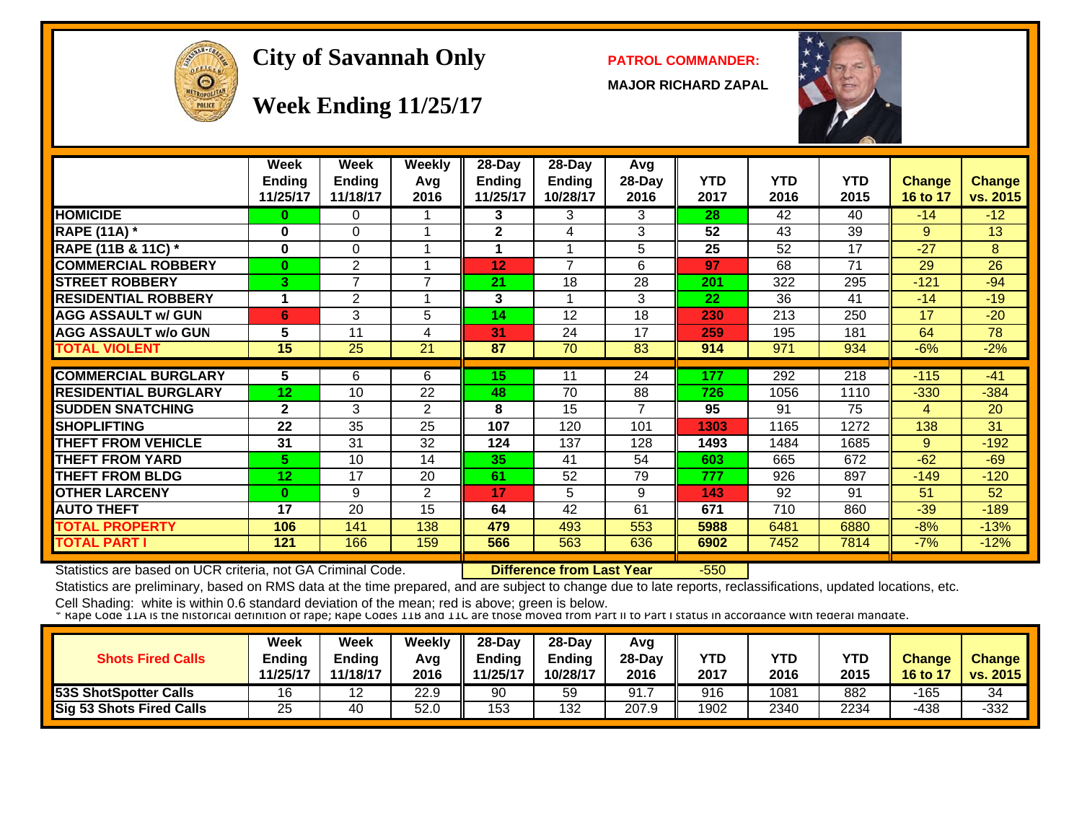

#### City of Savannah Only **PATROL COMMANDER:**

**MAJOR RICHARD ZAPAL**



#### **Week Ending 11/25/17**

|                             | Week           | Week           | <b>Weekly</b>  | 28-Day                  | 28-Day         | Avg    |            |            |            |                |               |
|-----------------------------|----------------|----------------|----------------|-------------------------|----------------|--------|------------|------------|------------|----------------|---------------|
|                             | <b>Ending</b>  | <b>Ending</b>  | Avq            | Ending                  | <b>Ending</b>  | 28-Day | <b>YTD</b> | <b>YTD</b> | <b>YTD</b> | <b>Change</b>  | <b>Change</b> |
|                             | 11/25/17       | 11/18/17       | 2016           | 11/25/17                | 10/28/17       | 2016   | 2017       | 2016       | 2015       | 16 to 17       | vs. 2015      |
| <b>HOMICIDE</b>             | $\bf{0}$       | 0              |                | 3                       | 3              | 3      | 28         | 42         | 40         | $-14$          | $-12$         |
| <b>RAPE (11A) *</b>         | $\bf{0}$       | 0              |                | $\overline{\mathbf{2}}$ | 4              | 3      | 52         | 43         | 39         | 9              | 13            |
| RAPE (11B & 11C) *          | $\bf{0}$       | 0              |                |                         |                | 5      | 25         | 52         | 17         | $-27$          | 8             |
| <b>COMMERCIAL ROBBERY</b>   | $\bf{0}$       | $\overline{2}$ |                | 12                      | $\overline{7}$ | 6      | 97         | 68         | 71         | 29             | 26            |
| <b>STREET ROBBERY</b>       | 3.             | 7              | 7              | 21                      | 18             | 28     | 201        | 322        | 295        | $-121$         | $-94$         |
| <b>RESIDENTIAL ROBBERY</b>  | 1              | $\overline{2}$ |                | 3                       |                | 3      | 22         | 36         | 41         | $-14$          | $-19$         |
| <b>AGG ASSAULT w/ GUN</b>   | 6              | 3              | 5              | 14                      | 12             | 18     | 230        | 213        | 250        | 17             | $-20$         |
| <b>AGG ASSAULT w/o GUN</b>  | 5              | 11             | 4              | 31                      | 24             | 17     | 259        | 195        | 181        | 64             | 78            |
| <b>TOTAL VIOLENT</b>        | 15             | 25             | 21             | 87                      | 70             | 83     | 914        | 971        | 934        | $-6%$          | $-2%$         |
|                             |                |                |                |                         |                |        |            |            |            |                |               |
| <b>COMMERCIAL BURGLARY</b>  | 5              | 6              | 6              | 15                      | 11             | 24     | 177        | 292        | 218        | $-115$         | $-41$         |
| <b>RESIDENTIAL BURGLARY</b> | 12             | 10             | 22             | 48                      | 70             | 88     | 726        | 1056       | 1110       | $-330$         | $-384$        |
| <b>SUDDEN SNATCHING</b>     | $\overline{2}$ | 3              | 2              | 8                       | 15             | 7      | 95         | 91         | 75         | $\overline{4}$ | 20            |
| <b>SHOPLIFTING</b>          | 22             | 35             | 25             | 107                     | 120            | 101    | 1303       | 1165       | 1272       | 138            | 31            |
| <b>THEFT FROM VEHICLE</b>   | 31             | 31             | 32             | 124                     | 137            | 128    | 1493       | 1484       | 1685       | 9              | $-192$        |
| <b>THEFT FROM YARD</b>      | 5.             | 10             | 14             | 35                      | 41             | 54     | 603        | 665        | 672        | $-62$          | $-69$         |
| <b>THEFT FROM BLDG</b>      | 12             | 17             | 20             | 61                      | 52             | 79     | 777        | 926        | 897        | $-149$         | $-120$        |
| <b>OTHER LARCENY</b>        | $\bf{0}$       | 9              | $\overline{2}$ | 17                      | 5              | 9      | 143        | 92         | 91         | 51             | 52            |
| <b>AUTO THEFT</b>           | 17             | 20             | 15             | 64                      | 42             | 61     | 671        | 710        | 860        | $-39$          | $-189$        |
| <b>TOTAL PROPERTY</b>       | 106            | 141            | 138            | 479                     | 493            | 553    | 5988       | 6481       | 6880       | $-8%$          | $-13%$        |
| <b>TOTAL PART I</b>         | 121            | 166            | 159            | 566                     | 563            | 636    | 6902       | 7452       | 7814       | $-7%$          | $-12%$        |

Statistics are based on UCR criteria, not GA Criminal Code. **Difference from Last Year** -550

Statistics are preliminary, based on RMS data at the time prepared, and are subject to change due to late reports, reclassifications, updated locations, etc.

| <b>Shots Fired Calls</b>     | Week<br>Ending<br>11/25/17 | Week<br>Ending<br>11/18/17 | Weekly<br>Avg<br>2016 | $28$ -Dav<br><b>Endina</b><br>1/25/17 | $28-Dav$<br>Endina<br>10/28/17 | Avg<br>$28-Dav$<br>2016 | YTD<br>2017 | <b>YTD</b><br>2016 | YTD<br>2015 | <b>Change</b><br>16 to 17 | Change<br>vs. 2015 |
|------------------------------|----------------------------|----------------------------|-----------------------|---------------------------------------|--------------------------------|-------------------------|-------------|--------------------|-------------|---------------------------|--------------------|
| <b>53S ShotSpotter Calls</b> | 16                         | 12                         | 22.9                  | 90                                    | 59                             | 91.                     | 916         | 1081               | 882         | -165                      | 34                 |
| Sig 53 Shots Fired Calls     | 25                         | 40                         | 52.0                  | 153                                   | 132                            | 207.9                   | 1902        | 2340               | 2234        | -438                      | $-332$             |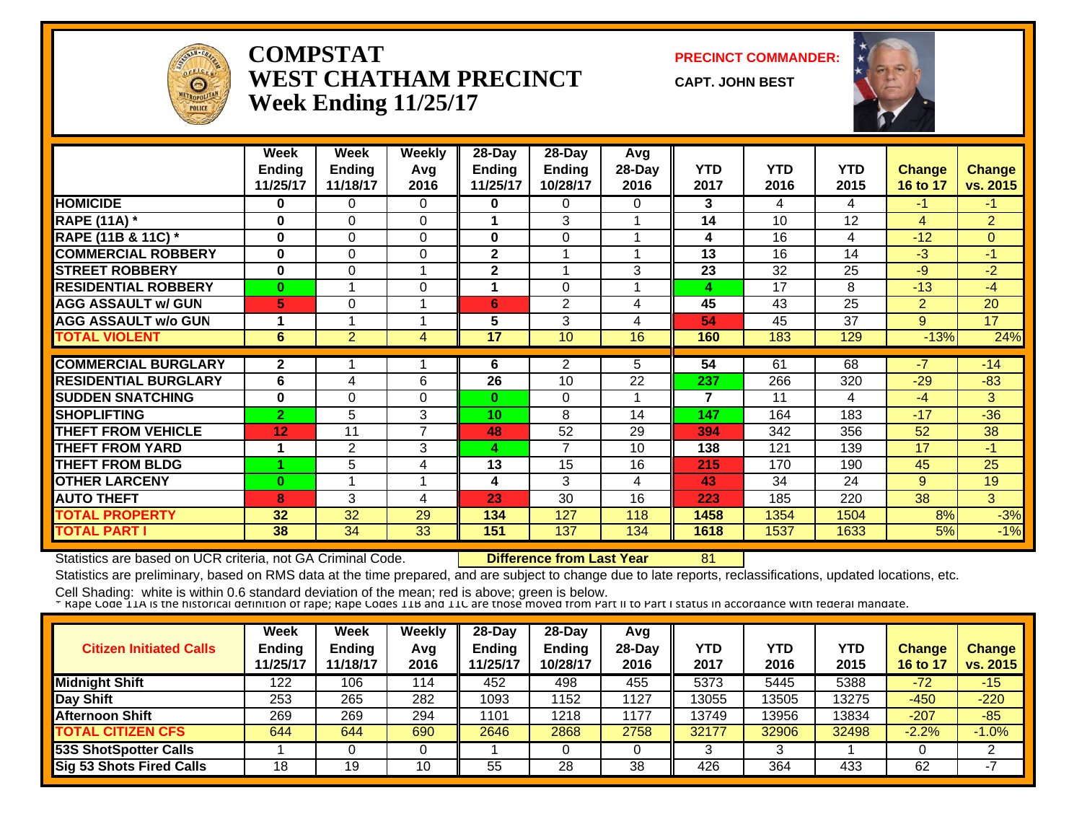

#### **COMPSTATWEST CHATHAM PRECINCTWeek Ending 11/25/17**

**PRECINCT COMMANDER:**

**CAPT. JOHN BEST**



|                             | Week           | Week           | Weekly         | 28-Day   | 28-Day        | Avg      |      |            |            |                |                |
|-----------------------------|----------------|----------------|----------------|----------|---------------|----------|------|------------|------------|----------------|----------------|
|                             | <b>Ending</b>  | <b>Ending</b>  | Avg            | Ending   | <b>Ending</b> | $28-Day$ | YTD  | <b>YTD</b> | <b>YTD</b> | <b>Change</b>  | <b>Change</b>  |
|                             | 11/25/17       | 11/18/17       | 2016           | 11/25/17 | 10/28/17      | 2016     | 2017 | 2016       | 2015       | 16 to 17       | vs. 2015       |
| <b>HOMICIDE</b>             | 0              | 0              | 0              | 0        | 0             | 0        | 3    | 4          | 4          | $-1$           | $-1$           |
| <b>RAPE (11A) *</b>         | $\bf{0}$       | 0              | $\Omega$       | 1        | 3             |          | 14   | 10         | 12         | $\overline{4}$ | $\overline{2}$ |
| RAPE (11B & 11C) *          | $\bf{0}$       | $\Omega$       | $\Omega$       | $\bf{0}$ | 0             |          | 4    | 16         | 4          | $-12$          | $\overline{0}$ |
| <b>COMMERCIAL ROBBERY</b>   | $\bf{0}$       | 0              | $\Omega$       | 2        |               |          | 13   | 16         | 14         | $-3$           | $-1$           |
| <b>STREET ROBBERY</b>       | $\bf{0}$       | 0              |                | 2        | 4             | 3        | 23   | 32         | 25         | $-9$           | $-2$           |
| <b>RESIDENTIAL ROBBERY</b>  | $\mathbf{0}$   |                | $\Omega$       | 1        | $\Omega$      |          | 4    | 17         | 8          | $-13$          | $-4$           |
| <b>AGG ASSAULT w/ GUN</b>   | 5              | 0              |                | 6        | 2             | 4        | 45   | 43         | 25         | $\overline{2}$ | 20             |
| <b>AGG ASSAULT w/o GUN</b>  |                |                |                | 5        | 3             | 4        | 54   | 45         | 37         | 9              | 17             |
| <b>TOTAL VIOLENT</b>        | 6              | 2              | 4              | 17       | 10            | 16       | 160  | 183        | 129        | $-13%$         | 24%            |
|                             |                |                |                |          |               |          |      |            |            |                |                |
| <b>COMMERCIAL BURGLARY</b>  | $\mathbf{2}$   |                |                | 6        | 2             | 5.       | 54   | 61         | 68         | $-7$           | $-14$          |
| <b>RESIDENTIAL BURGLARY</b> | 6              | 4              | 6              | 26       | 10            | 22       | 237  | 266        | 320        | $-29$          | $-83$          |
| <b>ISUDDEN SNATCHING</b>    | $\bf{0}$       | $\Omega$       | 0              | 0        | $\Omega$      |          | 7    | 11         | 4          | $-4$           | 3              |
| <b>SHOPLIFTING</b>          | $\overline{2}$ | 5              | 3              | 10       | 8             | 14       | 147  | 164        | 183        | $-17$          | $-36$          |
| <b>THEFT FROM VEHICLE</b>   | 12             | 11             | $\overline{7}$ | 48       | 52            | 29       | 394  | 342        | 356        | 52             | 38             |
| <b>THEFT FROM YARD</b>      |                | $\overline{2}$ | 3              | 4        | 7             | 10       | 138  | 121        | 139        | 17             | $-1$           |
| <b>THEFT FROM BLDG</b>      |                | 5              | 4              | 13       | 15            | 16       | 215  | 170        | 190        | 45             | 25             |
| <b>OTHER LARCENY</b>        | $\bf{0}$       |                |                | 4        | 3             | 4        | 43   | 34         | 24         | 9              | 19             |
| <b>AUTO THEFT</b>           | 8              | 3              | 4              | 23       | 30            | 16       | 223  | 185        | 220        | 38             | 3              |
| <b>TOTAL PROPERTY</b>       | 32             | 32             | 29             | 134      | 127           | 118      | 1458 | 1354       | 1504       | 8%             | $-3%$          |
| <b>TOTAL PART I</b>         | 38             | 34             | 33             | 151      | 137           | 134      | 1618 | 1537       | 1633       | 5%             | $-1%$          |

Statistics are based on UCR criteria, not GA Criminal Code. **Difference from Last Year** 81

Statistics are preliminary, based on RMS data at the time prepared, and are subject to change due to late reports, reclassifications, updated locations, etc.

| <b>Citizen Initiated Calls</b>  | <b>Week</b><br><b>Ending</b><br>11/25/17 | <b>Week</b><br><b>Ending</b><br>11/18/17 | Weekly<br>Avg<br>2016 | $28-Dav$<br>Ending<br>11/25/17 | $28$ -Day<br><b>Ending</b><br>10/28/17 | Avg<br>$28-Day$<br>2016 | YTD<br>2017 | YTD<br>2016 | YTD<br>2015 | Change<br>16 to 17 | <b>Change</b><br>vs. 2015 |
|---------------------------------|------------------------------------------|------------------------------------------|-----------------------|--------------------------------|----------------------------------------|-------------------------|-------------|-------------|-------------|--------------------|---------------------------|
| <b>Midnight Shift</b>           | 122                                      | 106                                      | 114                   | 452                            | 498                                    | 455                     | 5373        | 5445        | 5388        | $-72$              | $-15$                     |
| Day Shift                       | 253                                      | 265                                      | 282                   | 1093                           | 1152                                   | 1127                    | 13055       | 3505        | 13275       | $-450$             | $-220$                    |
| <b>Afternoon Shift</b>          | 269                                      | 269                                      | 294                   | 1101                           | 1218                                   | 1177                    | 13749       | 3956        | 13834       | $-207$             | $-85$                     |
| <b>TOTAL CITIZEN CFS</b>        | 644                                      | 644                                      | 690                   | 2646                           | 2868                                   | 2758                    | 32177       | 32906       | 32498       | $-2.2%$            | $-1.0%$                   |
| <b>53S ShotSpotter Calls</b>    |                                          |                                          |                       |                                |                                        |                         |             |             |             |                    |                           |
| <b>Sig 53 Shots Fired Calls</b> | 18                                       | 19                                       | 10                    | 55                             | 28                                     | 38                      | 426         | 364         | 433         | 62                 |                           |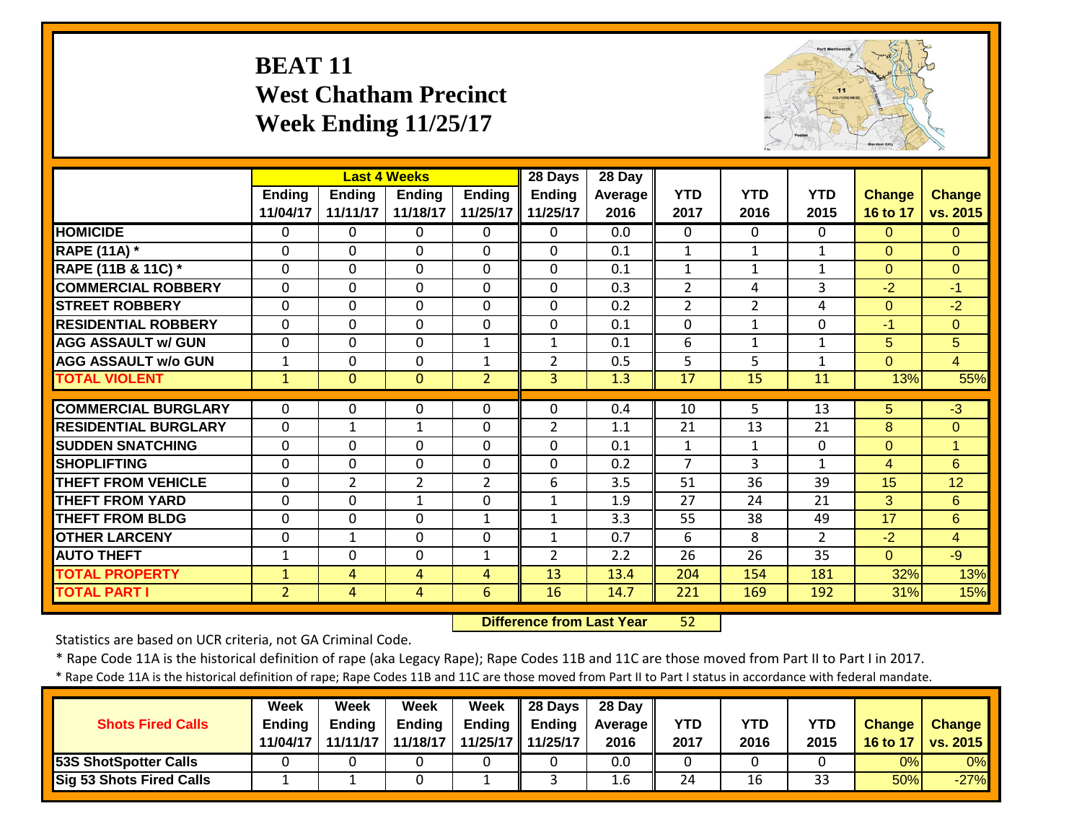#### **BEAT 11 West Chatham PrecinctWeek Ending 11/25/17**



|                             |                |                | <b>Last 4 Weeks</b> |                | 28 Days        | $28$ Day |                |                |                |                |                |
|-----------------------------|----------------|----------------|---------------------|----------------|----------------|----------|----------------|----------------|----------------|----------------|----------------|
|                             | <b>Ending</b>  | Ending         | <b>Ending</b>       | Ending         | <b>Ending</b>  | Average  | <b>YTD</b>     | <b>YTD</b>     | <b>YTD</b>     | <b>Change</b>  | <b>Change</b>  |
|                             | 11/04/17       | 11/11/17       | 11/18/17            | 11/25/17       | 11/25/17       | 2016     | 2017           | 2016           | 2015           | 16 to 17       | vs. 2015       |
| <b>HOMICIDE</b>             | $\Omega$       | 0              | $\Omega$            | $\Omega$       | 0              | 0.0      | 0              | $\Omega$       | $\Omega$       | $\Omega$       | $\Omega$       |
| <b>RAPE (11A) *</b>         | $\Omega$       | $\Omega$       | $\Omega$            | $\Omega$       | $\Omega$       | 0.1      | $\mathbf{1}$   | $\mathbf{1}$   | $\mathbf{1}$   | $\Omega$       | $\Omega$       |
| RAPE (11B & 11C) *          | $\Omega$       | 0              | $\Omega$            | $\Omega$       | $\Omega$       | 0.1      | $\mathbf{1}$   | $\mathbf{1}$   | $\mathbf{1}$   | $\Omega$       | $\Omega$       |
| <b>COMMERCIAL ROBBERY</b>   | $\Omega$       | 0              | $\Omega$            | $\Omega$       | $\mathbf 0$    | 0.3      | $\overline{2}$ | 4              | 3              | $-2$           | $-1$           |
| <b>STREET ROBBERY</b>       | $\Omega$       | 0              | $\Omega$            | $\Omega$       | $\Omega$       | 0.2      | 2              | $\overline{2}$ | 4              | $\Omega$       | $-2$           |
| <b>RESIDENTIAL ROBBERY</b>  | $\mathbf{0}$   | $\Omega$       | $\Omega$            | $\Omega$       | $\mathbf 0$    | 0.1      | $\Omega$       | $\mathbf{1}$   | $\mathbf{0}$   | $-1$           | $\Omega$       |
| <b>AGG ASSAULT w/ GUN</b>   | $\mathbf 0$    | $\mathbf 0$    | $\mathbf 0$         | $\mathbf{1}$   | $\mathbf{1}$   | 0.1      | 6              | $\mathbf{1}$   | $\mathbf{1}$   | 5              | 5              |
| <b>AGG ASSAULT w/o GUN</b>  | $\mathbf{1}$   | $\mathbf 0$    | $\mathbf 0$         | $\mathbf{1}$   | $\overline{2}$ | 0.5      | 5              | 5              | $\mathbf{1}$   | $\overline{0}$ | $\overline{4}$ |
| <b>TOTAL VIOLENT</b>        | $\mathbf{1}$   | $\Omega$       | $\Omega$            | $\overline{2}$ | 3              | 1.3      | 17             | 15             | 11             | 13%            | 55%            |
|                             |                |                |                     |                |                |          |                |                |                |                |                |
| <b>COMMERCIAL BURGLARY</b>  | $\Omega$       | $\Omega$       | $\Omega$            | $\Omega$       | $\Omega$       | 0.4      | 10             | $\overline{5}$ | 13             | 5              | $\overline{3}$ |
| <b>RESIDENTIAL BURGLARY</b> | $\mathbf 0$    | $\mathbf{1}$   | $\mathbf{1}$        | $\mathbf 0$    | $\overline{2}$ | 1.1      | 21             | 13             | 21             | 8              | $\mathbf{0}$   |
| <b>SUDDEN SNATCHING</b>     | $\mathbf 0$    | $\mathbf 0$    | $\mathbf 0$         | $\mathbf 0$    | 0              | 0.1      | $\mathbf{1}$   | $\mathbf{1}$   | 0              | $\overline{0}$ | $\overline{1}$ |
| <b>SHOPLIFTING</b>          | $\Omega$       | 0              | $\Omega$            | $\mathbf 0$    | 0              | 0.2      | $\overline{7}$ | 3              | $\mathbf{1}$   | $\overline{4}$ | 6              |
| <b>THEFT FROM VEHICLE</b>   | $\mathbf{0}$   | $\overline{2}$ | $\overline{2}$      | $\overline{2}$ | 6              | 3.5      | 51             | 36             | 39             | 15             | 12             |
| <b>THEFT FROM YARD</b>      | $\mathbf{0}$   | 0              | 1                   | $\Omega$       | $\mathbf{1}$   | 1.9      | 27             | 24             | 21             | 3              | 6              |
| <b>THEFT FROM BLDG</b>      | $\mathbf 0$    | 0              | $\mathbf{0}$        | $\mathbf{1}$   | $\mathbf{1}$   | 3.3      | 55             | 38             | 49             | 17             | 6              |
| <b>OTHER LARCENY</b>        | $\mathbf 0$    | $\mathbf{1}$   | $\mathbf{0}$        | $\mathbf 0$    | $\mathbf{1}$   | 0.7      | 6              | 8              | $\overline{2}$ | $-2$           | $\overline{4}$ |
| <b>AUTO THEFT</b>           | 1              | 0              | $\Omega$            | 1              | $\overline{2}$ | 2.2      | 26             | 26             | 35             | $\overline{0}$ | $-9$           |
| <b>TOTAL PROPERTY</b>       | $\mathbf{1}$   | 4              | 4                   | 4              | 13             | 13.4     | 204            | 154            | 181            | 32%            | 13%            |
| <b>TOTAL PART I</b>         | $\overline{2}$ | 4              | $\overline{4}$      | 6              | 16             | 14.7     | 221            | 169            | 192            | 31%            | 15%            |

 **Difference from Last Year**52

Statistics are based on UCR criteria, not GA Criminal Code.

\* Rape Code 11A is the historical definition of rape (aka Legacy Rape); Rape Codes 11B and 11C are those moved from Part II to Part I in 2017.

\* Rape Code 11A is the historical definition of rape; Rape Codes 11B and 11C are those moved from Part II to Part I status in accordance with federal mandate.

|                              | Week          | <b>Week</b>   | Week          | Week   | 28 Days           | 28 Day           |            |            |      |               |                     |
|------------------------------|---------------|---------------|---------------|--------|-------------------|------------------|------------|------------|------|---------------|---------------------|
| <b>Shots Fired Calls</b>     | <b>Ending</b> | <b>Ending</b> | <b>Ending</b> | Ending | <b>Ending</b>     | Average          | <b>YTD</b> | <b>YTD</b> | YTD  | <b>Change</b> | <b>Change</b>       |
|                              | 11/04/17      | 11/11/17      | 11/18/17      |        | 11/25/17 11/25/17 | 2016             | 2017       | 2016       | 2015 |               | 16 to 17   vs. 2015 |
| <b>53S ShotSpotter Calls</b> |               |               |               |        |                   | 0.0              |            |            |      | 0%            | 0%                  |
| Sig 53 Shots Fired Calls     |               |               |               |        |                   | 1.6 <sub>1</sub> | 24         | 16         | 33   | 50%           | $-27%$              |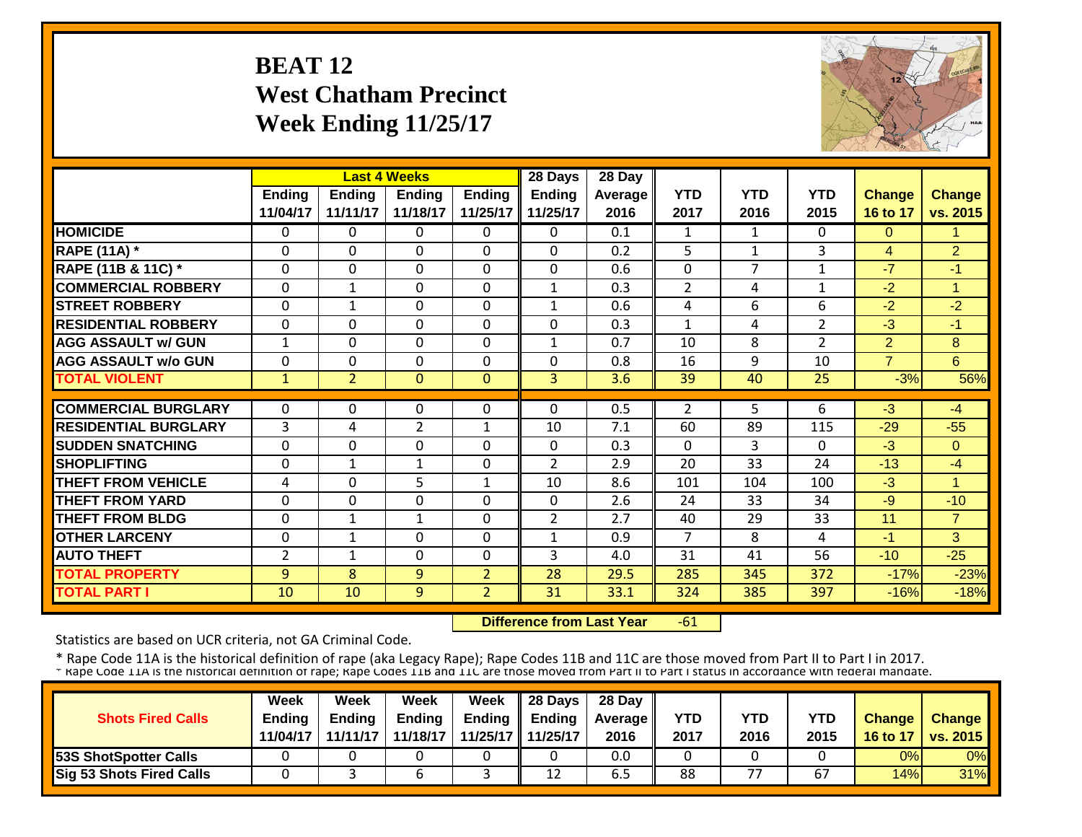#### **BEAT 12 West Chatham Precinct Week Ending 11/25/17**



|                             |               |                | <b>Last 4 Weeks</b> |                | 28 Days        | 28 Day  |                |              |                |                |                |
|-----------------------------|---------------|----------------|---------------------|----------------|----------------|---------|----------------|--------------|----------------|----------------|----------------|
|                             | <b>Ending</b> | <b>Ending</b>  | <b>Ending</b>       | <b>Ending</b>  | <b>Ending</b>  | Average | <b>YTD</b>     | <b>YTD</b>   | <b>YTD</b>     | <b>Change</b>  | <b>Change</b>  |
|                             | 11/04/17      | 11/11/17       | 11/18/17            | 11/25/17       | 11/25/17       | 2016    | 2017           | 2016         | 2015           | 16 to 17       | vs. 2015       |
| <b>HOMICIDE</b>             | $\Omega$      | 0              | $\Omega$            | $\Omega$       | 0              | 0.1     | $\mathbf{1}$   | $\mathbf{1}$ | 0              | $\Omega$       | 1              |
| <b>RAPE (11A) *</b>         | $\mathbf 0$   | 0              | 0                   | $\mathbf 0$    | $\mathbf 0$    | 0.2     | 5              | $\mathbf{1}$ | 3              | $\overline{4}$ | $\overline{2}$ |
| RAPE (11B & 11C) *          | $\Omega$      | $\Omega$       | $\Omega$            | $\Omega$       | $\Omega$       | 0.6     | $\mathbf 0$    | 7            | $\mathbf{1}$   | $-7$           | $-1$           |
| <b>COMMERCIAL ROBBERY</b>   | $\Omega$      | 1              | $\Omega$            | $\Omega$       | $\mathbf{1}$   | 0.3     | $\overline{2}$ | 4            | 1              | $-2$           | $\overline{ }$ |
| <b>STREET ROBBERY</b>       | $\mathbf 0$   | $\mathbf{1}$   | $\Omega$            | $\Omega$       | $\mathbf{1}$   | 0.6     | 4              | 6            | 6              | $-2$           | $-2$           |
| <b>RESIDENTIAL ROBBERY</b>  | $\Omega$      | 0              | $\Omega$            | $\Omega$       | $\Omega$       | 0.3     | $\mathbf{1}$   | 4            | $\overline{2}$ | $-3$           | $-1$           |
| <b>AGG ASSAULT w/ GUN</b>   | $\mathbf{1}$  | 0              | $\Omega$            | 0              | $\mathbf{1}$   | 0.7     | 10             | 8            | $\overline{2}$ | $\overline{2}$ | 8              |
| <b>AGG ASSAULT w/o GUN</b>  | $\Omega$      | 0              | 0                   | $\Omega$       | $\Omega$       | 0.8     | 16             | 9            | 10             | $\overline{7}$ | 6              |
| <b>TOTAL VIOLENT</b>        | 1             | $\overline{2}$ | $\Omega$            | $\mathbf{0}$   | $\overline{3}$ | 3.6     | 39             | 40           | 25             | $-3%$          | 56%            |
|                             |               |                |                     |                |                |         |                |              |                |                |                |
| <b>COMMERCIAL BURGLARY</b>  | $\Omega$      | 0              | 0                   | 0              | 0              | 0.5     | $\overline{2}$ | 5.           | 6              | $-3$           | $-4$           |
| <b>RESIDENTIAL BURGLARY</b> | 3             | 4              | $\overline{2}$      | $\mathbf{1}$   | 10             | 7.1     | 60             | 89           | 115            | $-29$          | $-55$          |
| <b>SUDDEN SNATCHING</b>     | $\mathbf 0$   | 0              | 0                   | 0              | $\Omega$       | 0.3     | $\Omega$       | 3            | $\Omega$       | $-3$           | $\Omega$       |
| <b>SHOPLIFTING</b>          | $\Omega$      | $\mathbf{1}$   | 1                   | 0              | $\overline{2}$ | 2.9     | 20             | 33           | 24             | $-13$          | $-4$           |
| <b>THEFT FROM VEHICLE</b>   | 4             | 0              | 5                   | 1              | 10             | 8.6     | 101            | 104          | 100            | $-3$           | и              |
| <b>THEFT FROM YARD</b>      | $\Omega$      | 0              | 0                   | $\Omega$       | $\Omega$       | 2.6     | 24             | 33           | 34             | $-9$           | $-10$          |
| <b>THEFT FROM BLDG</b>      | $\Omega$      | 1              | 1                   | $\Omega$       | $\overline{2}$ | 2.7     | 40             | 29           | 33             | 11             | $\overline{7}$ |
| <b>OTHER LARCENY</b>        | $\Omega$      | 1              | $\Omega$            | $\Omega$       | $\mathbf{1}$   | 0.9     | 7              | 8            | 4              | $-1$           | 3              |
| <b>AUTO THEFT</b>           | 2             | 1              | $\Omega$            | 0              | 3              | 4.0     | 31             | 41           | 56             | $-10$          | $-25$          |
| <b>TOTAL PROPERTY</b>       | 9             | 8              | 9                   | $\overline{2}$ | 28             | 29.5    | 285            | 345          | 372            | $-17%$         | $-23%$         |
| <b>TOTAL PART I</b>         | 10            | 10             | 9                   | $\overline{2}$ | 31             | 33.1    | 324            | 385          | 397            | $-16%$         | $-18%$         |

 **Difference from Last Year** $-61$ 

Statistics are based on UCR criteria, not GA Criminal Code.

| <b>Shots Fired Calls</b>        | Week<br><b>Endina</b><br>11/04/17 | Week<br><b>Ending</b><br>11/11/17 | Week<br><b>Ending</b><br>11/18/17 | Week | $\parallel$ 28 Days<br>Ending $\parallel$ Ending<br>11/25/17 11/25/17 | 28 Day<br><b>Average</b> II<br>2016 | YTD<br>2017 | YTD<br>2016 | YTD<br>2015 | <b>Change</b><br>16 to 17 | <b>Change</b><br><b>vs. 2015</b> |
|---------------------------------|-----------------------------------|-----------------------------------|-----------------------------------|------|-----------------------------------------------------------------------|-------------------------------------|-------------|-------------|-------------|---------------------------|----------------------------------|
| <b>53S ShotSpotter Calls</b>    |                                   |                                   |                                   |      |                                                                       | 0.0                                 |             |             |             | 0%                        | $0\%$                            |
| <b>Sig 53 Shots Fired Calls</b> |                                   |                                   | n                                 |      | 12                                                                    | 6.5                                 | 88          | 77          | 67          | 14%                       | 31%                              |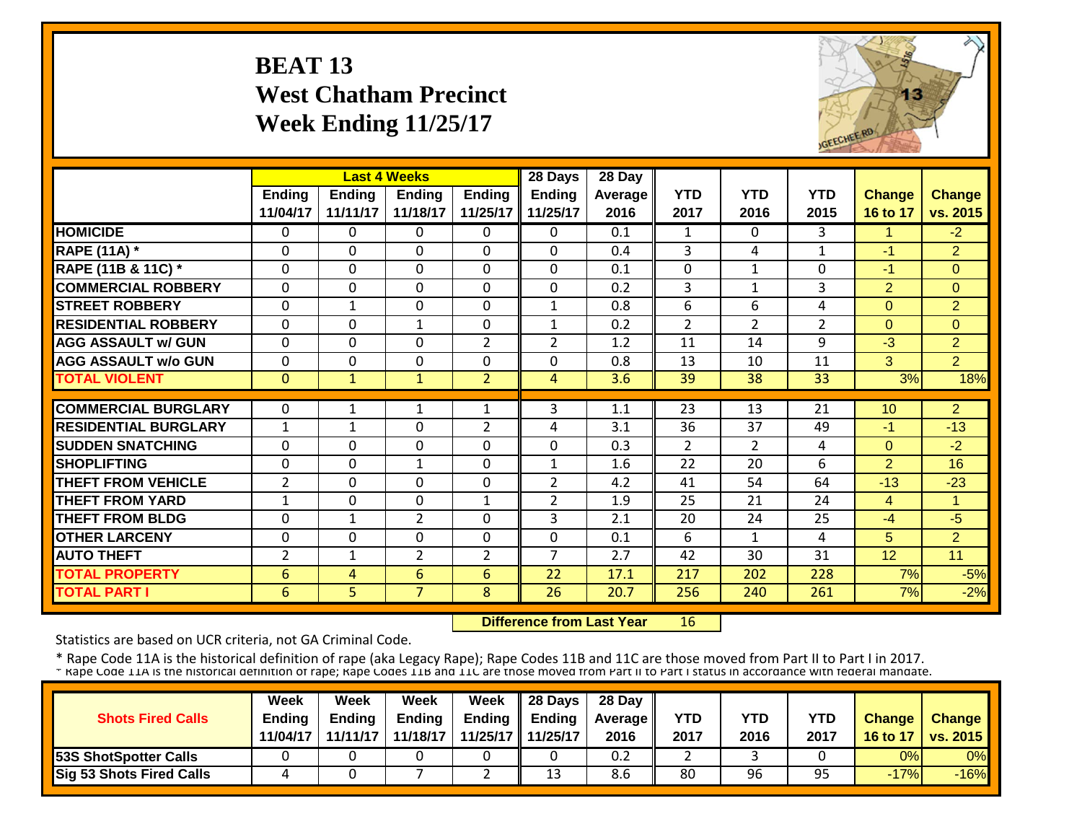#### **BEAT 13 West Chatham Precinct Week Ending 11/25/17**



|                             |                | <b>Last 4 Weeks</b> |                |                | 28 Days        | 28 Day  |                |                |                |                |                |
|-----------------------------|----------------|---------------------|----------------|----------------|----------------|---------|----------------|----------------|----------------|----------------|----------------|
|                             | Ending         | <b>Ending</b>       | <b>Ending</b>  | <b>Ending</b>  | <b>Ending</b>  | Average | <b>YTD</b>     | <b>YTD</b>     | <b>YTD</b>     | <b>Change</b>  | <b>Change</b>  |
|                             | 11/04/17       | 11/11/17            | 11/18/17       | 11/25/17       | 11/25/17       | 2016    | 2017           | 2016           | 2015           | 16 to 17       | vs. 2015       |
| <b>HOMICIDE</b>             | $\Omega$       | 0                   | 0              | $\Omega$       | $\Omega$       | 0.1     | $\mathbf{1}$   | $\Omega$       | 3              | $\mathbf{1}$   | $-2$           |
| <b>RAPE (11A)</b> *         | $\Omega$       | $\Omega$            | $\Omega$       | $\Omega$       | $\Omega$       | 0.4     | 3              | 4              | $\mathbf{1}$   | $-1$           | 2              |
| RAPE (11B & 11C) *          | $\mathbf 0$    | 0                   | $\Omega$       | $\Omega$       | 0              | 0.1     | $\overline{0}$ | $\mathbf{1}$   | 0              | $-1$           | $\Omega$       |
| <b>COMMERCIAL ROBBERY</b>   | $\mathbf{0}$   | 0                   | $\Omega$       | $\Omega$       | 0              | 0.2     | $\overline{3}$ | 1              | 3              | $\overline{2}$ | $\Omega$       |
| <b>STREET ROBBERY</b>       | $\mathbf 0$    | $\mathbf{1}$        | $\Omega$       | $\mathbf 0$    | $\mathbf{1}$   | 0.8     | 6              | 6              | 4              | $\overline{0}$ | $\overline{2}$ |
| <b>RESIDENTIAL ROBBERY</b>  | $\Omega$       | $\Omega$            | $\mathbf{1}$   | $\mathbf 0$    | $\mathbf{1}$   | 0.2     | $\overline{2}$ | $\overline{2}$ | $\overline{2}$ | $\Omega$       | $\Omega$       |
| <b>AGG ASSAULT w/ GUN</b>   | $\Omega$       | 0                   | $\Omega$       | $\overline{2}$ | $\overline{2}$ | 1.2     | 11             | 14             | 9              | $-3$           | $\overline{2}$ |
| <b>AGG ASSAULT w/o GUN</b>  | $\mathbf 0$    | 0                   | $\mathbf 0$    | 0              | $\mathbf 0$    | 0.8     | 13             | 10             | 11             | 3              | $\overline{2}$ |
| <b>TOTAL VIOLENT</b>        | $\overline{0}$ | $\mathbf{1}$        | $\mathbf{1}$   | $\overline{2}$ | 4              | 3.6     | 39             | 38             | 33             | 3%             | 18%            |
|                             |                |                     |                |                |                |         |                |                |                |                |                |
| <b>COMMERCIAL BURGLARY</b>  | $\Omega$       | 1                   | 1              | 1              | 3              | 1.1     | 23             | 13             | 21             | 10             | $\overline{2}$ |
| <b>RESIDENTIAL BURGLARY</b> | $\mathbf{1}$   | 1                   | $\Omega$       | $\overline{2}$ | 4              | 3.1     | 36             | 37             | 49             | $-1$           | $-13$          |
| <b>SUDDEN SNATCHING</b>     | $\Omega$       | 0                   | $\Omega$       | 0              | 0              | 0.3     | $\overline{2}$ | $\overline{2}$ | 4              | $\Omega$       | $-2$           |
| <b>SHOPLIFTING</b>          | $\Omega$       | 0                   | 1              | $\Omega$       | 1              | 1.6     | 22             | 20             | 6              | $\overline{2}$ | 16             |
| <b>THEFT FROM VEHICLE</b>   | 2              | 0                   | $\Omega$       | 0              | $\overline{2}$ | 4.2     | 41             | 54             | 64             | $-13$          | $-23$          |
| <b>THEFT FROM YARD</b>      | $\mathbf{1}$   | 0                   | $\Omega$       | $\mathbf{1}$   | $\overline{2}$ | 1.9     | 25             | 21             | 24             | $\overline{4}$ | 1              |
| <b>THEFT FROM BLDG</b>      | $\Omega$       | 1                   | $\overline{2}$ | 0              | 3              | 2.1     | 20             | 24             | 25             | -4             | $-5$           |
| <b>OTHER LARCENY</b>        | $\Omega$       | $\Omega$            | $\Omega$       | 0              | $\Omega$       | 0.1     | 6              | 1              | 4              | 5              | 2              |
| <b>AUTO THEFT</b>           | 2              | 1                   | $\overline{2}$ | $\overline{2}$ | $\overline{7}$ | 2.7     | 42             | 30             | 31             | 12             | 11             |
| <b>TOTAL PROPERTY</b>       | 6              | 4                   | 6              | 6              | 22             | 17.1    | 217            | 202            | 228            | 7%             | $-5%$          |
| <b>TOTAL PART I</b>         | 6              | 5                   | $\overline{7}$ | 8              | 26             | 20.7    | 256            | 240            | 261            | 7%             | $-2%$          |

 **Difference from Last Year**16

Statistics are based on UCR criteria, not GA Criminal Code.

|                                 | <b>Week</b>   | Week          | Week          | Week | $\parallel$ 28 Days       | 28 Day            |      |      |      |               |                 |
|---------------------------------|---------------|---------------|---------------|------|---------------------------|-------------------|------|------|------|---------------|-----------------|
| <b>Shots Fired Calls</b>        | <b>Endina</b> | <b>Ending</b> | <b>Ending</b> |      | Ending $\parallel$ Ending | <b>Average II</b> | YTD  | YTD  | YTD  | <b>Change</b> | <b>Change</b>   |
|                                 | 11/04/17      | 11/11/17      | 11/18/17      |      | 11/25/17 11/25/17         | 2016              | 2017 | 2016 | 2017 | 16 to 17      | <b>VS. 2015</b> |
| <b>53S ShotSpotter Calls</b>    |               |               |               |      |                           | 0.2               |      |      |      | 0%            | 0%              |
| <b>Sig 53 Shots Fired Calls</b> |               |               |               |      | 13                        | 8.6               | 80   | 96   | 95   | $-17%$        | $-16%$          |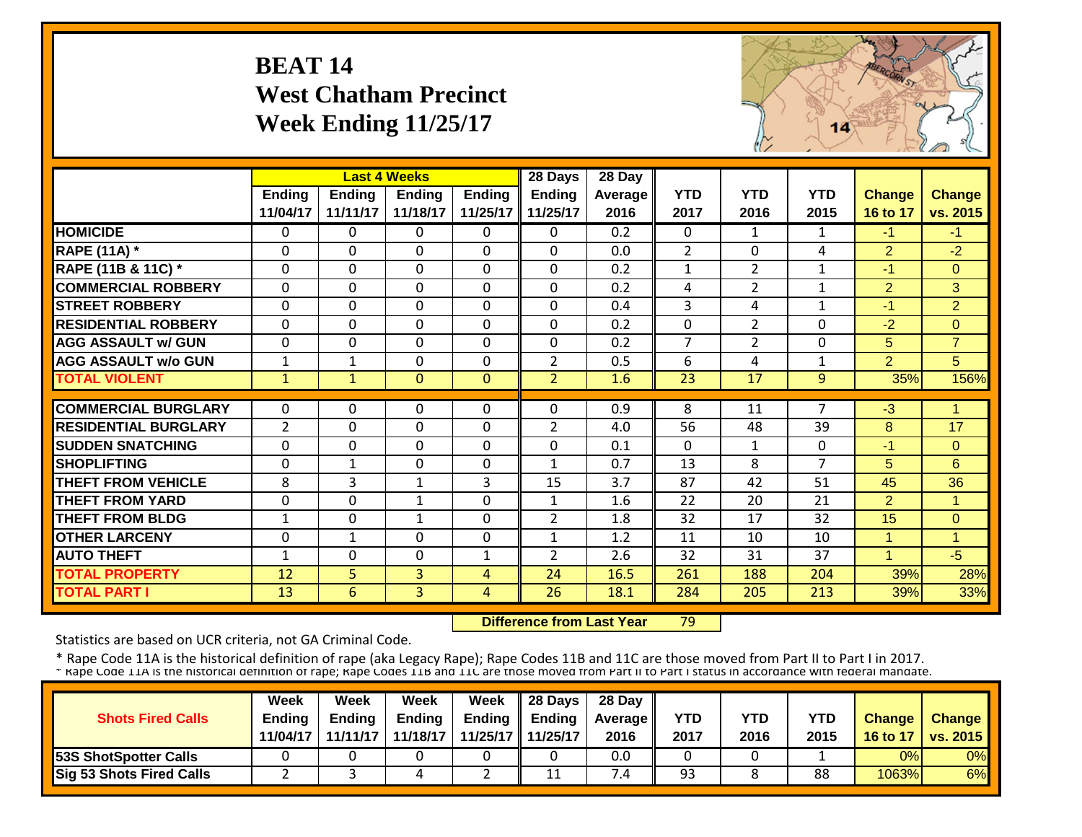#### **BEAT 14 West Chatham Precinct Week Ending 11/25/17**



|                             |                |               | <b>Last 4 Weeks</b> |               | 28 Days        | 28 Day  |                |                |                |                |                |
|-----------------------------|----------------|---------------|---------------------|---------------|----------------|---------|----------------|----------------|----------------|----------------|----------------|
|                             | <b>Ending</b>  | <b>Ending</b> | <b>Ending</b>       | <b>Ending</b> | <b>Ending</b>  | Average | <b>YTD</b>     | <b>YTD</b>     | <b>YTD</b>     | <b>Change</b>  | <b>Change</b>  |
|                             | 11/04/17       | 11/11/17      | 11/18/17            | 11/25/17      | 11/25/17       | 2016    | 2017           | 2016           | 2015           | 16 to 17       | vs. 2015       |
| <b>HOMICIDE</b>             | $\Omega$       | 0             | 0                   | $\Omega$      | 0              | 0.2     | $\Omega$       | $\mathbf{1}$   | $\mathbf{1}$   | $-1$           | $-1$           |
| <b>RAPE (11A) *</b>         | $\Omega$       | 0             | $\Omega$            | $\Omega$      | 0              | 0.0     | $\overline{2}$ | $\mathbf{0}$   | 4              | 2              | $-2$           |
| RAPE (11B & 11C) *          | $\Omega$       | 0             | $\Omega$            | $\Omega$      | 0              | 0.2     | $\mathbf{1}$   | $\overline{2}$ | $\mathbf{1}$   | $-1$           | $\Omega$       |
| <b>COMMERCIAL ROBBERY</b>   | $\Omega$       | 0             | $\Omega$            | $\Omega$      | $\Omega$       | 0.2     | 4              | $\overline{2}$ | $\mathbf{1}$   | $\overline{2}$ | 3              |
| <b>STREET ROBBERY</b>       | $\Omega$       | 0             | $\Omega$            | $\Omega$      | $\Omega$       | 0.4     | 3              | 4              | $\mathbf{1}$   | $-1$           | $\overline{2}$ |
| <b>RESIDENTIAL ROBBERY</b>  | $\Omega$       | 0             | $\Omega$            | $\mathbf 0$   | 0              | 0.2     | $\mathbf 0$    | $\overline{2}$ | 0              | $-2$           | $\Omega$       |
| <b>AGG ASSAULT w/ GUN</b>   | $\mathbf{0}$   | 0             | $\mathbf 0$         | $\mathbf 0$   | $\mathbf 0$    | 0.2     | $\overline{7}$ | $\overline{2}$ | 0              | 5              | $\overline{7}$ |
| <b>AGG ASSAULT w/o GUN</b>  | $\mathbf{1}$   | 1             | $\Omega$            | $\Omega$      | $\overline{2}$ | 0.5     | 6              | 4              | $\mathbf{1}$   | $\overline{2}$ | 5              |
| <b>TOTAL VIOLENT</b>        | $\mathbf{1}$   | $\mathbf{1}$  | $\mathbf{0}$        | $\mathbf{0}$  | $\overline{2}$ | 1.6     | 23             | 17             | 9              | 35%            | 156%           |
| <b>COMMERCIAL BURGLARY</b>  | $\Omega$       | 0             | $\Omega$            | $\Omega$      | 0              | 0.9     | 8              | 11             | $\overline{7}$ | $-3$           | -4             |
| <b>RESIDENTIAL BURGLARY</b> | $\overline{2}$ | 0             | $\Omega$            | $\Omega$      | 2              | 4.0     | 56             | 48             | 39             | 8              | 17             |
| <b>SUDDEN SNATCHING</b>     | $\Omega$       | 0             | $\Omega$            | 0             | 0              | 0.1     | $\mathbf{0}$   | $\mathbf{1}$   | 0              | $-1$           | $\Omega$       |
| <b>SHOPLIFTING</b>          | $\Omega$       | $\mathbf{1}$  | $\Omega$            | $\Omega$      | $\mathbf{1}$   | 0.7     | 13             | 8              | $\overline{7}$ | 5              | 6              |
| <b>THEFT FROM VEHICLE</b>   | 8              | 3             | $\mathbf{1}$        | 3             | 15             | 3.7     | 87             | 42             | 51             | 45             | 36             |
| <b>THEFT FROM YARD</b>      | $\mathbf{0}$   | 0             | 1                   | $\mathbf 0$   | 1              | 1.6     | 22             | 20             | 21             | $\overline{2}$ | 4              |
| <b>THEFT FROM BLDG</b>      | 1              | 0             | 1                   | $\Omega$      | $\overline{2}$ | 1.8     | 32             | 17             | 32             | 15             | $\Omega$       |
| <b>OTHER LARCENY</b>        | $\Omega$       | 1             | $\Omega$            | $\Omega$      | $\mathbf{1}$   | 1.2     | 11             | 10             | 10             | $\mathbf{1}$   | -1             |
| <b>AUTO THEFT</b>           | 1              | 0             | $\Omega$            | $\mathbf{1}$  | $\overline{2}$ | 2.6     | 32             | 31             | 37             | 1              | $-5$           |
| <b>TOTAL PROPERTY</b>       | 12             | 5             | 3                   | 4             | 24             | 16.5    | 261            | 188            | 204            | 39%            | 28%            |
| <b>TOTAL PART I</b>         | 13             | 6             | 3                   | 4             | 26             | 18.1    | 284            | 205            | 213            | 39%            | 33%            |

 **Difference from Last Year**79

Statistics are based on UCR criteria, not GA Criminal Code.

| <b>Shots Fired Calls</b>        | Week<br><b>Endina</b><br>11/04/17 | Week<br><b>Ending</b><br>11/11/17 | Week<br><b>Ending</b><br>11/18/17 | Week     | $\parallel$ 28 Days<br>Ending $\parallel$ Ending<br>11/25/17 11/25/17 | 28 Day<br><b>Average</b> II<br>2016 | YTD<br>2017 | YTD<br>2016 | YTD<br>2015 | <b>Change</b><br>16 to 17 | <b>Change</b><br><b>vs. 2015</b> |
|---------------------------------|-----------------------------------|-----------------------------------|-----------------------------------|----------|-----------------------------------------------------------------------|-------------------------------------|-------------|-------------|-------------|---------------------------|----------------------------------|
| <b>53S ShotSpotter Calls</b>    |                                   |                                   |                                   |          |                                                                       | 0.0                                 |             |             |             | 0%                        | 0%                               |
| <b>Sig 53 Shots Fired Calls</b> |                                   |                                   |                                   | <u>.</u> | 11                                                                    | $\cdot$ .4                          | 93          |             | 88          | 1063%                     | 6%                               |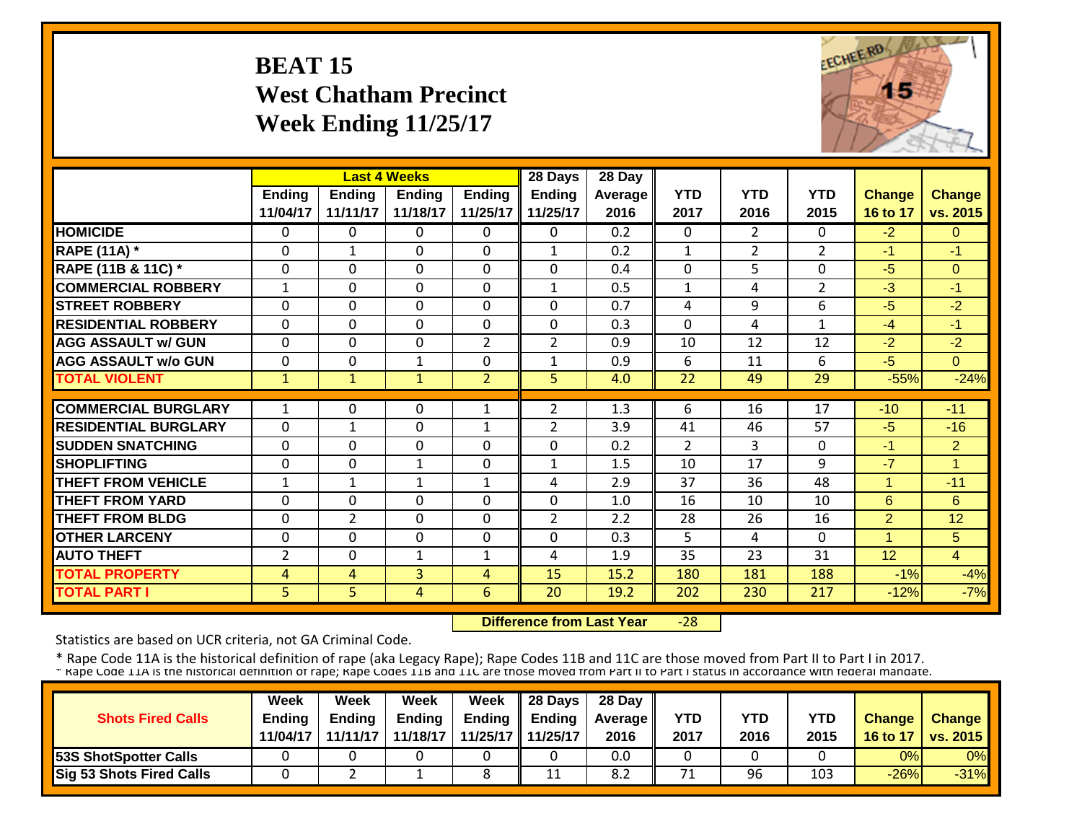#### **BEAT 15 West Chatham Precinct Week Ending 11/25/17**



|                             |                |                | <b>Last 4 Weeks</b> |                | 28 Days        | 28 Day  |                |                |                |                      |                |
|-----------------------------|----------------|----------------|---------------------|----------------|----------------|---------|----------------|----------------|----------------|----------------------|----------------|
|                             | <b>Ending</b>  | <b>Ending</b>  | <b>Ending</b>       | <b>Ending</b>  | <b>Ending</b>  | Average | <b>YTD</b>     | <b>YTD</b>     | <b>YTD</b>     | <b>Change</b>        | <b>Change</b>  |
|                             | 11/04/17       | 11/11/17       | 11/18/17            | 11/25/17       | 11/25/17       | 2016    | 2017           | 2016           | 2015           | 16 to 17             | vs. 2015       |
| <b>HOMICIDE</b>             | $\mathbf{0}$   | 0              | $\Omega$            | $\Omega$       | $\Omega$       | 0.2     | $\mathbf{0}$   | $\overline{2}$ | 0              | $-2$                 | $\Omega$       |
| <b>RAPE (11A) *</b>         | $\Omega$       | $\mathbf{1}$   | 0                   | $\Omega$       | $\mathbf{1}$   | 0.2     | $\mathbf{1}$   | $\overline{2}$ | $\overline{2}$ | $-1$                 | $-1$           |
| RAPE (11B & 11C) *          | $\mathbf 0$    | 0              | $\mathbf 0$         | $\Omega$       | 0              | 0.4     | $\mathbf 0$    | 5              | 0              | $-5$                 | $\Omega$       |
| <b>COMMERCIAL ROBBERY</b>   | $\mathbf{1}$   | 0              | $\Omega$            | $\Omega$       | 1              | 0.5     | $\mathbf{1}$   | 4              | $\overline{2}$ | $-3$                 | $-1$           |
| <b>STREET ROBBERY</b>       | $\mathbf 0$    | 0              | $\mathbf 0$         | $\mathbf 0$    | 0              | 0.7     | 4              | 9              | 6              | $-5$                 | $-2$           |
| <b>RESIDENTIAL ROBBERY</b>  | $\Omega$       | 0              | $\Omega$            | $\Omega$       | $\mathbf 0$    | 0.3     | $\Omega$       | 4              | $\mathbf{1}$   | $-4$                 | $-1$           |
| <b>AGG ASSAULT w/ GUN</b>   | $\Omega$       | 0              | $\Omega$            | $\overline{2}$ | $\overline{2}$ | 0.9     | 10             | 12             | 12             | $-2$                 | $-2$           |
| <b>AGG ASSAULT w/o GUN</b>  | $\Omega$       | 0              | $\mathbf{1}$        | 0              | $\mathbf{1}$   | 0.9     | 6              | 11             | 6              | $-5$                 | $\Omega$       |
| <b>TOTAL VIOLENT</b>        | $\mathbf{1}$   | $\mathbf{1}$   | $\mathbf{1}$        | $\overline{2}$ | $\overline{5}$ | 4.0     | 22             | 49             | 29             | $-55%$               | $-24%$         |
|                             |                |                |                     |                |                |         |                |                |                |                      |                |
| <b>COMMERCIAL BURGLARY</b>  | 1              | 0              | 0                   | $\mathbf{1}$   | $\overline{2}$ | 1.3     | 6              | 16             | 17             | $-10$                | $-11$          |
| <b>RESIDENTIAL BURGLARY</b> | $\Omega$       | $\mathbf{1}$   | $\Omega$            | $\mathbf{1}$   | $\overline{2}$ | 3.9     | 41             | 46             | 57             | $-5$                 | $-16$          |
| <b>SUDDEN SNATCHING</b>     | $\Omega$       | 0              | 0                   | 0              | $\Omega$       | 0.2     | $\overline{2}$ | 3              | 0              | $-1$                 | $\overline{2}$ |
| <b>SHOPLIFTING</b>          | $\Omega$       | 0              | 1                   | 0              | $\mathbf{1}$   | 1.5     | 10             | 17             | 9              | $-7$                 | и              |
| <b>THEFT FROM VEHICLE</b>   | 1              | 1              | 1                   | 1              | 4              | 2.9     | 37             | 36             | 48             | 1                    | $-11$          |
| <b>THEFT FROM YARD</b>      | $\Omega$       | 0              | $\Omega$            | $\Omega$       | $\mathbf 0$    | 1.0     | 16             | 10             | 10             | 6                    | 6              |
| <b>THEFT FROM BLDG</b>      | $\Omega$       | $\overline{2}$ | $\Omega$            | $\Omega$       | $\overline{2}$ | 2.2     | 28             | 26             | 16             | $\overline{2}$       | 12             |
| <b>OTHER LARCENY</b>        | $\Omega$       | 0              | 0                   | 0              | $\mathbf 0$    | 0.3     | 5              | 4              | $\Omega$       | $\blacktriangleleft$ | 5              |
| <b>AUTO THEFT</b>           | $\overline{2}$ | 0              | $\mathbf{1}$        | 1              | 4              | 1.9     | 35             | 23             | 31             | 12                   | $\overline{4}$ |
| <b>TOTAL PROPERTY</b>       | 4              | 4              | 3                   | 4              | 15             | 15.2    | 180            | 181            | 188            | $-1%$                | $-4%$          |
| <b>TOTAL PART I</b>         | 5              | 5              | 4                   | 6              | 20             | 19.2    | 202            | 230            | 217            | $-12%$               | $-7%$          |

 **Difference from Last Year** $-28$ 

Statistics are based on UCR criteria, not GA Criminal Code.

| <b>Shots Fired Calls</b>        | Week<br><b>Endina</b><br>11/04/17 | Week<br><b>Ending</b><br>11/11/17 | Week<br><b>Ending</b><br>11/18/17 | <b>Week</b> | $\parallel$ 28 Days<br>Ending $\parallel$ Ending<br>11/25/17 11/25/17 | 28 Day<br><b>Average</b> II<br>2016 | YTD<br>2017 | YTD<br>2016 | YTD<br>2015 | <b>Change</b><br>16 to 17 | <b>Change</b><br><b>vs. 2015</b> |
|---------------------------------|-----------------------------------|-----------------------------------|-----------------------------------|-------------|-----------------------------------------------------------------------|-------------------------------------|-------------|-------------|-------------|---------------------------|----------------------------------|
| <b>53S ShotSpotter Calls</b>    |                                   |                                   |                                   |             |                                                                       | 0.0                                 |             |             |             | 0%                        | $0\%$                            |
| <b>Sig 53 Shots Fired Calls</b> |                                   |                                   |                                   | O           | 11                                                                    | 8.2                                 | 71          | 96          | 103         | $-26%$                    | $-31%$                           |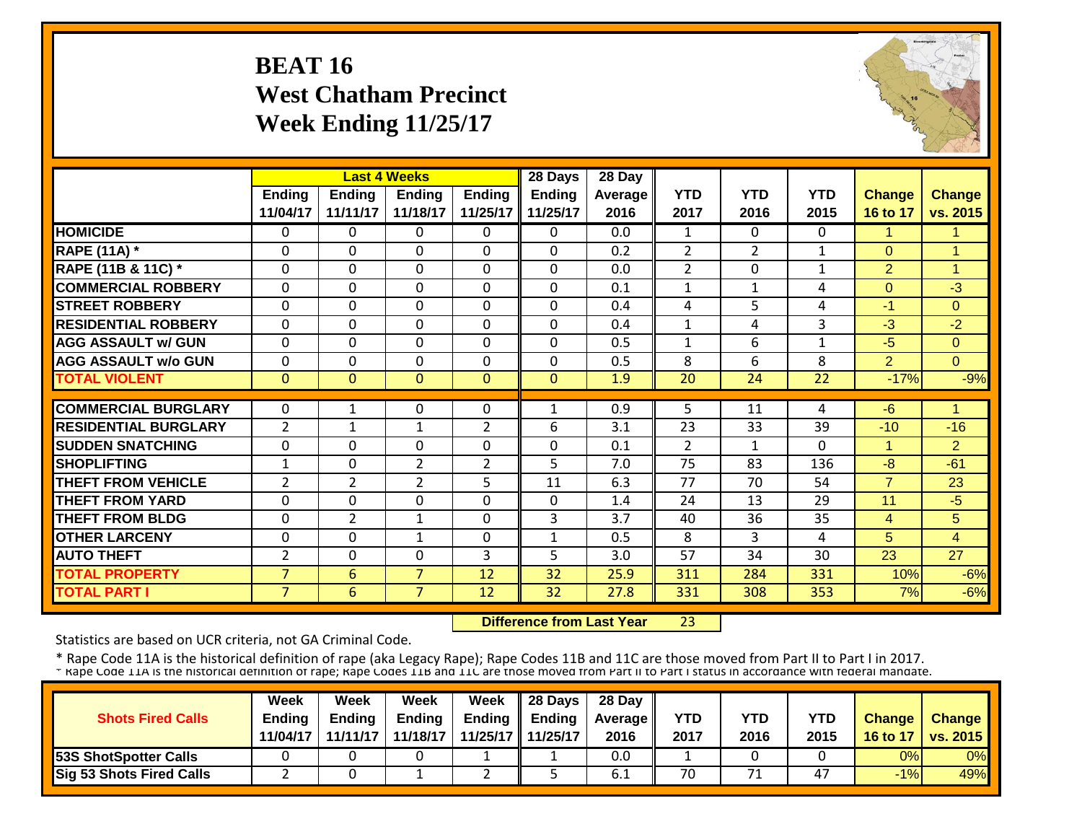#### **BEAT 16 West Chatham Precinct Week Ending 11/25/17**



|                             |                |                | <b>Last 4 Weeks</b> |                | 28 Days       | 28 Day     |                |                |              |                |                      |
|-----------------------------|----------------|----------------|---------------------|----------------|---------------|------------|----------------|----------------|--------------|----------------|----------------------|
|                             | <b>Ending</b>  | <b>Ending</b>  | <b>Ending</b>       | Ending         | <b>Ending</b> | Average II | <b>YTD</b>     | <b>YTD</b>     | <b>YTD</b>   | <b>Change</b>  | <b>Change</b>        |
|                             | 11/04/17       | 11/11/17       | 11/18/17            | 11/25/17       | 11/25/17      | 2016       | 2017           | 2016           | 2015         | 16 to 17       | vs. 2015             |
| <b>HOMICIDE</b>             | $\Omega$       | 0              | $\Omega$            | 0              | $\Omega$      | 0.0        | 1              | $\Omega$       | 0            | $\mathbf{1}$   | $\blacktriangleleft$ |
| <b>RAPE (11A) *</b>         | $\Omega$       | $\Omega$       | $\mathbf 0$         | $\Omega$       | $\Omega$      | 0.2        | $\overline{2}$ | $\overline{2}$ | $\mathbf{1}$ | $\Omega$       | $\overline{1}$       |
| RAPE (11B & 11C) *          | $\mathbf 0$    | 0              | $\mathbf 0$         | $\mathbf 0$    | 0             | 0.0        | $\overline{2}$ | $\Omega$       | $\mathbf{1}$ | $\overline{2}$ | $\overline{1}$       |
| <b>COMMERCIAL ROBBERY</b>   | $\Omega$       | 0              | $\Omega$            | $\Omega$       | $\Omega$      | 0.1        | $\mathbf{1}$   | $\mathbf{1}$   | 4            | $\Omega$       | $-3$                 |
| <b>STREET ROBBERY</b>       | $\mathbf 0$    | 0              | $\mathbf 0$         | $\Omega$       | 0             | 0.4        | 4              | 5              | 4            | $-1$           | $\Omega$             |
| <b>RESIDENTIAL ROBBERY</b>  | $\Omega$       | $\Omega$       | $\Omega$            | $\Omega$       | $\Omega$      | 0.4        | $\mathbf{1}$   | 4              | 3            | $-3$           | $-2$                 |
| <b>AGG ASSAULT w/ GUN</b>   | $\mathbf 0$    | 0              | 0                   | $\Omega$       | 0             | 0.5        | 1              | 6              | 1            | $-5$           | $\Omega$             |
| <b>AGG ASSAULT w/o GUN</b>  | $\Omega$       | 0              | $\Omega$            | $\Omega$       | $\Omega$      | 0.5        | 8              | 6              | 8            | $\overline{2}$ | $\Omega$             |
| <b>TOTAL VIOLENT</b>        | $\mathbf{0}$   | $\overline{0}$ | $\Omega$            | $\Omega$       | $\Omega$      | 1.9        | 20             | 24             | 22           | $-17%$         | $-9%$                |
|                             |                |                |                     |                |               |            |                |                |              |                |                      |
| <b>COMMERCIAL BURGLARY</b>  | $\Omega$       | 1              | 0                   | 0              | 1             | 0.9        | 5              | 11             | 4            | $-6$           | 1                    |
| <b>RESIDENTIAL BURGLARY</b> | $\overline{2}$ | $\mathbf{1}$   | $\mathbf 1$         | $\overline{2}$ | 6             | 3.1        | 23             | 33             | 39           | $-10$          | $-16$                |
| <b>SUDDEN SNATCHING</b>     | $\Omega$       | 0              | $\Omega$            | 0              | $\Omega$      | 0.1        | $\overline{2}$ | 1              | 0            |                | 2                    |
| <b>SHOPLIFTING</b>          | $\mathbf 1$    | 0              | $\overline{2}$      | $\overline{2}$ | 5             | 7.0        | 75             | 83             | 136          | $-8$           | $-61$                |
| <b>THEFT FROM VEHICLE</b>   | $\overline{2}$ | $\overline{2}$ | $\overline{2}$      | 5.             | 11            | 6.3        | 77             | 70             | 54           | $\overline{7}$ | 23                   |
| <b>THEFT FROM YARD</b>      | $\Omega$       | 0              | 0                   | 0              | $\Omega$      | 1.4        | 24             | 13             | 29           | 11             | $-5$                 |
| <b>THEFT FROM BLDG</b>      | $\Omega$       | $\overline{2}$ | 1                   | 0              | 3             | 3.7        | 40             | 36             | 35           | $\overline{4}$ | 5                    |
| <b>OTHER LARCENY</b>        | $\Omega$       | 0              | $\mathbf{1}$        | $\Omega$       | $\mathbf{1}$  | 0.5        | 8              | 3              | 4            | 5              | $\overline{4}$       |
| <b>AUTO THEFT</b>           | $\overline{2}$ | 0              | $\mathbf 0$         | 3              | 5             | 3.0        | 57             | 34             | 30           | 23             | 27                   |
| <b>TOTAL PROPERTY</b>       | $\overline{7}$ | 6              | $\overline{7}$      | 12             | 32            | 25.9       | 311            | 284            | 331          | 10%            | $-6%$                |
| <b>TOTAL PART I</b>         | $\overline{7}$ | 6              | $\overline{7}$      | 12             | 32            | 27.8       | 331            | 308            | 353          | 7%             | $-6%$                |

 **Difference from Last Year**23

Statistics are based on UCR criteria, not GA Criminal Code.

|                                 | <b>Week</b>   | Week     | Week          | Week                | 28 Days       | 28 Day            |      |            |            |               |                   |
|---------------------------------|---------------|----------|---------------|---------------------|---------------|-------------------|------|------------|------------|---------------|-------------------|
| <b>Shots Fired Calls</b>        | <b>Ending</b> | Endina   | <b>Ending</b> | Ending              | <b>Ending</b> | <b>Average II</b> | YTD  | <b>YTD</b> | <b>YTD</b> | <b>Change</b> | Change            |
|                                 | 11/04/17      | 11/11/17 | 11/18/17      | 11/25/17   11/25/17 |               | 2016              | 2017 | 2016       | 2015       | 16 to 17      | $\sqrt{vs. 2015}$ |
| <b>153S ShotSpotter Calls</b>   |               |          |               |                     |               | 0.0               |      |            |            | 0%            | 0%                |
| <b>Sig 53 Shots Fired Calls</b> |               |          |               |                     |               | 6.I               | 70   |            | 47         | $-1%$         | 49%               |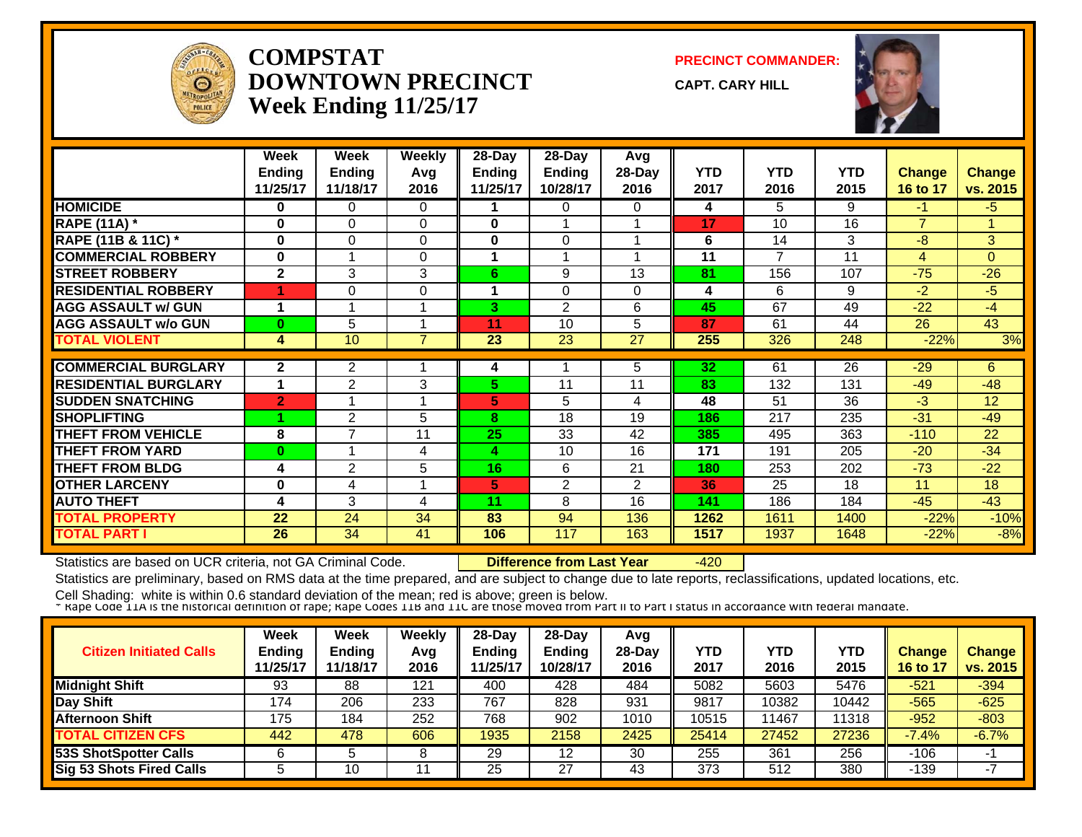

#### **COMPSTATDOWNTOWN PRECINCTWeek Ending 11/25/17**

**PRECINCT COMMANDER:**

**CAPT. CARY HILL**



|                             | Week<br><b>Ending</b><br>11/25/17 | Week<br><b>Ending</b><br>11/18/17 | <b>Weekly</b><br>Avg<br>2016 | 28-Day<br><b>Ending</b><br>11/25/17 | 28-Day<br>Ending<br>10/28/17 | Avg<br>28-Day<br>2016 | <b>YTD</b><br>2017 | <b>YTD</b><br>2016 | <b>YTD</b><br>2015 | <b>Change</b><br>16 to 17 | Change<br>vs. 2015 |
|-----------------------------|-----------------------------------|-----------------------------------|------------------------------|-------------------------------------|------------------------------|-----------------------|--------------------|--------------------|--------------------|---------------------------|--------------------|
| <b>HOMICIDE</b>             | 0                                 | 0                                 | $\Omega$                     |                                     | 0                            | 0                     | 4                  | 5.                 | 9                  | -1                        | $-5$               |
| <b>RAPE (11A) *</b>         | 0                                 | 0                                 | $\Omega$                     | $\bf{0}$                            |                              |                       | 17                 | 10                 | 16                 | $\overline{7}$            | 4.                 |
| RAPE (11B & 11C) *          | $\bf{0}$                          | 0                                 | 0                            | 0                                   | 0                            |                       | 6                  | 14                 | 3                  | $-8$                      | 3                  |
| <b>COMMERCIAL ROBBERY</b>   | $\bf{0}$                          |                                   | $\Omega$                     |                                     |                              |                       | 11                 | 7                  | 11                 | 4                         | $\Omega$           |
| <b>STREET ROBBERY</b>       | $\overline{2}$                    | 3                                 | 3                            | 6                                   | 9                            | 13                    | 81                 | 156                | 107                | $-75$                     | $-26$              |
| <b>RESIDENTIAL ROBBERY</b>  |                                   | 0                                 | $\Omega$                     |                                     | $\Omega$                     | $\Omega$              | 4                  | 6                  | 9                  | $-2$                      | $-5$               |
| <b>AGG ASSAULT w/ GUN</b>   | 1                                 |                                   |                              | 3.                                  | 2                            | 6                     | 45                 | 67                 | 49                 | $-22$                     | $-4$               |
| <b>AGG ASSAULT w/o GUN</b>  | $\bf{0}$                          | 5                                 |                              | 11                                  | 10                           | 5                     | 87                 | 61                 | 44                 | 26                        | 43                 |
| <b>TOTAL VIOLENT</b>        | 4                                 | 10                                | ⇁                            | 23                                  | 23                           | 27                    | 255                | 326                | 248                | $-22%$                    | 3%                 |
| <b>COMMERCIAL BURGLARY</b>  | $\mathbf{2}$                      | 2                                 |                              | 4                                   |                              | 5                     | 32                 | 61                 | 26                 | $-29$                     | 6                  |
| <b>RESIDENTIAL BURGLARY</b> | 1                                 | $\overline{2}$                    | 3                            | 5.                                  | 11                           | 11                    | 83                 | 132                | 131                | $-49$                     | $-48$              |
| <b>SUDDEN SNATCHING</b>     |                                   |                                   |                              |                                     |                              |                       |                    | 51                 | 36                 | $-3$                      | 12                 |
|                             | $\overline{2}$                    |                                   |                              | 5                                   | 5                            | 4                     | 48                 |                    |                    |                           |                    |
| <b>SHOPLIFTING</b>          |                                   | 2<br>$\overline{\phantom{a}}$     | 5                            | 8                                   | 18                           | 19                    | 186                | 217                | 235                | $-31$                     | $-49$              |
| <b>THEFT FROM VEHICLE</b>   | 8                                 | и                                 | 11                           | 25                                  | 33                           | 42                    | 385                | 495                | 363                | $-110$                    | 22                 |
| <b>THEFT FROM YARD</b>      | $\bf{0}$                          |                                   | 4                            | 4                                   | 10                           | 16                    | 171                | 191                | 205                | $-20$                     | $-34$              |
| <b>THEFT FROM BLDG</b>      | 4                                 | 2                                 | 5                            | 16                                  | 6                            | 21                    | 180                | 253                | 202                | $-73$                     | $-22$              |
| <b>OTHER LARCENY</b>        | 0                                 | 4                                 |                              | 5                                   | 2                            | $\overline{2}$        | 36                 | 25                 | 18                 | 11                        | 18                 |
| <b>AUTO THEFT</b>           | 4                                 | 3                                 | 4                            | 11                                  | 8                            | 16                    | 141                | 186                | 184                | $-45$                     | $-43$              |
| <b>TOTAL PROPERTY</b>       | 22                                | 24                                | 34                           | 83                                  | 94                           | 136                   | 1262               | 1611               | 1400               | $-22%$                    | $-10%$             |
| <b>TOTAL PART I</b>         | 26                                | 34                                | 41                           | 106                                 | 117                          | 163                   | 1517               | 1937               | 1648               | $-22%$                    | $-8%$              |

Statistics are based on UCR criteria, not GA Criminal Code. **Difference from Last Year** -420

Statistics are preliminary, based on RMS data at the time prepared, and are subject to change due to late reports, reclassifications, updated locations, etc.

| <b>Citizen Initiated Calls</b> | Week<br><b>Ending</b><br>11/25/17 | <b>Week</b><br>Ending<br>11/18/17 | Weekly<br>Avg<br>2016 | $28-Dav$<br><b>Endina</b><br>1/25/17 | $28-Dav$<br><b>Ending</b><br>10/28/17 | Avg<br>$28$ -Day<br>2016 | YTD<br>2017 | YTD<br>2016 | <b>YTD</b><br>2015 | Change<br>16 to 17 | <b>Change</b><br>vs. 2015 |
|--------------------------------|-----------------------------------|-----------------------------------|-----------------------|--------------------------------------|---------------------------------------|--------------------------|-------------|-------------|--------------------|--------------------|---------------------------|
| <b>Midnight Shift</b>          | 93                                | 88                                | 121                   | 400                                  | 428                                   | 484                      | 5082        | 5603        | 5476               | $-521$             | $-394$                    |
| Day Shift                      | 174                               | 206                               | 233                   | 767                                  | 828                                   | 931                      | 9817        | 10382       | 10442              | $-565$             | $-625$                    |
| <b>Afternoon Shift</b>         | 175                               | 184                               | 252                   | 768                                  | 902                                   | 1010                     | 10515       | 1467        | 11318              | $-952$             | $-803$                    |
| <b>TOTAL CITIZEN CFS</b>       | 442                               | 478                               | 606                   | 1935                                 | 2158                                  | 2425                     | 25414       | 27452       | 27236              | $-7.4%$            | $-6.7%$                   |
| <b>53S ShotSpotter Calls</b>   |                                   |                                   | ິ                     | 29                                   | 12                                    | 30                       | 255         | 361         | 256                | -106               | -1                        |
| Sig 53 Shots Fired Calls       |                                   | 10                                |                       | 25                                   | 27                                    | 43                       | 373         | 512         | 380                | 139                |                           |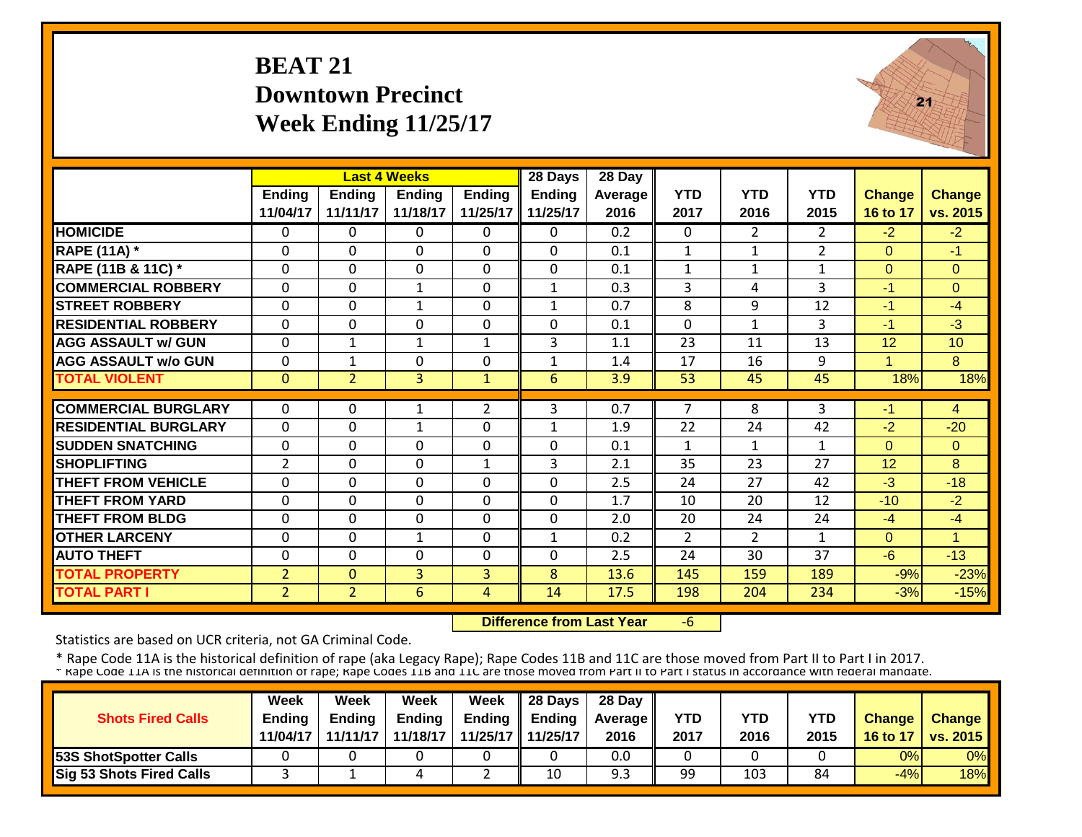#### **BEAT 21Downtown PrecinctWeek Ending 11/25/17**



|                             |                           |                           | <b>Last 4 Weeks</b>       |                           | 28 Days                   | 28 Day          |                    |                    |                    |                           |                           |
|-----------------------------|---------------------------|---------------------------|---------------------------|---------------------------|---------------------------|-----------------|--------------------|--------------------|--------------------|---------------------------|---------------------------|
|                             | <b>Ending</b><br>11/04/17 | <b>Ending</b><br>11/11/17 | <b>Ending</b><br>11/18/17 | <b>Ending</b><br>11/25/17 | <b>Ending</b><br>11/25/17 | Average<br>2016 | <b>YTD</b><br>2017 | <b>YTD</b><br>2016 | <b>YTD</b><br>2015 | <b>Change</b><br>16 to 17 | <b>Change</b><br>vs. 2015 |
| <b>HOMICIDE</b>             | $\mathbf{0}$              | 0                         | $\Omega$                  | $\Omega$                  | $\Omega$                  | 0.2             | $\Omega$           | 2                  | $\overline{2}$     | $-2$                      | $-2$                      |
| <b>RAPE (11A)</b> *         | $\mathbf{0}$              | $\Omega$                  | $\Omega$                  | $\Omega$                  | 0                         | 0.1             | $\mathbf{1}$       | $\mathbf{1}$       | $\overline{2}$     | $\Omega$                  | $-1$                      |
| RAPE (11B & 11C) *          | $\mathbf{0}$              | $\mathbf 0$               | $\mathbf 0$               | $\Omega$                  | 0                         | 0.1             | $\mathbf{1}$       | $\mathbf{1}$       | $\mathbf{1}$       | $\Omega$                  | $\Omega$                  |
| <b>COMMERCIAL ROBBERY</b>   | $\Omega$                  | $\mathbf 0$               | $\mathbf{1}$              | $\overline{0}$            | $\mathbf{1}$              | 0.3             | 3                  | 4                  | 3                  | $-1$                      | $\Omega$                  |
| <b>STREET ROBBERY</b>       | $\mathbf 0$               | $\mathbf 0$               | $\mathbf{1}$              | $\mathbf 0$               | $\mathbf{1}$              | 0.7             | 8                  | 9                  | 12                 | $-1$                      | $-4$                      |
| <b>RESIDENTIAL ROBBERY</b>  | $\mathbf 0$               | $\mathbf 0$               | $\Omega$                  | $\overline{0}$            | 0                         | 0.1             | $\mathbf 0$        | $\mathbf{1}$       | 3                  | $-1$                      | $-3$                      |
| <b>AGG ASSAULT w/ GUN</b>   | $\mathbf 0$               | 1                         | $\mathbf{1}$              | $\mathbf{1}$              | 3                         | 1.1             | 23                 | 11                 | 13                 | 12                        | 10                        |
| <b>AGG ASSAULT w/o GUN</b>  | 0                         | 1                         | $\mathbf{0}$              | $\Omega$                  | $\mathbf{1}$              | 1.4             | 17                 | 16                 | 9                  | 1                         | 8                         |
| <b>TOTAL VIOLENT</b>        | $\mathbf{0}$              | $\overline{2}$            | $\overline{3}$            | $\mathbf{1}$              | 6                         | 3.9             | 53                 | 45                 | 45                 | 18%                       | 18%                       |
| <b>COMMERCIAL BURGLARY</b>  | $\mathbf{0}$              | 0                         | 1                         | $\overline{2}$            | 3                         | 0.7             | 7                  | 8                  | 3                  | $-1$                      | 4                         |
|                             |                           |                           |                           |                           |                           |                 |                    |                    |                    |                           |                           |
| <b>RESIDENTIAL BURGLARY</b> | $\mathbf{0}$              | 0                         | $\mathbf 1$               | $\Omega$                  | $\mathbf{1}$              | 1.9             | 22                 | 24                 | 42                 | $-2$                      | $-20$                     |
| <b>SUDDEN SNATCHING</b>     | $\mathbf{0}$              | $\mathbf 0$               | $\mathbf 0$               | $\mathbf 0$               | 0                         | 0.1             | $\mathbf{1}$       | $\mathbf{1}$       | 1                  | $\Omega$                  | $\Omega$                  |
| <b>SHOPLIFTING</b>          | $\overline{2}$            | $\mathbf 0$               | $\mathbf 0$               | $\mathbf{1}$              | 3                         | 2.1             | 35                 | 23                 | 27                 | 12                        | 8                         |
| <b>THEFT FROM VEHICLE</b>   | $\mathbf{0}$              | $\Omega$                  | $\Omega$                  | $\Omega$                  | 0                         | 2.5             | 24                 | 27                 | 42                 | $-3$                      | $-18$                     |
| <b>THEFT FROM YARD</b>      | 0                         | $\mathbf 0$               | $\mathbf 0$               | $\Omega$                  | 0                         | 1.7             | 10                 | 20                 | 12                 | $-10$                     | $-2$                      |
| <b>THEFT FROM BLDG</b>      | 0                         | $\mathbf 0$               | $\mathbf{0}$              | $\Omega$                  | 0                         | 2.0             | 20                 | 24                 | 24                 | $-4$                      | $-4$                      |
| <b>OTHER LARCENY</b>        | 0                         | $\Omega$                  | $\mathbf{1}$              | $\Omega$                  | $\mathbf{1}$              | 0.2             | 2                  | $\overline{2}$     | 1                  | $\Omega$                  | $\overline{1}$            |
| <b>AUTO THEFT</b>           | 0                         | 0                         | $\mathbf{0}$              | $\Omega$                  | 0                         | 2.5             | 24                 | 30                 | 37                 | $-6$                      | $-13$                     |
| <b>TOTAL PROPERTY</b>       | $\overline{2}$            | $\Omega$                  | 3                         | 3                         | 8                         | 13.6            | 145                | 159                | 189                | $-9%$                     | $-23%$                    |
| <b>TOTAL PART I</b>         | $\overline{2}$            | $\overline{2}$            | $6\overline{6}$           | 4                         | 14                        | 17.5            | 198                | 204                | 234                | $-3%$                     | $-15%$                    |

 **Difference from Last Year**‐6

Statistics are based on UCR criteria, not GA Criminal Code.

| <b>Shots Fired Calls</b>        | Week<br><b>Endina</b><br>11/04/17 | Week<br><b>Ending</b><br>11/11/17 | Week<br><b>Ending</b><br>11/18/17 | Week | $\parallel$ 28 Days<br>Ending $\parallel$ Ending<br>11/25/17 11/25/17 | 28 Day<br><b>Average</b> II<br>2016 | YTD<br>2017 | YTD<br>2016 | YTD<br>2015 | <b>Change</b><br>16 to 17 | <b>Change</b><br><b>vs. 2015</b> |
|---------------------------------|-----------------------------------|-----------------------------------|-----------------------------------|------|-----------------------------------------------------------------------|-------------------------------------|-------------|-------------|-------------|---------------------------|----------------------------------|
| <b>53S ShotSpotter Calls</b>    |                                   |                                   |                                   |      |                                                                       | 0.0                                 |             |             |             | 0%                        | 0%                               |
| <b>Sig 53 Shots Fired Calls</b> |                                   |                                   |                                   |      | 10                                                                    | 9.3                                 | 99          | 103         | 84          | $-4%$                     | 18%                              |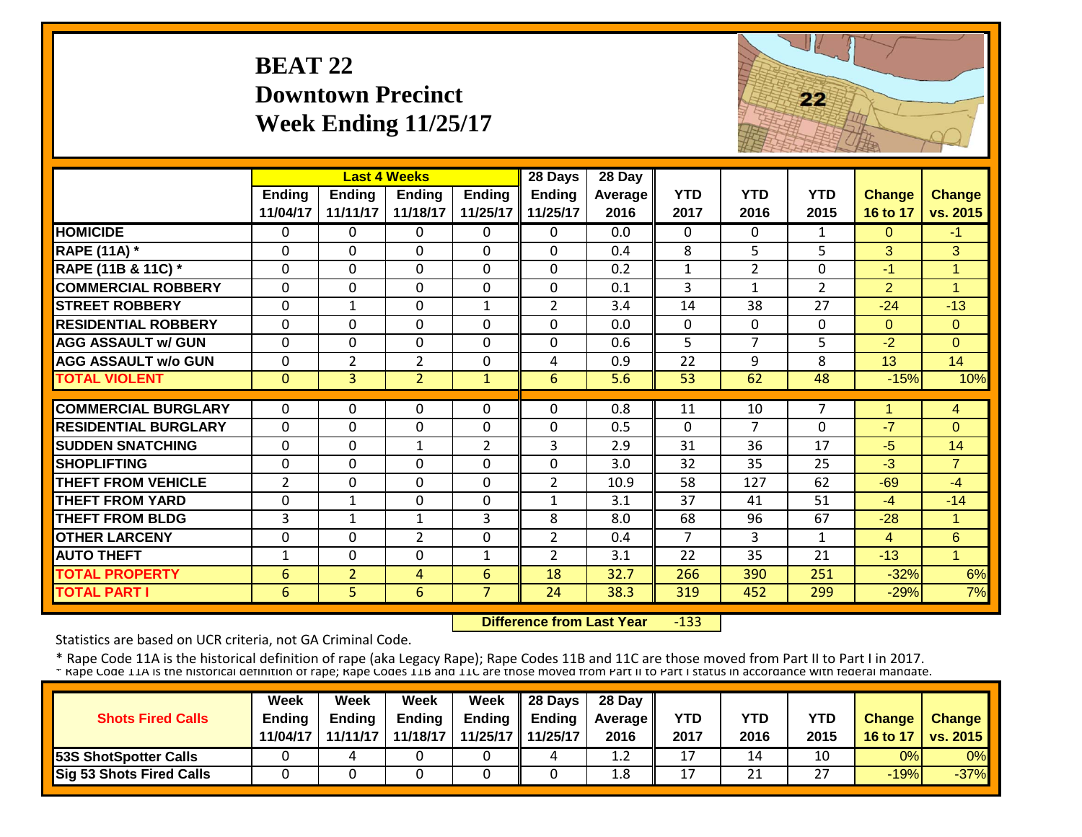#### **BEAT 22Downtown PrecinctWeek Ending 11/25/17**



|                             |                |                | <b>Last 4 Weeks</b> |                | 28 Days        | 28 Day  |              |                |                |                |                |
|-----------------------------|----------------|----------------|---------------------|----------------|----------------|---------|--------------|----------------|----------------|----------------|----------------|
|                             | <b>Ending</b>  | <b>Ending</b>  | <b>Ending</b>       | <b>Ending</b>  | <b>Ending</b>  | Average | <b>YTD</b>   | <b>YTD</b>     | <b>YTD</b>     | <b>Change</b>  | <b>Change</b>  |
|                             | 11/04/17       | 11/11/17       | 11/18/17            | 11/25/17       | 11/25/17       | 2016    | 2017         | 2016           | 2015           | 16 to 17       | vs. 2015       |
| <b>HOMICIDE</b>             | $\Omega$       | 0              | $\Omega$            | $\mathbf{0}$   | $\mathbf{0}$   | 0.0     | $\Omega$     | $\Omega$       | $\mathbf{1}$   | $\Omega$       | $-1$           |
| <b>RAPE (11A) *</b>         | $\Omega$       | $\Omega$       | $\Omega$            | $\Omega$       | $\Omega$       | 0.4     | 8            | 5              | 5              | 3              | 3              |
| RAPE (11B & 11C) *          | $\mathbf 0$    | $\Omega$       | $\mathbf 0$         | $\Omega$       | $\Omega$       | 0.2     | $\mathbf{1}$ | $\overline{2}$ | $\Omega$       | -1             | $\overline{1}$ |
| <b>COMMERCIAL ROBBERY</b>   | $\Omega$       | $\Omega$       | $\Omega$            | $\Omega$       | $\Omega$       | 0.1     | 3            | $\mathbf{1}$   | $\overline{2}$ | $\overline{2}$ | 1              |
| <b>STREET ROBBERY</b>       | $\Omega$       | $\mathbf{1}$   | 0                   | $\mathbf{1}$   | 2              | 3.4     | 14           | 38             | 27             | $-24$          | $-13$          |
| <b>RESIDENTIAL ROBBERY</b>  | $\Omega$       | $\Omega$       | $\Omega$            | $\Omega$       | $\Omega$       | 0.0     | $\Omega$     | 0              | $\Omega$       | $\Omega$       | $\Omega$       |
| <b>AGG ASSAULT w/ GUN</b>   | $\mathbf 0$    | 0              | $\mathbf 0$         | $\mathbf 0$    | $\mathbf 0$    | 0.6     | 5            | $\overline{7}$ | 5              | $-2$           | $\overline{0}$ |
| <b>AGG ASSAULT w/o GUN</b>  | $\mathbf{0}$   | $\overline{2}$ | $\overline{2}$      | $\mathbf 0$    | 4              | 0.9     | 22           | 9              | 8              | 13             | 14             |
| <b>TOTAL VIOLENT</b>        | $\mathbf{0}$   | $\overline{3}$ | $\overline{2}$      | $\mathbf{1}$   | 6              | 5.6     | 53           | 62             | 48             | $-15%$         | 10%            |
|                             |                |                |                     |                |                |         |              |                |                |                |                |
| <b>COMMERCIAL BURGLARY</b>  | $\mathbf{0}$   | 0              | $\Omega$            | $\Omega$       | 0              | 0.8     | 11           | 10             | 7              |                | 4              |
| <b>RESIDENTIAL BURGLARY</b> | $\mathbf 0$    | 0              | $\mathbf 0$         | $\mathbf 0$    | $\mathbf 0$    | 0.5     | $\mathbf 0$  | 7              | $\mathbf{0}$   | $-7$           | $\Omega$       |
| <b>SUDDEN SNATCHING</b>     | $\Omega$       | 0              | $\mathbf{1}$        | $\overline{2}$ | 3              | 2.9     | 31           | 36             | 17             | $-5$           | 14             |
| <b>SHOPLIFTING</b>          | $\Omega$       | $\Omega$       | $\mathbf 0$         | $\Omega$       | $\mathbf 0$    | 3.0     | 32           | 35             | 25             | $-3$           | $\overline{7}$ |
| <b>THEFT FROM VEHICLE</b>   | $\overline{2}$ | $\Omega$       | $\Omega$            | $\Omega$       | 2              | 10.9    | 58           | 127            | 62             | $-69$          | $-4$           |
| <b>THEFT FROM YARD</b>      | $\mathbf{0}$   | $\mathbf{1}$   | 0                   | $\mathbf 0$    | 1              | 3.1     | 37           | 41             | 51             | $-4$           | $-14$          |
| <b>THEFT FROM BLDG</b>      | 3              | $\mathbf{1}$   | 1                   | 3              | 8              | 8.0     | 68           | 96             | 67             | $-28$          | $\mathbf{1}$   |
| <b>OTHER LARCENY</b>        | $\Omega$       | $\Omega$       | $\overline{2}$      | $\Omega$       | $\overline{2}$ | 0.4     | 7            | 3              | 1              | 4              | 6              |
| <b>AUTO THEFT</b>           | $\mathbf{1}$   | 0              | $\Omega$            | 1              | $\overline{2}$ | 3.1     | 22           | 35             | 21             | $-13$          | $\mathbf{1}$   |
| <b>TOTAL PROPERTY</b>       | 6              | 2              | 4                   | 6              | 18             | 32.7    | 266          | 390            | 251            | $-32%$         | 6%             |
| <b>TOTAL PART I</b>         | 6              | 5              | $6\phantom{1}$      | $\overline{7}$ | 24             | 38.3    | 319          | 452            | 299            | $-29%$         | 7%             |

 **Difference from Last Year**‐133

Statistics are based on UCR criteria, not GA Criminal Code.

| <b>Shots Fired Calls</b>        | <b>Week</b><br><b>Endina</b><br>11/04/17 | Week<br><b>Ending</b><br>11/11/17 | Week<br><b>Ending</b><br>11/18/17 | Week | $\parallel$ 28 Days<br>Ending $\parallel$ Ending<br>11/25/17 11/25/17 | 28 Day<br><b>Average</b> II<br>2016 | YTD<br>2017 | YTD<br>2016 | YTD<br>2015 | <b>Change</b><br>16 to 17 | <b>Change</b><br><b>vs. 2015</b> |
|---------------------------------|------------------------------------------|-----------------------------------|-----------------------------------|------|-----------------------------------------------------------------------|-------------------------------------|-------------|-------------|-------------|---------------------------|----------------------------------|
| <b>53S ShotSpotter Calls</b>    |                                          |                                   |                                   |      | 4                                                                     | 1.2                                 | 17          | 14          | 10          | 0%                        | $0\%$                            |
| <b>Sig 53 Shots Fired Calls</b> |                                          |                                   |                                   |      |                                                                       | 1.8                                 | 17          | 21          | דר          | $-19%$                    | $-37%$                           |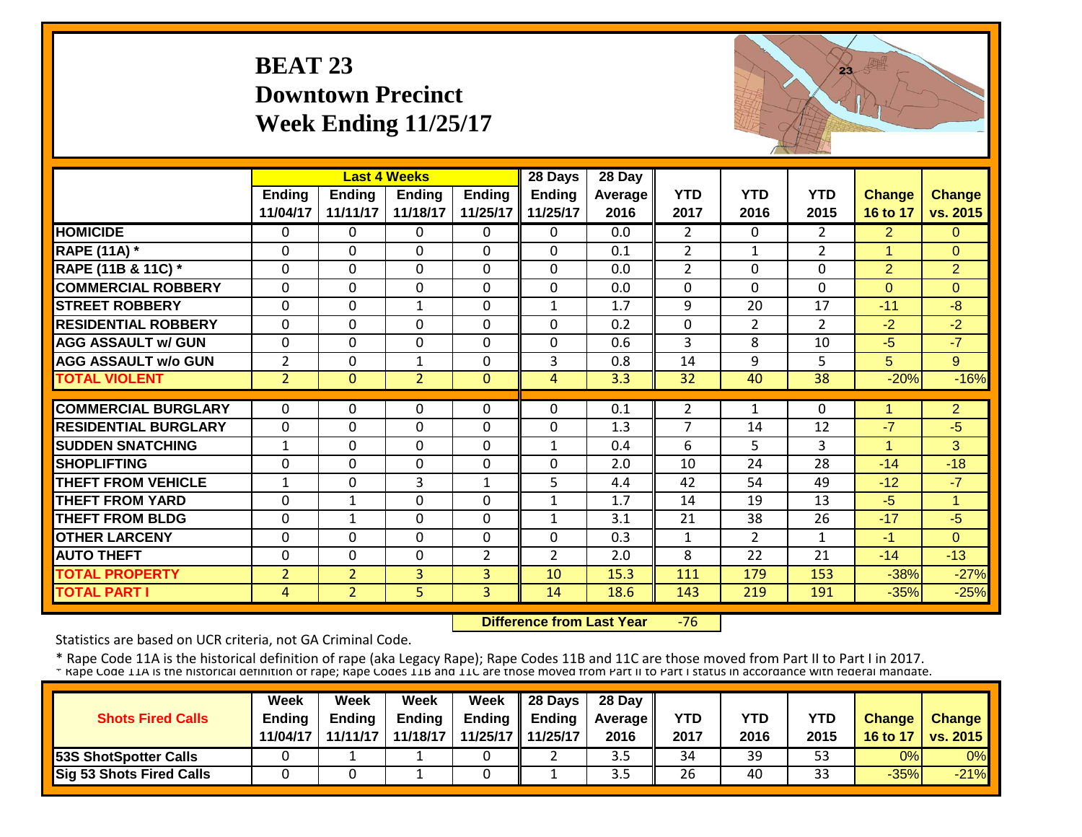#### **BEAT 23 Downtown PrecinctWeek Ending 11/25/17**



|                             |                |                | <b>Last 4 Weeks</b> |                | 28 Days        | 28 Day  |                |                |                |                |                |
|-----------------------------|----------------|----------------|---------------------|----------------|----------------|---------|----------------|----------------|----------------|----------------|----------------|
|                             | Ending         | <b>Ending</b>  | Ending              | <b>Ending</b>  | <b>Ending</b>  | Average | <b>YTD</b>     | <b>YTD</b>     | <b>YTD</b>     | <b>Change</b>  | <b>Change</b>  |
|                             | 11/04/17       | 11/11/17       | 11/18/17            | 11/25/17       | 11/25/17       | 2016    | 2017           | 2016           | 2015           | 16 to 17       | vs. 2015       |
| <b>HOMICIDE</b>             | $\Omega$       | 0              | $\Omega$            | $\Omega$       | 0              | 0.0     | $\overline{2}$ | $\Omega$       | $\overline{2}$ | $\overline{2}$ | $\Omega$       |
| <b>RAPE (11A) *</b>         | $\Omega$       | 0              | $\Omega$            | $\Omega$       | $\mathbf 0$    | 0.1     | 2              | 1              | $\overline{2}$ | $\mathbf{1}$   | $\Omega$       |
| RAPE (11B & 11C) *          | $\mathbf 0$    | 0              | $\Omega$            | $\Omega$       | $\mathbf 0$    | 0.0     | $\overline{2}$ | $\Omega$       | $\Omega$       | $\overline{2}$ | $\overline{2}$ |
| <b>COMMERCIAL ROBBERY</b>   | $\mathbf 0$    | 0              | $\Omega$            | $\Omega$       | $\mathbf 0$    | 0.0     | $\Omega$       | $\Omega$       | $\mathbf{0}$   | $\Omega$       | $\Omega$       |
| <b>STREET ROBBERY</b>       | $\mathbf{0}$   | $\mathbf 0$    | $\mathbf{1}$        | $\Omega$       | $\mathbf{1}$   | 1.7     | 9              | 20             | 17             | $-11$          | $-8$           |
| <b>RESIDENTIAL ROBBERY</b>  | $\Omega$       | 0              | $\Omega$            | $\Omega$       | 0              | 0.2     | $\mathbf 0$    | $\overline{2}$ | $\overline{2}$ | $-2$           | $-2$           |
| <b>AGG ASSAULT w/ GUN</b>   | $\mathbf 0$    | 0              | $\Omega$            | $\mathbf 0$    | 0              | 0.6     | 3              | 8              | 10             | $-5$           | $-7$           |
| <b>AGG ASSAULT w/o GUN</b>  | $\overline{2}$ | 0              | $\mathbf{1}$        | $\mathbf 0$    | 3              | 0.8     | 14             | 9              | 5              | 5              | 9              |
| <b>TOTAL VIOLENT</b>        | $\overline{2}$ | $\overline{0}$ | $\overline{2}$      | $\mathbf{0}$   | $\overline{4}$ | 3.3     | 32             | 40             | 38             | $-20%$         | $-16%$         |
|                             |                |                |                     |                |                |         |                |                |                |                |                |
| <b>COMMERCIAL BURGLARY</b>  | $\Omega$       | 0              | $\Omega$            | $\Omega$       | 0              | 0.1     | 2              | 1              | 0              | 1              | $\overline{2}$ |
| <b>RESIDENTIAL BURGLARY</b> | $\mathbf{0}$   | 0              | $\Omega$            | $\Omega$       | $\Omega$       | 1.3     | $\overline{7}$ | 14             | 12             | $-7$           | $-5$           |
| <b>SUDDEN SNATCHING</b>     | 1              | 0              | $\Omega$            | $\mathbf 0$    | 1              | 0.4     | 6              | 5.             | 3              |                | 3              |
| <b>SHOPLIFTING</b>          | $\Omega$       | 0              | $\Omega$            | $\Omega$       | $\mathbf 0$    | 2.0     | 10             | 24             | 28             | $-14$          | $-18$          |
| <b>THEFT FROM VEHICLE</b>   | 1              | 0              | 3                   | $\mathbf{1}$   | 5              | 4.4     | 42             | 54             | 49             | $-12$          | $-7$           |
| <b>THEFT FROM YARD</b>      | $\Omega$       | 1              | $\Omega$            | $\Omega$       | $\mathbf{1}$   | 1.7     | 14             | 19             | 13             | $-5$           | 1              |
| <b>THEFT FROM BLDG</b>      | $\Omega$       | 1              | $\Omega$            | 0              | $\mathbf{1}$   | 3.1     | 21             | 38             | 26             | $-17$          | $-5$           |
| <b>OTHER LARCENY</b>        | $\Omega$       | 0              | $\Omega$            | $\Omega$       | $\Omega$       | 0.3     | $\mathbf{1}$   | $\overline{2}$ | $\mathbf{1}$   | $-1$           | $\Omega$       |
| <b>AUTO THEFT</b>           | $\mathbf 0$    | 0              | $\mathbf 0$         | $\overline{2}$ | $\overline{2}$ | 2.0     | 8              | 22             | 21             | $-14$          | $-13$          |
| <b>TOTAL PROPERTY</b>       | $\overline{2}$ | $\overline{2}$ | 3                   | 3              | 10             | 15.3    | 111            | 179            | 153            | $-38%$         | $-27%$         |
| <b>TOTAL PART I</b>         | $\overline{4}$ | $\overline{2}$ | 5                   | $\overline{3}$ | 14             | 18.6    | 143            | 219            | 191            | $-35%$         | $-25%$         |

 **Difference from Last Year** $-76$ 

Statistics are based on UCR criteria, not GA Criminal Code.

|                                 | Week          | Week          | Week          | <b>Week</b> | $\parallel$ 28 Days       | 28 Day            |      |      |      |               |                 |
|---------------------------------|---------------|---------------|---------------|-------------|---------------------------|-------------------|------|------|------|---------------|-----------------|
| <b>Shots Fired Calls</b>        | <b>Endina</b> | <b>Ending</b> | <b>Ending</b> |             | Ending $\parallel$ Ending | <b>Average</b> II | YTD  | YTD  | YTD  | <b>Change</b> | <b>Change</b>   |
|                                 | 11/04/17      | 11/11/17      | 11/18/17      |             | 11/25/17 11/25/17         | 2016              | 2017 | 2016 | 2015 | 16 to 17      | <b>vs. 2015</b> |
| <b>53S ShotSpotter Calls</b>    |               |               |               |             |                           | ں د               | 34   | 39   | 53   | 0%            | 0%              |
| <b>Sig 53 Shots Fired Calls</b> |               |               |               |             |                           | ں د               | 26   | 40   | 33   | $-35%$        | $-21%$          |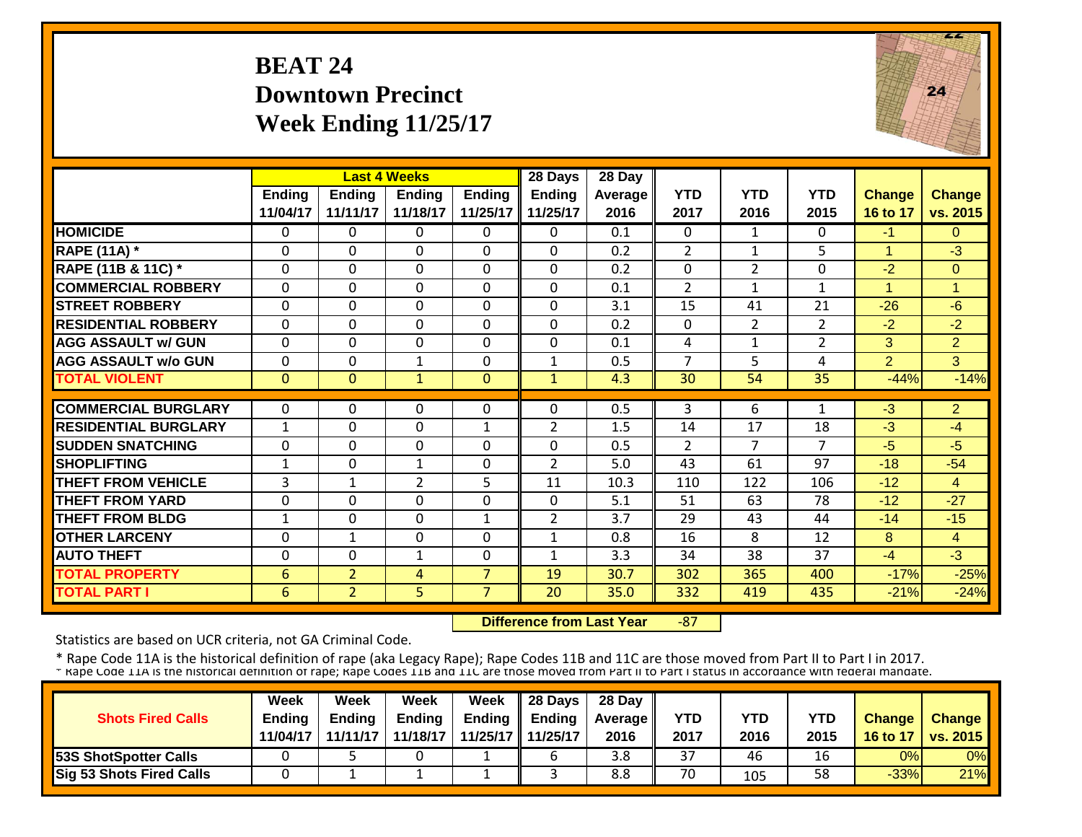#### **BEAT 24Downtown PrecinctWeek Ending 11/25/17**



|                             |               |                | <b>Last 4 Weeks</b> |                | 28 Days        | 28 Day  |                |                |                |                      |                |
|-----------------------------|---------------|----------------|---------------------|----------------|----------------|---------|----------------|----------------|----------------|----------------------|----------------|
|                             | <b>Ending</b> | <b>Ending</b>  | <b>Ending</b>       | <b>Ending</b>  | <b>Ending</b>  | Average | <b>YTD</b>     | <b>YTD</b>     | <b>YTD</b>     | <b>Change</b>        | <b>Change</b>  |
|                             | 11/04/17      | 11/11/17       | 11/18/17            | 11/25/17       | 11/25/17       | 2016    | 2017           | 2016           | 2015           | 16 to 17             | vs. 2015       |
| <b>HOMICIDE</b>             | $\mathbf{0}$  | 0              | $\Omega$            | $\Omega$       | $\Omega$       | 0.1     | $\mathbf{0}$   | 1              | 0              | $-1$                 | $\Omega$       |
| <b>RAPE (11A) *</b>         | $\Omega$      | $\Omega$       | $\Omega$            | $\Omega$       | $\Omega$       | 0.2     | $\overline{2}$ | 1              | 5              | $\blacktriangleleft$ | $-3$           |
| RAPE (11B & 11C) *          | $\mathbf 0$   | 0              | $\mathbf 0$         | $\Omega$       | $\mathbf 0$    | 0.2     | 0              | $\overline{2}$ | 0              | $-2$                 | $\Omega$       |
| <b>COMMERCIAL ROBBERY</b>   | $\Omega$      | 0              | $\Omega$            | $\Omega$       | $\Omega$       | 0.1     | $\overline{2}$ | 1              | $\mathbf{1}$   | 4                    | 1              |
| <b>STREET ROBBERY</b>       | 0             | 0              | $\mathbf 0$         | $\mathbf 0$    | $\mathbf 0$    | 3.1     | 15             | 41             | 21             | $-26$                | $-6$           |
| <b>RESIDENTIAL ROBBERY</b>  | $\Omega$      | 0              | $\Omega$            | $\Omega$       | $\Omega$       | 0.2     | $\mathbf{0}$   | $\overline{2}$ | 2              | $-2$                 | $-2$           |
| <b>AGG ASSAULT w/ GUN</b>   | $\Omega$      | 0              | $\Omega$            | 0              | $\Omega$       | 0.1     | 4              | $\mathbf{1}$   | $\overline{2}$ | 3                    | $\overline{2}$ |
| <b>AGG ASSAULT w/o GUN</b>  | $\Omega$      | 0              | $\mathbf{1}$        | 0              | 1              | 0.5     | $\overline{7}$ | 5              | 4              | $\overline{2}$       | 3              |
| <b>TOTAL VIOLENT</b>        | $\mathbf{0}$  | $\Omega$       | $\mathbf{1}$        | $\Omega$       | $\mathbf{1}$   | 4.3     | 30             | 54             | 35             | $-44%$               | $-14%$         |
|                             |               |                |                     |                |                |         |                |                |                |                      |                |
| <b>COMMERCIAL BURGLARY</b>  | $\mathbf{0}$  | 0              | 0                   | 0              | $\Omega$       | 0.5     | 3              | 6              | 1              | $-3$                 | $\overline{2}$ |
| <b>RESIDENTIAL BURGLARY</b> | 1             | 0              | 0                   | 1              | 2              | 1.5     | 14             | 17             | 18             | $-3$                 | $-4$           |
| <b>SUDDEN SNATCHING</b>     | $\Omega$      | 0              | 0                   | $\Omega$       | $\mathbf 0$    | 0.5     | 2              | 7              | 7              | $-5$                 | $-5$           |
| <b>SHOPLIFTING</b>          | $\mathbf{1}$  | 0              | 1                   | 0              | $\overline{2}$ | 5.0     | 43             | 61             | 97             | $-18$                | $-54$          |
| <b>THEFT FROM VEHICLE</b>   | 3             | 1              | $\overline{2}$      | 5.             | 11             | 10.3    | 110            | 122            | 106            | $-12$                | 4              |
| <b>THEFT FROM YARD</b>      | $\Omega$      | 0              | $\Omega$            | $\Omega$       | $\Omega$       | 5.1     | 51             | 63             | 78             | $-12$                | $-27$          |
| <b>THEFT FROM BLDG</b>      | 1             | 0              | $\Omega$            | 1              | 2              | 3.7     | 29             | 43             | 44             | $-14$                | $-15$          |
| <b>OTHER LARCENY</b>        | $\Omega$      | 1              | $\Omega$            | $\Omega$       | $\mathbf{1}$   | 0.8     | 16             | 8              | 12             | 8                    | $\overline{4}$ |
| <b>AUTO THEFT</b>           | $\Omega$      | 0              | $\mathbf{1}$        | $\Omega$       | $\mathbf{1}$   | 3.3     | 34             | 38             | 37             | $-4$                 | $-3$           |
| <b>TOTAL PROPERTY</b>       | 6             | $\overline{2}$ | 4                   | $\overline{7}$ | 19             | 30.7    | 302            | 365            | 400            | $-17%$               | $-25%$         |
| <b>TOTAL PART I</b>         | 6             | $\overline{2}$ | 5                   | $\overline{7}$ | 20             | 35.0    | 332            | 419            | 435            | $-21%$               | $-24%$         |

 **Difference from Last Year** $-87$ 

Statistics are based on UCR criteria, not GA Criminal Code.

|                              | <b>Week</b>   | Week          | Week          | Week                | $\parallel$ 28 Days       | 28 Day            |            |      |      |               |                 |
|------------------------------|---------------|---------------|---------------|---------------------|---------------------------|-------------------|------------|------|------|---------------|-----------------|
| <b>Shots Fired Calls</b>     | <b>Endina</b> | <b>Ending</b> | <b>Ending</b> |                     | Ending $\parallel$ Ending | <b>Average</b> II | <b>YTD</b> | YTD  | YTD  | <b>Change</b> | <b>Change</b>   |
|                              | 11/04/17      | 11/11/17      | 11/18/17      | 11/25/17   11/25/17 |                           | 2016              | 2017       | 2016 | 2015 | 16 to 17      | <b>vs. 2015</b> |
| <b>53S ShotSpotter Calls</b> |               |               |               |                     |                           | 3.8               | 37         | 46   | 16   | 0%            | 0%              |
| Sig 53 Shots Fired Calls     |               |               |               |                     |                           | 8.8               | 70         | 105  | 58   | $-33%$        | 21%             |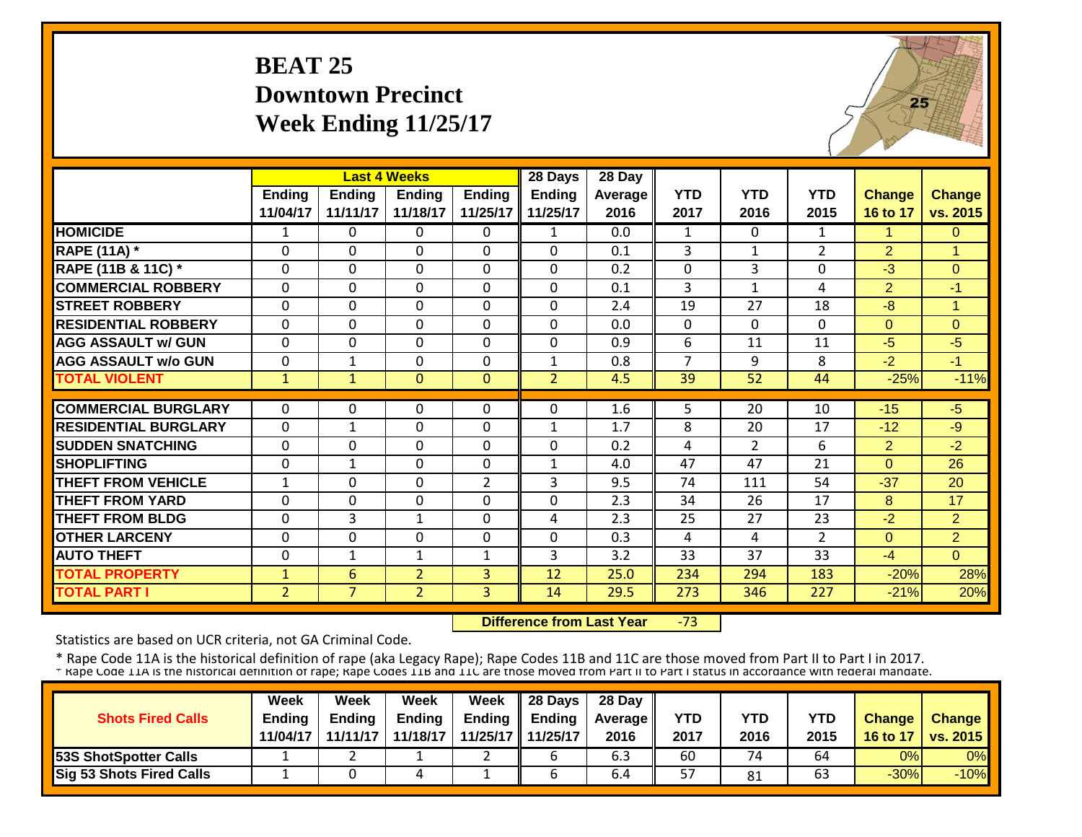#### **BEAT 25Downtown PrecinctWeek Ending 11/25/17**



|                             |                | <b>Last 4 Weeks</b> |                |                | 28 Days        | 28 Day  |                |                |                |                |                |
|-----------------------------|----------------|---------------------|----------------|----------------|----------------|---------|----------------|----------------|----------------|----------------|----------------|
|                             | <b>Ending</b>  | <b>Ending</b>       | <b>Endina</b>  | <b>Ending</b>  | <b>Ending</b>  | Average | <b>YTD</b>     | <b>YTD</b>     | <b>YTD</b>     | <b>Change</b>  | <b>Change</b>  |
|                             | 11/04/17       | 11/11/17            | 11/18/17       | 11/25/17       | 11/25/17       | 2016    | 2017           | 2016           | 2015           | 16 to 17       | vs. 2015       |
| <b>HOMICIDE</b>             | 1              | $\Omega$            | $\Omega$       | $\Omega$       | $\mathbf{1}$   | 0.0     | $\mathbf{1}$   | $\Omega$       | $\mathbf{1}$   | 1              | $\Omega$       |
| <b>RAPE (11A) *</b>         | $\Omega$       | $\Omega$            | $\Omega$       | $\Omega$       | $\Omega$       | 0.1     | 3              | $\mathbf{1}$   | $\overline{2}$ | $\overline{2}$ | 1              |
| RAPE (11B & 11C) *          | $\Omega$       | $\mathbf 0$         | $\mathbf{0}$   | $\Omega$       | $\Omega$       | 0.2     | $\Omega$       | 3              | 0              | $-3$           | $\Omega$       |
| <b>COMMERCIAL ROBBERY</b>   | $\Omega$       | $\Omega$            | $\Omega$       | $\Omega$       | $\Omega$       | 0.1     | 3              | $\mathbf{1}$   | 4              | $\overline{2}$ | $-1$           |
| <b>STREET ROBBERY</b>       | $\mathbf{0}$   | $\mathbf 0$         | $\Omega$       | $\Omega$       | $\Omega$       | 2.4     | 19             | 27             | 18             | $-8$           | 1              |
| <b>RESIDENTIAL ROBBERY</b>  | $\Omega$       | $\Omega$            | $\Omega$       | $\Omega$       | $\Omega$       | 0.0     | $\Omega$       | $\Omega$       | $\Omega$       | $\Omega$       | $\Omega$       |
| <b>AGG ASSAULT w/ GUN</b>   | $\Omega$       | $\Omega$            | $\Omega$       | 0              | $\Omega$       | 0.9     | 6              | 11             | 11             | $-5$           | $-5$           |
| <b>AGG ASSAULT w/o GUN</b>  | 0              | 1                   | $\Omega$       | 0              | $\mathbf{1}$   | 0.8     | $\overline{7}$ | 9              | 8              | $-2$           | $-1$           |
| <b>TOTAL VIOLENT</b>        | $\mathbf{1}$   | $\mathbf{1}$        | $\mathbf{0}$   | $\Omega$       | $\overline{2}$ | 4.5     | 39             | 52             | 44             | $-25%$         | $-11%$         |
|                             |                |                     |                |                |                |         |                |                |                |                |                |
| <b>COMMERCIAL BURGLARY</b>  | $\Omega$       | 0                   | 0              | 0              | $\Omega$       | 1.6     | 5              | 20             | 10             | $-15$          | $-5$           |
| <b>RESIDENTIAL BURGLARY</b> | $\Omega$       | 1                   | $\Omega$       | 0              | 1              | 1.7     | 8              | 20             | 17             | $-12$          | $-9$           |
| <b>SUDDEN SNATCHING</b>     | $\Omega$       | $\Omega$            | $\Omega$       | 0              | $\Omega$       | 0.2     | $\overline{4}$ | $\overline{2}$ | 6              | $\overline{2}$ | $-2$           |
| <b>SHOPLIFTING</b>          | 0              | $\mathbf 1$         | $\mathbf{0}$   | $\Omega$       | 1              | 4.0     | 47             | 47             | 21             | $\Omega$       | 26             |
| <b>THEFT FROM VEHICLE</b>   | $\mathbf{1}$   | $\mathbf 0$         | $\mathbf{0}$   | $\overline{2}$ | 3              | 9.5     | 74             | 111            | 54             | $-37$          | 20             |
| <b>THEFT FROM YARD</b>      | $\mathbf{0}$   | $\mathbf 0$         | $\mathbf 0$    | 0              | 0              | 2.3     | 34             | 26             | 17             | 8              | 17             |
| <b>THEFT FROM BLDG</b>      | $\mathbf{0}$   | 3                   | 1              | 0              | 4              | 2.3     | 25             | 27             | 23             | $-2$           | $\overline{2}$ |
| <b>OTHER LARCENY</b>        | $\Omega$       | $\Omega$            | $\Omega$       | $\Omega$       | $\Omega$       | 0.3     | 4              | 4              | $\overline{2}$ | $\Omega$       | $\overline{2}$ |
| <b>AUTO THEFT</b>           | $\Omega$       | 1                   | 1              | 1              | 3              | 3.2     | 33             | 37             | 33             | $-4$           | $\Omega$       |
| <b>TOTAL PROPERTY</b>       | $\mathbf{1}$   | 6                   | $\overline{2}$ | 3              | 12             | 25.0    | 234            | 294            | 183            | $-20%$         | 28%            |
| <b>TOTAL PART I</b>         | $\overline{2}$ | $\overline{7}$      | $\overline{2}$ | 3              | 14             | 29.5    | 273            | 346            | 227            | $-21%$         | 20%            |

 **Difference from Last Year**‐73

Statistics are based on UCR criteria, not GA Criminal Code.

|                                 | Week          | Week          | Week          | <b>Week</b> | $\parallel$ 28 Days       | 28 Day            |            |      |      |               |                 |
|---------------------------------|---------------|---------------|---------------|-------------|---------------------------|-------------------|------------|------|------|---------------|-----------------|
| <b>Shots Fired Calls</b>        | <b>Endina</b> | <b>Ending</b> | <b>Ending</b> |             | Ending $\parallel$ Ending | <b>Average</b> II | <b>YTD</b> | YTD  | YTD  | <b>Change</b> | <b>Change</b>   |
|                                 | 11/04/17      | 11/11/17      | 11/18/17      |             | 11/25/17 11/25/17         | 2016              | 2017       | 2016 | 2015 | 16 to 17      | <b>vs. 2015</b> |
| <b>53S ShotSpotter Calls</b>    |               |               |               |             |                           | 6.3               | 60         | 74   | 64   | 0%            | 0%              |
| <b>Sig 53 Shots Fired Calls</b> |               |               |               |             |                           | 6.4               | 57         | 81   | 63   | $-30%$        | $-10%$          |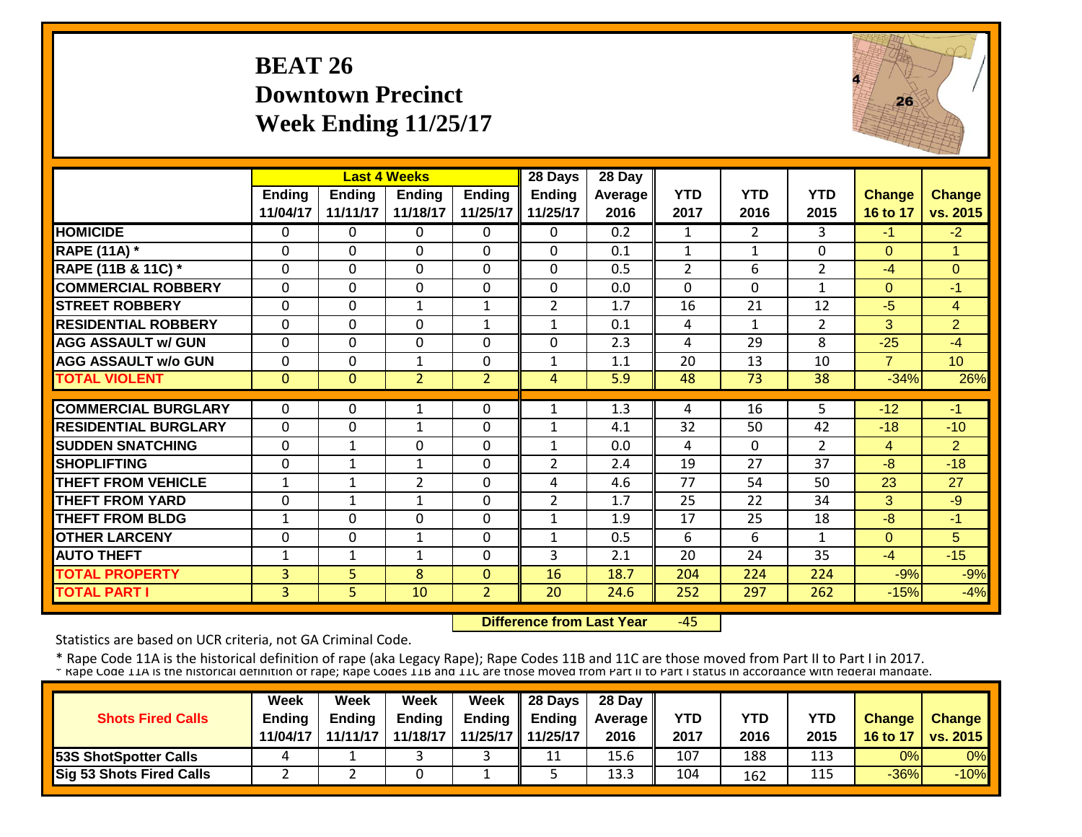#### **BEAT 26 Downtown PrecinctWeek Ending 11/25/17**



|                             |                |               | <b>Last 4 Weeks</b> |                | 28 Days        | 28 Day  |                |                |                |                |                 |
|-----------------------------|----------------|---------------|---------------------|----------------|----------------|---------|----------------|----------------|----------------|----------------|-----------------|
|                             | <b>Ending</b>  | <b>Ending</b> | <b>Ending</b>       | <b>Ending</b>  | <b>Ending</b>  | Average | <b>YTD</b>     | <b>YTD</b>     | <b>YTD</b>     | <b>Change</b>  | <b>Change</b>   |
|                             | 11/04/17       | 11/11/17      | 11/18/17            | 11/25/17       | 11/25/17       | 2016    | 2017           | 2016           | 2015           | 16 to 17       | vs. 2015        |
| <b>HOMICIDE</b>             | $\mathbf{0}$   | 0             | 0                   | 0              | 0              | 0.2     | 1              | $\overline{2}$ | 3              | $-1$           | $-2$            |
| <b>RAPE (11A) *</b>         | $\mathbf 0$    | 0             | 0                   | $\mathbf 0$    | 0              | 0.1     | $\mathbf{1}$   | 1              | 0              | $\Omega$       | 1               |
| RAPE (11B & 11C) *          | $\Omega$       | $\Omega$      | $\Omega$            | $\Omega$       | $\Omega$       | 0.5     | $\overline{2}$ | 6              | $\overline{2}$ | $-4$           | $\overline{0}$  |
| <b>COMMERCIAL ROBBERY</b>   | $\Omega$       | $\Omega$      | $\Omega$            | $\Omega$       | $\Omega$       | 0.0     | $\Omega$       | $\Omega$       | 1              | $\Omega$       | -1              |
| <b>STREET ROBBERY</b>       | $\Omega$       | 0             | $\mathbf{1}$        | $\mathbf{1}$   | $\overline{2}$ | 1.7     | 16             | 21             | 12             | $-5$           | $\overline{4}$  |
| <b>RESIDENTIAL ROBBERY</b>  | $\Omega$       | 0             | $\Omega$            | $\mathbf{1}$   | $\mathbf{1}$   | 0.1     | 4              | 1              | $\overline{2}$ | 3              | $\overline{2}$  |
| <b>AGG ASSAULT w/ GUN</b>   | $\Omega$       | 0             | $\mathbf 0$         | $\Omega$       | $\Omega$       | 2.3     | 4              | 29             | 8              | $-25$          | $-4$            |
| <b>AGG ASSAULT w/o GUN</b>  | $\Omega$       | 0             | $\mathbf{1}$        | $\Omega$       | $\mathbf{1}$   | 1.1     | 20             | 13             | 10             | $\overline{7}$ | 10 <sup>°</sup> |
| <b>TOTAL VIOLENT</b>        | $\mathbf{0}$   | $\Omega$      | $\overline{2}$      | $\overline{2}$ | 4              | 5.9     | 48             | 73             | 38             | $-34%$         | 26%             |
|                             |                |               |                     |                |                |         |                |                |                |                |                 |
| <b>COMMERCIAL BURGLARY</b>  | $\mathbf{0}$   | 0             | 1                   | 0              | $\mathbf{1}$   | 1.3     | 4              | 16             | 5              | $-12$          | $-1$            |
| <b>RESIDENTIAL BURGLARY</b> | $\mathbf{0}$   | 0             | $\mathbf 1$         | 0              | $\mathbf{1}$   | 4.1     | 32             | 50             | 42             | $-18$          | $-10$           |
| <b>SUDDEN SNATCHING</b>     | $\Omega$       | $\mathbf{1}$  | 0                   | 0              | $\mathbf{1}$   | 0.0     | 4              | $\Omega$       | $\overline{2}$ | $\overline{4}$ | $\overline{2}$  |
| <b>SHOPLIFTING</b>          | $\mathbf{0}$   | $\mathbf{1}$  | $\mathbf{1}$        | $\Omega$       | $\overline{2}$ | 2.4     | 19             | 27             | 37             | $-8$           | $-18$           |
| <b>THEFT FROM VEHICLE</b>   | $\mathbf 1$    | 1             | $\overline{2}$      | $\Omega$       | 4              | 4.6     | 77             | 54             | 50             | 23             | 27              |
| <b>THEFT FROM YARD</b>      | $\Omega$       | 1             | 1                   | $\Omega$       | $\overline{2}$ | 1.7     | 25             | 22             | 34             | 3              | $-9$            |
| <b>THEFT FROM BLDG</b>      | $\mathbf 1$    | 0             | 0                   | $\Omega$       | 1              | 1.9     | 17             | 25             | 18             | -8             | -1              |
| <b>OTHER LARCENY</b>        | $\Omega$       | 0             | 1                   | $\Omega$       | $\mathbf{1}$   | 0.5     | 6              | 6              | 1              | $\Omega$       | 5               |
| <b>AUTO THEFT</b>           | 1              | 1             | $\mathbf{1}$        | 0              | 3              | 2.1     | 20             | 24             | 35             | $-4$           | $-15$           |
| <b>TOTAL PROPERTY</b>       | 3              | 5             | 8                   | $\Omega$       | 16             | 18.7    | 204            | 224            | 224            | $-9%$          | $-9%$           |
| <b>TOTAL PART I</b>         | $\overline{3}$ | 5.            | 10                  | $\overline{2}$ | 20             | 24.6    | 252            | 297            | 262            | $-15%$         | $-4%$           |

 **Difference from Last Year** $-45$ 

Statistics are based on UCR criteria, not GA Criminal Code.

|                              | <b>Week</b>   | Week          | Week          | Week              | $\parallel$ 28 Days       | 28 Day            |            |      |      |               |                 |
|------------------------------|---------------|---------------|---------------|-------------------|---------------------------|-------------------|------------|------|------|---------------|-----------------|
| <b>Shots Fired Calls</b>     | <b>Endina</b> | <b>Ending</b> | <b>Ending</b> |                   | Ending $\parallel$ Ending | <b>Average</b> II | <b>YTD</b> | YTD  | YTD  | <b>Change</b> | <b>Change</b>   |
|                              | 11/04/17      | 11/11/17      | 11/18/17      | 11/25/17 11/25/17 |                           | 2016              | 2017       | 2016 | 2015 | 16 to 17      | <b>vs. 2015</b> |
| <b>53S ShotSpotter Calls</b> |               |               |               |                   | 11                        | 15.6              | 107        | 188  | 113  | 0%            | 0%              |
| Sig 53 Shots Fired Calls     |               |               |               |                   |                           | 13.3              | 104        | 162  | 115  | $-36%$        | $-10%$          |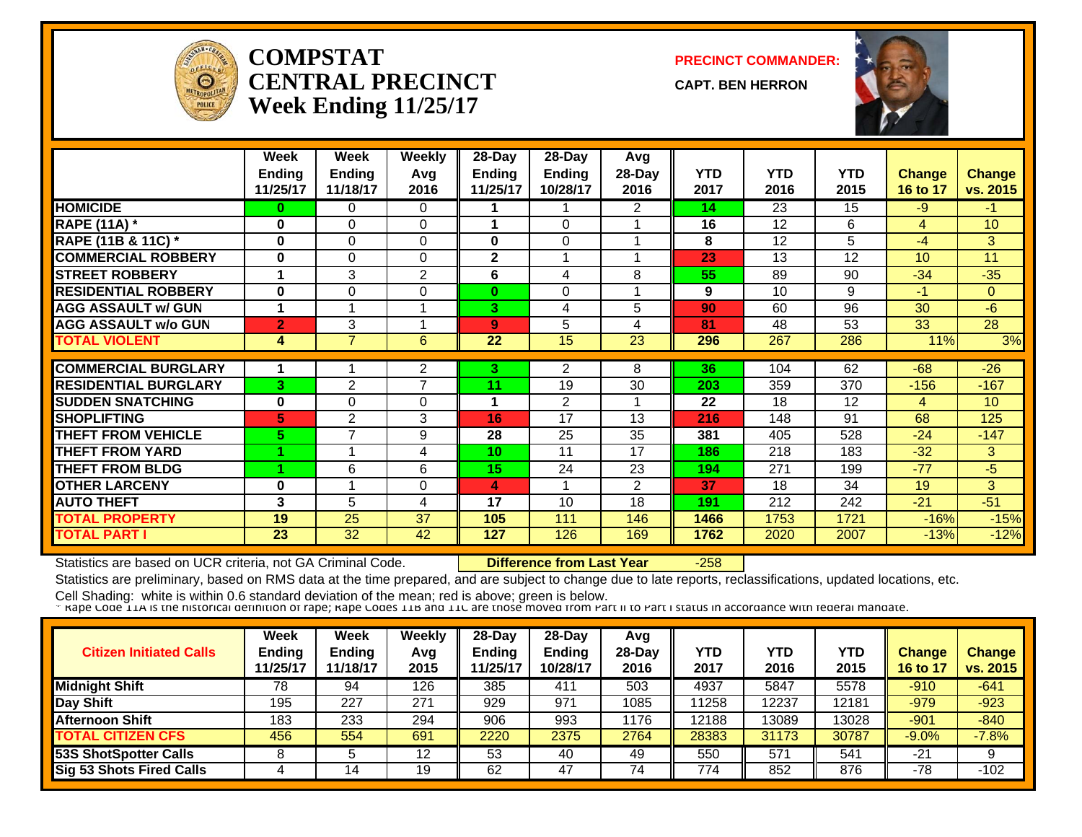

#### **COMPSTATCENTRAL PRECINCTWeek Ending 11/25/17**

**PRECINCT COMMANDER:**

**CAPT. BEN HERRON**



|                             | Week<br><b>Ending</b><br>11/25/17 | Week<br><b>Ending</b><br>11/18/17 | <b>Weekly</b><br>Avg<br>2016 | $28 - Day$<br><b>Ending</b><br>11/25/17 | 28-Day<br><b>Ending</b><br>10/28/17 | Avg<br>28-Day<br>2016 | <b>YTD</b><br>2017 | <b>YTD</b><br>2016 | <b>YTD</b><br>2015 | Change<br>16 to 17 | Change<br>vs. 2015 |
|-----------------------------|-----------------------------------|-----------------------------------|------------------------------|-----------------------------------------|-------------------------------------|-----------------------|--------------------|--------------------|--------------------|--------------------|--------------------|
| <b>HOMICIDE</b>             | 0                                 | $\Omega$                          | 0                            |                                         |                                     | $\overline{2}$        | 14                 | 23                 | 15                 | -9                 | $-1$               |
| <b>RAPE (11A)</b> *         | $\bf{0}$                          | $\Omega$                          | $\Omega$                     | -4                                      | $\Omega$                            |                       | 16                 | 12                 | 6                  | $\overline{4}$     | 10                 |
| RAPE (11B & 11C) *          | $\bf{0}$                          | $\Omega$                          | $\Omega$                     | $\bf{0}$                                | $\Omega$                            |                       | 8                  | 12                 | 5                  | $-4$               | 3                  |
| <b>COMMERCIAL ROBBERY</b>   | $\bf{0}$                          | $\Omega$                          | $\Omega$                     | $\mathbf{2}$                            |                                     |                       | 23                 | 13                 | 12                 | 10                 | 11                 |
| <b>STREET ROBBERY</b>       |                                   | 3                                 | $\overline{2}$               | 6                                       | 4                                   | 8                     | 55                 | 89                 | 90                 | $-34$              | $-35$              |
| <b>RESIDENTIAL ROBBERY</b>  | $\bf{0}$                          | $\Omega$                          | $\Omega$                     | $\bf{0}$                                | $\Omega$                            |                       | 9                  | 10                 | 9                  | $-1$               | $\overline{0}$     |
| <b>AGG ASSAULT w/ GUN</b>   |                                   |                                   |                              | 3 <sup>1</sup>                          | 4                                   | 5                     | 90                 | 60                 | 96                 | 30                 | $-6$               |
| <b>AGG ASSAULT w/o GUN</b>  | 2                                 | 3                                 |                              | 9                                       | 5                                   | 4                     | 81                 | 48                 | 53                 | 33                 | $\overline{28}$    |
| <b>TOTAL VIOLENT</b>        | 4                                 | 7                                 | 6                            | 22                                      | 15                                  | $\overline{23}$       | 296                | 267                | 286                | 11%                | 3%                 |
|                             |                                   |                                   |                              |                                         |                                     |                       |                    |                    |                    |                    |                    |
| <b>COMMERCIAL BURGLARY</b>  |                                   |                                   | 2                            | 3.                                      | $\overline{2}$                      | 8                     | 36                 | 104                | 62                 | $-68$              | $-26$              |
| <b>RESIDENTIAL BURGLARY</b> | 3                                 | $\overline{2}$                    | 7                            | 11                                      | 19                                  | 30                    | 203                | 359                | 370                | $-156$             | $-167$             |
| <b>SUDDEN SNATCHING</b>     | $\mathbf 0$                       | $\Omega$                          | 0                            | -1                                      | 2                                   |                       | 22                 | 18                 | 12                 | 4                  | 10                 |
| <b>SHOPLIFTING</b>          | 5                                 | $\overline{2}$                    | 3                            | 16                                      | 17                                  | 13                    | 216                | 148                | 91                 | 68                 | 125                |
| <b>THEFT FROM VEHICLE</b>   | 5.                                | $\overline{7}$                    | 9                            | 28                                      | 25                                  | 35                    | 381                | 405                | 528                | $-24$              | $-147$             |
| <b>THEFT FROM YARD</b>      |                                   |                                   | 4                            | 10                                      | 11                                  | 17                    | 186                | 218                | 183                | $-32$              | 3                  |
| <b>THEFT FROM BLDG</b>      |                                   | 6                                 | 6                            | 15                                      | 24                                  | 23                    | 194                | 271                | 199                | $-77$              | $-5$               |
| <b>OTHER LARCENY</b>        | $\mathbf 0$                       |                                   | 0                            | $\overline{\mathbf{4}}$                 |                                     | $\overline{2}$        | 37                 | 18                 | 34                 | 19                 | 3                  |
| <b>AUTO THEFT</b>           | $\mathbf{3}$                      | 5                                 | 4                            | 17                                      | 10                                  | 18                    | 191                | 212                | 242                | $-21$              | $-51$              |
| <b>TOTAL PROPERTY</b>       | 19                                | 25                                | 37                           | 105                                     | 111                                 | 146                   | 1466               | 1753               | 1721               | $-16%$             | $-15%$             |
| <b>TOTAL PART I</b>         | 23                                | 32                                | 42                           | 127                                     | 126                                 | 169                   | 1762               | 2020               | 2007               | $-13%$             | $-12%$             |

Statistics are based on UCR criteria, not GA Criminal Code. **Difference from Last Year** -258

Statistics are preliminary, based on RMS data at the time prepared, and are subject to change due to late reports, reclassifications, updated locations, etc.

| <b>Citizen Initiated Calls</b>  | Week<br><b>Ending</b><br>11/25/17 | <b>Week</b><br>Ending<br>11/18/17 | <b>Weekly</b><br>Avq<br>2015 | $28-Dav$<br><b>Ending</b><br>1/25/17 | 28-Day<br><b>Ending</b><br>10/28/17 | Avg<br>$28$ -Day<br>2016 | YTD<br>2017 | YTD<br>2016 | <b>YTD</b><br>2015 | <b>Change</b><br>16 to 17 | <b>Change</b><br>vs. 2015 |
|---------------------------------|-----------------------------------|-----------------------------------|------------------------------|--------------------------------------|-------------------------------------|--------------------------|-------------|-------------|--------------------|---------------------------|---------------------------|
| <b>Midnight Shift</b>           | 78                                | 94                                | 126                          | 385                                  | 411                                 | 503                      | 4937        | 5847        | 5578               | $-910$                    | $-641$                    |
| Day Shift                       | 195                               | 227                               | 271                          | 929                                  | 971                                 | 1085                     | 11258       | 12237       | 12181              | $-979$                    | $-923$                    |
| <b>Afternoon Shift</b>          | 183                               | 233                               | 294                          | 906                                  | 993                                 | 1176                     | 12188       | 13089       | 13028              | $-901$                    | $-840$                    |
| <b>TOTAL CITIZEN CFS</b>        | 456                               | 554                               | 691                          | 2220                                 | 2375                                | 2764                     | 28383       | 31173       | 30787              | $-9.0%$                   | $-7.8%$                   |
| <b>53S ShotSpotter Calls</b>    |                                   |                                   | 12                           | 53                                   | 40                                  | 49                       | 550         | 571         | 541                | $-21$                     | 9                         |
| <b>Sig 53 Shots Fired Calls</b> |                                   | 14                                | 19                           | 62                                   | 47                                  | 74                       | 774         | 852         | 876                | $-78$                     | $-102$                    |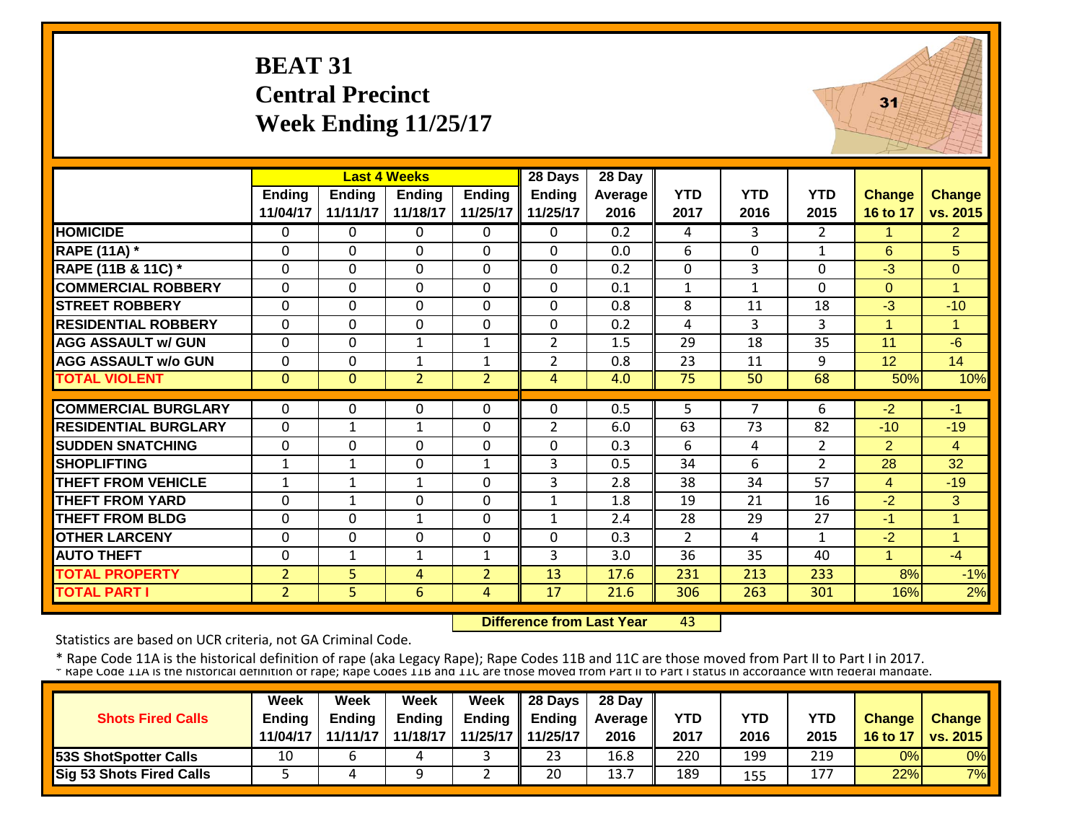# **BEAT 31 Central Precinct Week Ending 11/25/17**



|                             |                |               | <b>Last 4 Weeks</b> |                | 28 Days        | 28 Day  |              |              |                |                |                |
|-----------------------------|----------------|---------------|---------------------|----------------|----------------|---------|--------------|--------------|----------------|----------------|----------------|
|                             | <b>Ending</b>  | <b>Ending</b> | <b>Ending</b>       | <b>Ending</b>  | <b>Ending</b>  | Average | <b>YTD</b>   | <b>YTD</b>   | <b>YTD</b>     | <b>Change</b>  | Change         |
|                             | 11/04/17       | 11/11/17      | 11/18/17            | 11/25/17       | 11/25/17       | 2016    | 2017         | 2016         | 2015           | 16 to 17       | vs. 2015       |
| <b>HOMICIDE</b>             | $\Omega$       | 0             | 0                   | 0              | 0              | 0.2     | 4            | 3            | $\overline{2}$ | 1              | 2 <sup>1</sup> |
| <b>RAPE (11A)</b> *         | $\Omega$       | 0             | $\Omega$            | $\Omega$       | $\Omega$       | 0.0     | 6            | $\Omega$     | 1              | 6              | 5 <sup>5</sup> |
| RAPE (11B & 11C) *          | $\mathbf 0$    | 0             | $\mathbf 0$         | $\Omega$       | $\mathbf 0$    | 0.2     | $\mathbf 0$  | 3            | $\Omega$       | $-3$           | $\mathbf{0}$   |
| <b>COMMERCIAL ROBBERY</b>   | $\Omega$       | 0             | $\mathbf 0$         | $\Omega$       | $\Omega$       | 0.1     | $\mathbf{1}$ | $\mathbf{1}$ | $\Omega$       | $\Omega$       | $\overline{1}$ |
| <b>STREET ROBBERY</b>       | $\mathbf 0$    | 0             | 0                   | 0              | $\Omega$       | 0.8     | 8            | 11           | 18             | $-3$           | $-10$          |
| <b>RESIDENTIAL ROBBERY</b>  | $\Omega$       | $\Omega$      | $\mathbf 0$         | $\Omega$       | $\Omega$       | 0.2     | 4            | 3            | $\overline{3}$ | $\mathbf{1}$   | 1              |
| <b>AGG ASSAULT w/ GUN</b>   | $\mathbf 0$    | 0             | $\mathbf{1}$        | 1              | $\overline{2}$ | 1.5     | 29           | 18           | 35             | 11             | $-6$           |
| <b>AGG ASSAULT w/o GUN</b>  | $\Omega$       | 0             | $\mathbf{1}$        | $\mathbf{1}$   | $\overline{2}$ | 0.8     | 23           | 11           | 9              | 12             | 14             |
| <b>TOTAL VIOLENT</b>        | $\mathbf{0}$   | $\Omega$      | $\overline{2}$      | $\overline{2}$ | 4              | 4.0     | 75           | 50           | 68             | 50%            | 10%            |
|                             |                |               |                     |                |                |         |              |              |                |                |                |
| <b>COMMERCIAL BURGLARY</b>  | $\mathbf{0}$   | 0             | $\Omega$            | $\Omega$       | $\Omega$       | 0.5     | 5            | 7            | 6              | $-2$           | $-1$           |
| <b>RESIDENTIAL BURGLARY</b> | $\mathbf{0}$   | $\mathbf{1}$  | $\mathbf 1$         | 0              | $\overline{2}$ | 6.0     | 63           | 73           | 82             | $-10$          | $-19$          |
| <b>SUDDEN SNATCHING</b>     | $\mathbf 0$    | 0             | 0                   | 0              | 0              | 0.3     | 6            | 4            | $\overline{2}$ | $\overline{2}$ | $\overline{4}$ |
| <b>SHOPLIFTING</b>          | $\mathbf 1$    | 1             | $\Omega$            | 1              | 3              | 0.5     | 34           | 6            | $\overline{2}$ | 28             | 32             |
| <b>THEFT FROM VEHICLE</b>   | 1              | 1             | 1                   | $\Omega$       | 3              | 2.8     | 38           | 34           | 57             | $\overline{4}$ | $-19$          |
| <b>THEFT FROM YARD</b>      | $\Omega$       | 1             | $\Omega$            | 0              | $\mathbf{1}$   | 1.8     | 19           | 21           | 16             | $-2$           | 3              |
| <b>THEFT FROM BLDG</b>      | $\Omega$       | 0             | 1                   | 0              | 1              | 2.4     | 28           | 29           | 27             | -1             | 1              |
| <b>OTHER LARCENY</b>        | $\Omega$       | 0             | $\Omega$            | 0              | $\Omega$       | 0.3     | 2            | 4            | 1              | $-2$           | 1              |
| <b>AUTO THEFT</b>           | $\Omega$       | $\mathbf{1}$  | $\mathbf{1}$        | 1              | 3              | 3.0     | 36           | 35           | 40             | $\mathbf{1}$   | $-4$           |
| <b>TOTAL PROPERTY</b>       | $\overline{2}$ | 5             | 4                   | $\overline{2}$ | 13             | 17.6    | 231          | 213          | 233            | 8%             | $-1%$          |
| <b>TOTAL PART I</b>         | $\overline{2}$ | 5             | $6\phantom{1}$      | 4              | 17             | 21.6    | 306          | 263          | 301            | 16%            | 2%             |

 **Difference from Last Year**43

Statistics are based on UCR criteria, not GA Criminal Code.

|                                 | Week          | Week          | Week          | Week        | 28 Days       | 28 Day            |      |      |      |               |                          |
|---------------------------------|---------------|---------------|---------------|-------------|---------------|-------------------|------|------|------|---------------|--------------------------|
| <b>Shots Fired Calls</b>        | <b>Ending</b> | <b>Ending</b> | <b>Ending</b> | Ending      | <b>Ending</b> | <b>Average II</b> | YTD  | YTD  | YTD  | <b>Change</b> | Change                   |
|                                 | 11/04/17      | 11/11/17      | 11/18/17      | 11/25/17 II | 11/25/17      | 2016              | 2017 | 2016 | 2015 | 16 to 17      | $\vert$ vs. 2015 $\vert$ |
| <b>53S ShotSpotter Calls</b>    | 10            |               |               |             | 23            | 16.8              | 220  | 199  | 219  | 0%            | 0%                       |
| <b>Sig 53 Shots Fired Calls</b> |               |               |               | ے           | 20            | 13.               | 189  | 155  | 177  | 22%           | 7%                       |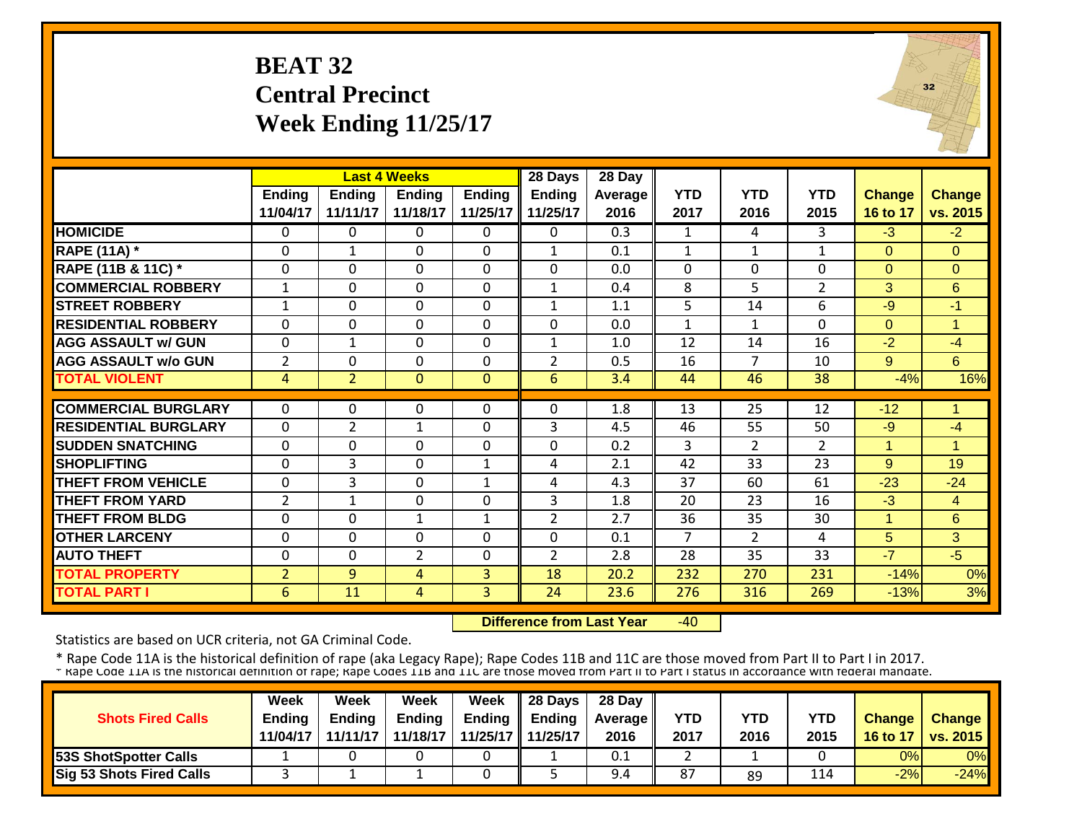# **BEAT 32 Central Precinct Week Ending 11/25/17**



|                             |                | <b>Last 4 Weeks</b> |                |               | 28 Days        | 28 Day  |                |                |                |                |                |
|-----------------------------|----------------|---------------------|----------------|---------------|----------------|---------|----------------|----------------|----------------|----------------|----------------|
|                             | <b>Ending</b>  | <b>Ending</b>       | <b>Ending</b>  | <b>Ending</b> | <b>Ending</b>  | Average | <b>YTD</b>     | <b>YTD</b>     | <b>YTD</b>     | <b>Change</b>  | Change         |
|                             | 11/04/17       | 11/11/17            | 11/18/17       | 11/25/17      | 11/25/17       | 2016    | 2017           | 2016           | 2015           | 16 to 17       | vs. 2015       |
| <b>HOMICIDE</b>             | $\Omega$       | 0                   | $\Omega$       | $\Omega$      | 0              | 0.3     | 1              | 4              | 3              | $-3$           | $-2$           |
| <b>RAPE (11A) *</b>         | $\Omega$       | $\mathbf{1}$        | $\mathbf 0$    | $\Omega$      | $\mathbf{1}$   | 0.1     | $\mathbf{1}$   | 1              | $\mathbf{1}$   | $\Omega$       | $\Omega$       |
| RAPE (11B & 11C) *          | $\mathbf 0$    | $\Omega$            | $\Omega$       | $\Omega$      | $\Omega$       | 0.0     | $\mathbf 0$    | $\Omega$       | $\Omega$       | $\Omega$       | $\overline{0}$ |
| <b>COMMERCIAL ROBBERY</b>   | $\mathbf{1}$   | $\Omega$            | $\Omega$       | $\Omega$      | $\mathbf{1}$   | 0.4     | 8              | 5              | $\overline{2}$ | 3              | 6              |
| <b>STREET ROBBERY</b>       | $\mathbf{1}$   | $\Omega$            | $\Omega$       | $\Omega$      | $\mathbf{1}$   | 1.1     | 5              | 14             | 6              | $-9$           | $-1$           |
| <b>RESIDENTIAL ROBBERY</b>  | $\Omega$       | $\mathbf 0$         | $\Omega$       | $\Omega$      | $\Omega$       | 0.0     | $\mathbf{1}$   | $\mathbf{1}$   | $\Omega$       | $\Omega$       | $\overline{1}$ |
| <b>AGG ASSAULT w/ GUN</b>   | $\mathbf 0$    | 1                   | $\mathbf 0$    | 0             | $\mathbf{1}$   | 1.0     | 12             | 14             | 16             | $-2$           | $-4$           |
| <b>AGG ASSAULT w/o GUN</b>  | $\overline{2}$ | $\mathbf 0$         | $\mathbf 0$    | $\Omega$      | $\overline{2}$ | 0.5     | 16             | 7              | 10             | 9 <sup>°</sup> | 6              |
| <b>TOTAL VIOLENT</b>        | 4              | $\overline{2}$      | $\Omega$       | $\Omega$      | 6              | 3.4     | 44             | 46             | 38             | $-4%$          | 16%            |
| <b>COMMERCIAL BURGLARY</b>  | $\Omega$       | 0                   | 0              | 0             | $\Omega$       | 1.8     | 13             | 25             | 12             | $-12$          | 1              |
| <b>RESIDENTIAL BURGLARY</b> | $\mathbf 0$    | 2                   | 1              | $\Omega$      | 3              | 4.5     | 46             | 55             | 50             | $-9$           | $-4$           |
| <b>SUDDEN SNATCHING</b>     | $\mathbf 0$    | $\mathbf 0$         | $\mathbf 0$    | $\Omega$      | $\Omega$       | 0.2     | 3              | $\overline{2}$ | $\overline{2}$ | 1              | 1              |
| <b>SHOPLIFTING</b>          | $\Omega$       | 3                   | $\mathbf 0$    | $\mathbf{1}$  | 4              | 2.1     | 42             | 33             | 23             | 9              | 19             |
| <b>THEFT FROM VEHICLE</b>   | $\Omega$       | 3                   | $\Omega$       | $\mathbf{1}$  | 4              | 4.3     | 37             | 60             | 61             | $-23$          | $-24$          |
| <b>THEFT FROM YARD</b>      | $\overline{2}$ | $\mathbf{1}$        | $\mathbf 0$    | $\Omega$      | 3              | 1.8     | 20             | 23             | 16             | $-3$           | $\overline{4}$ |
| <b>THEFT FROM BLDG</b>      | $\Omega$       | $\Omega$            | 1              | 1             | $\overline{2}$ | 2.7     | 36             | 35             | 30             | $\mathbf 1$    | 6              |
| <b>OTHER LARCENY</b>        | $\Omega$       | $\Omega$            | $\Omega$       | $\Omega$      | $\Omega$       | 0.1     | $\overline{7}$ | $\overline{2}$ | 4              | 5              | 3              |
| <b>AUTO THEFT</b>           | $\Omega$       | $\Omega$            | $\overline{2}$ | 0             | $\overline{2}$ | 2.8     | 28             | 35             | 33             | $-7$           | $-5$           |
| <b>TOTAL PROPERTY</b>       | $\overline{2}$ | 9                   | 4              | 3             | 18             | 20.2    | 232            | 270            | 231            | $-14%$         | 0%             |
| <b>TOTAL PART I</b>         | 6              | 11                  | 4              | 3             | 24             | 23.6    | 276            | 316            | 269            | $-13%$         | 3%             |

 **Difference from Last Year** $-40$ 

Statistics are based on UCR criteria, not GA Criminal Code.

|                                 | Week          | Week          | Week          | <b>Week</b>       | $\parallel$ 28 Days       | 28 Day            |            |      |      |               |                 |
|---------------------------------|---------------|---------------|---------------|-------------------|---------------------------|-------------------|------------|------|------|---------------|-----------------|
| <b>Shots Fired Calls</b>        | <b>Endina</b> | <b>Ending</b> | <b>Ending</b> |                   | Ending $\parallel$ Ending | <b>Average</b> II | <b>YTD</b> | YTD  | YTD  | <b>Change</b> | <b>Change</b>   |
|                                 | 11/04/17      | 11/11/17      | 11/18/17      | 11/25/17 11/25/17 |                           | 2016              | 2017       | 2016 | 2015 | 16 to 17      | <b>vs. 2015</b> |
| <b>53S ShotSpotter Calls</b>    |               |               |               |                   |                           | 0.1               |            |      |      | 0%            | 0%              |
| <b>Sig 53 Shots Fired Calls</b> |               |               |               |                   |                           | 9.4               | 87         | 89   | 114  | $-2%$         | $-24%$          |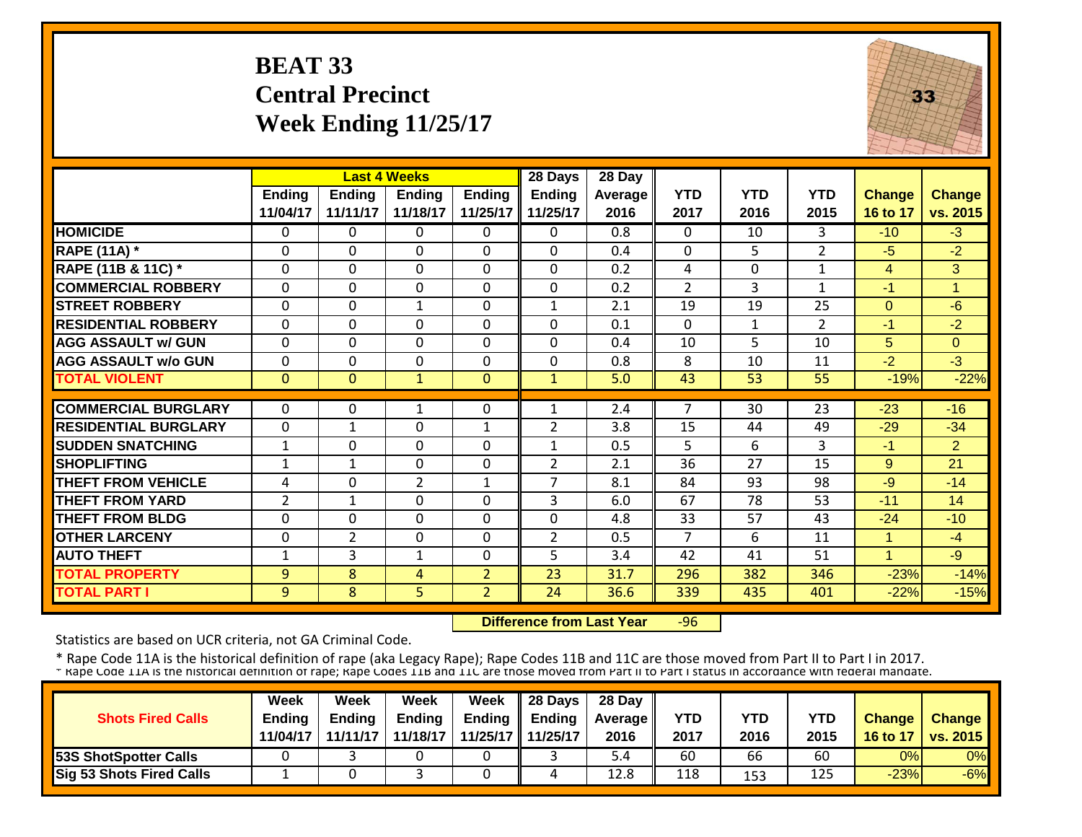# **BEAT 33 Central Precinct Week Ending 11/25/17**



|                             |                | <b>Last 4 Weeks</b> |                |                | 28 Days        | 28 Day  |                |              |                |                |                |
|-----------------------------|----------------|---------------------|----------------|----------------|----------------|---------|----------------|--------------|----------------|----------------|----------------|
|                             | <b>Ending</b>  | <b>Ending</b>       | <b>Ending</b>  | <b>Ending</b>  | <b>Ending</b>  | Average | <b>YTD</b>     | <b>YTD</b>   | <b>YTD</b>     | <b>Change</b>  | <b>Change</b>  |
|                             | 11/04/17       | 11/11/17            | 11/18/17       | 11/25/17       | 11/25/17       | 2016    | 2017           | 2016         | 2015           | 16 to 17       | vs. 2015       |
| <b>HOMICIDE</b>             | $\Omega$       | 0                   | $\mathbf{0}$   | 0              | $\Omega$       | 0.8     | $\Omega$       | 10           | 3              | $-10$          | $-3$           |
| <b>RAPE (11A) *</b>         | $\Omega$       | 0                   | 0              | $\Omega$       | $\Omega$       | 0.4     | $\Omega$       | 5.           | $\overline{2}$ | $-5$           | $-2$           |
| RAPE (11B & 11C) *          | $\mathbf 0$    | 0                   | $\mathbf 0$    | $\Omega$       | 0              | 0.2     | 4              | $\Omega$     | $\mathbf{1}$   | $\overline{4}$ | 3              |
| <b>COMMERCIAL ROBBERY</b>   | $\Omega$       | 0                   | $\mathbf 0$    | $\Omega$       | $\Omega$       | 0.2     | $\overline{2}$ | 3            | $\mathbf{1}$   | $-1$           | $\overline{ }$ |
| <b>STREET ROBBERY</b>       | $\Omega$       | 0                   | $\mathbf{1}$   | $\Omega$       | $\mathbf{1}$   | 2.1     | 19             | 19           | 25             | $\mathbf{0}$   | $-6$           |
| <b>RESIDENTIAL ROBBERY</b>  | $\Omega$       | $\Omega$            | $\mathbf 0$    | $\Omega$       | $\Omega$       | 0.1     | $\Omega$       | $\mathbf{1}$ | $\overline{2}$ | $-1$           | $-2$           |
| <b>AGG ASSAULT w/ GUN</b>   | $\mathbf 0$    | 0                   | $\mathbf 0$    | $\Omega$       | 0              | 0.4     | 10             | 5.           | 10             | 5              | $\Omega$       |
| <b>AGG ASSAULT w/o GUN</b>  | $\Omega$       | 0                   | $\Omega$       | $\Omega$       | $\Omega$       | 0.8     | 8              | 10           | 11             | $-2$           | $-3$           |
| <b>TOTAL VIOLENT</b>        | $\Omega$       | $\overline{0}$      | $\mathbf{1}$   | $\Omega$       | $\mathbf{1}$   | 5.0     | 43             | 53           | 55             | $-19%$         | $-22%$         |
|                             |                |                     |                |                |                |         |                |              |                |                |                |
| <b>COMMERCIAL BURGLARY</b>  | $\Omega$       | 0                   | 1              | 0              | 1              | 2.4     | 7              | 30           | 23             | $-23$          | $-16$          |
| <b>RESIDENTIAL BURGLARY</b> | $\Omega$       | $\mathbf{1}$        | $\Omega$       | $\mathbf{1}$   | $\overline{2}$ | 3.8     | 15             | 44           | 49             | $-29$          | $-34$          |
| <b>SUDDEN SNATCHING</b>     | $\mathbf{1}$   | 0                   | $\Omega$       | $\Omega$       | $\mathbf{1}$   | 0.5     | 5              | 6            | 3              | $-1$           | $\overline{2}$ |
| <b>SHOPLIFTING</b>          | 1              | 1                   | $\Omega$       | $\Omega$       | 2              | 2.1     | 36             | 27           | 15             | 9              | 21             |
| <b>THEFT FROM VEHICLE</b>   | 4              | 0                   | $\overline{2}$ | 1              | 7              | 8.1     | 84             | 93           | 98             | -9             | $-14$          |
| <b>THEFT FROM YARD</b>      | $\overline{2}$ | 1                   | 0              | 0              | 3              | 6.0     | 67             | 78           | 53             | $-11$          | 14             |
| <b>THEFT FROM BLDG</b>      | $\Omega$       | $\Omega$            | $\Omega$       | $\Omega$       | $\Omega$       | 4.8     | 33             | 57           | 43             | $-24$          | $-10$          |
| <b>OTHER LARCENY</b>        | $\Omega$       | $\overline{2}$      | 0              | $\Omega$       | $\overline{2}$ | 0.5     | $\overline{7}$ | 6            | 11             | $\mathbf{1}$   | $-4$           |
| <b>AUTO THEFT</b>           | 1              | 3                   | 1              | 0              | 5              | 3.4     | 42             | 41           | 51             | 1              | $-9$           |
| <b>TOTAL PROPERTY</b>       | 9              | 8                   | 4              | $\overline{2}$ | 23             | 31.7    | 296            | 382          | 346            | $-23%$         | $-14%$         |
| <b>TOTAL PART I</b>         | 9              | 8                   | 5              | $\overline{2}$ | 24             | 36.6    | 339            | 435          | 401            | $-22%$         | $-15%$         |

 **Difference from Last Year**‐96

Statistics are based on UCR criteria, not GA Criminal Code.

|                                 | <b>Week</b>   | Week     | Week          | Week          | 28 Days  | 28 Day            |      |      |      |               |                 |
|---------------------------------|---------------|----------|---------------|---------------|----------|-------------------|------|------|------|---------------|-----------------|
| <b>Shots Fired Calls</b>        | <b>Ending</b> | Endina   | <b>Ending</b> | <b>Ending</b> | Endina   | <b>Average II</b> | YTD  | YTD  | YTD  | <b>Change</b> | <b>Change</b>   |
|                                 | 11/04/17      | 11/11/17 | 11/18/17      | 11/25/17      | 11/25/17 | 2016              | 2017 | 2016 | 2015 | 16 to 17      | <b>VS. 2015</b> |
| <b>53S ShotSpotter Calls</b>    |               |          |               |               |          | . 4.              | 60   | 66   | 60   | 0%            | 0%              |
| <b>Sig 53 Shots Fired Calls</b> |               |          |               |               |          | 12.8              | 118  | 153  | 125  | $-23%$        | $-6%$           |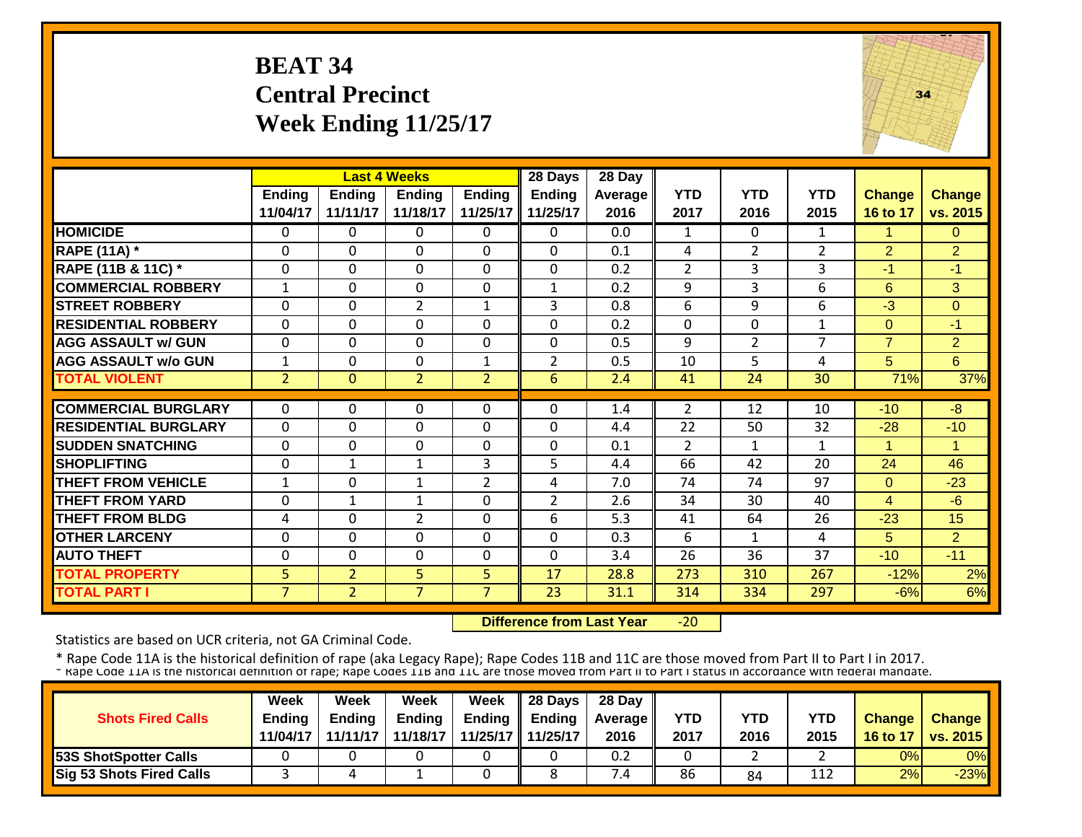# **BEAT 34 Central Precinct Week Ending 11/25/17**



|                             |                |                | <b>Last 4 Weeks</b> |                | 28 Days        | 28 Day  |                |                |                |                |                |
|-----------------------------|----------------|----------------|---------------------|----------------|----------------|---------|----------------|----------------|----------------|----------------|----------------|
|                             | Ending         | <b>Ending</b>  | Endina              | <b>Ending</b>  | <b>Ending</b>  | Average | <b>YTD</b>     | <b>YTD</b>     | <b>YTD</b>     | <b>Change</b>  | <b>Change</b>  |
|                             | 11/04/17       | 11/11/17       | 11/18/17            | 11/25/17       | 11/25/17       | 2016    | 2017           | 2016           | 2015           | 16 to 17       | vs. 2015       |
| <b>HOMICIDE</b>             | $\mathbf{0}$   | $\Omega$       | $\Omega$            | $\Omega$       | 0              | 0.0     | $\mathbf{1}$   | $\Omega$       | $\mathbf{1}$   | 1              | $\Omega$       |
| <b>RAPE (11A) *</b>         | $\Omega$       | $\Omega$       | $\Omega$            | $\Omega$       | $\Omega$       | 0.1     | 4              | 2              | $\overline{2}$ | 2              | $\overline{2}$ |
| RAPE (11B & 11C) *          | $\mathbf 0$    | $\Omega$       | $\Omega$            | $\Omega$       | 0              | 0.2     | $\overline{2}$ | 3              | 3              | $-1$           | $-1$           |
| <b>COMMERCIAL ROBBERY</b>   | $\mathbf{1}$   | $\Omega$       | $\Omega$            | $\Omega$       | $\mathbf{1}$   | 0.2     | 9              | 3              | 6              | 6              | 3              |
| <b>STREET ROBBERY</b>       | $\Omega$       | $\Omega$       | $\overline{2}$      | 1              | 3              | 0.8     | 6              | 9              | 6              | -3             | $\Omega$       |
| <b>RESIDENTIAL ROBBERY</b>  | $\mathbf 0$    | $\Omega$       | $\Omega$            | $\Omega$       | $\Omega$       | 0.2     | $\Omega$       | $\Omega$       | $\mathbf{1}$   | $\Omega$       | $-1$           |
| <b>AGG ASSAULT w/ GUN</b>   | $\mathbf 0$    | 0              | $\mathbf{0}$        | $\Omega$       | 0              | 0.5     | 9              | $\overline{2}$ | $\overline{7}$ | $\overline{7}$ | $\overline{2}$ |
| <b>AGG ASSAULT w/o GUN</b>  | $\mathbf{1}$   | $\Omega$       | $\Omega$            | $\mathbf{1}$   | $\overline{2}$ | 0.5     | 10             | 5              | 4              | 5              | 6              |
| <b>TOTAL VIOLENT</b>        | $\overline{2}$ | $\Omega$       | $\overline{2}$      | $\overline{2}$ | 6              | 2.4     | 41             | 24             | 30             | 71%            | 37%            |
|                             |                |                |                     |                |                |         |                |                |                |                |                |
| <b>COMMERCIAL BURGLARY</b>  | $\mathbf{0}$   | 0              | $\Omega$            | 0              | $\Omega$       | 1.4     | 2              | 12             | 10             | $-10$          | -8             |
| <b>RESIDENTIAL BURGLARY</b> | $\Omega$       | $\Omega$       | $\Omega$            | $\Omega$       | $\Omega$       | 4.4     | 22             | 50             | 32             | $-28$          | $-10$          |
| <b>ISUDDEN SNATCHING</b>    | $\Omega$       | $\Omega$       | $\Omega$            | $\Omega$       | $\Omega$       | 0.1     | $\overline{2}$ | 1              | $\mathbf{1}$   | 1              |                |
| <b>SHOPLIFTING</b>          | $\Omega$       | 1              | 1                   | 3              | 5              | 4.4     | 66             | 42             | 20             | 24             | 46             |
| <b>THEFT FROM VEHICLE</b>   | 1              | $\Omega$       | 1                   | $\overline{2}$ | 4              | 7.0     | 74             | 74             | 97             | $\mathbf{0}$   | $-23$          |
| <b>THEFT FROM YARD</b>      | $\Omega$       | $\mathbf{1}$   | 1                   | $\Omega$       | $\overline{2}$ | 2.6     | 34             | 30             | 40             | $\overline{4}$ | $-6$           |
| <b>THEFT FROM BLDG</b>      | 4              | $\Omega$       | $\overline{2}$      | $\Omega$       | 6              | 5.3     | 41             | 64             | 26             | $-23$          | 15             |
| <b>OTHER LARCENY</b>        | $\Omega$       | $\Omega$       | $\Omega$            | $\Omega$       | $\Omega$       | 0.3     | 6              | 1              | 4              | 5              | $\overline{2}$ |
| <b>AUTO THEFT</b>           | $\Omega$       | $\Omega$       | $\Omega$            | $\Omega$       | $\Omega$       | 3.4     | 26             | 36             | 37             | $-10$          | $-11$          |
| <b>TOTAL PROPERTY</b>       | 5              | $\overline{2}$ | 5                   | 5.             | 17             | 28.8    | 273            | 310            | 267            | $-12%$         | 2%             |
| <b>TOTAL PART I</b>         | $\overline{7}$ | $\overline{2}$ | $\overline{7}$      | $\overline{7}$ | 23             | 31.1    | 314            | 334            | 297            | $-6%$          | 6%             |

 **Difference from Last Year** $-20$ 

Statistics are based on UCR criteria, not GA Criminal Code.

|                                 | <b>Week</b>   | Week          | Week          | Week                | $\parallel$ 28 Days       | 28 Day            |            |      |      |               |                 |
|---------------------------------|---------------|---------------|---------------|---------------------|---------------------------|-------------------|------------|------|------|---------------|-----------------|
| <b>Shots Fired Calls</b>        | <b>Endina</b> | <b>Ending</b> | <b>Ending</b> |                     | Ending $\parallel$ Ending | <b>Average</b> II | <b>YTD</b> | YTD  | YTD  | <b>Change</b> | <b>Change</b>   |
|                                 | 11/04/17      | 11/11/17      | 11/18/17      | 11/25/17   11/25/17 |                           | 2016              | 2017       | 2016 | 2015 | 16 to 17      | <b>vs. 2015</b> |
| <b>53S ShotSpotter Calls</b>    |               |               |               |                     |                           | 0.2               |            |      |      | 0%            | 0%              |
| <b>Sig 53 Shots Fired Calls</b> |               |               |               |                     |                           | $^{\prime}$ .4    | 86         | 84   | 112  | 2%            | $-23%$          |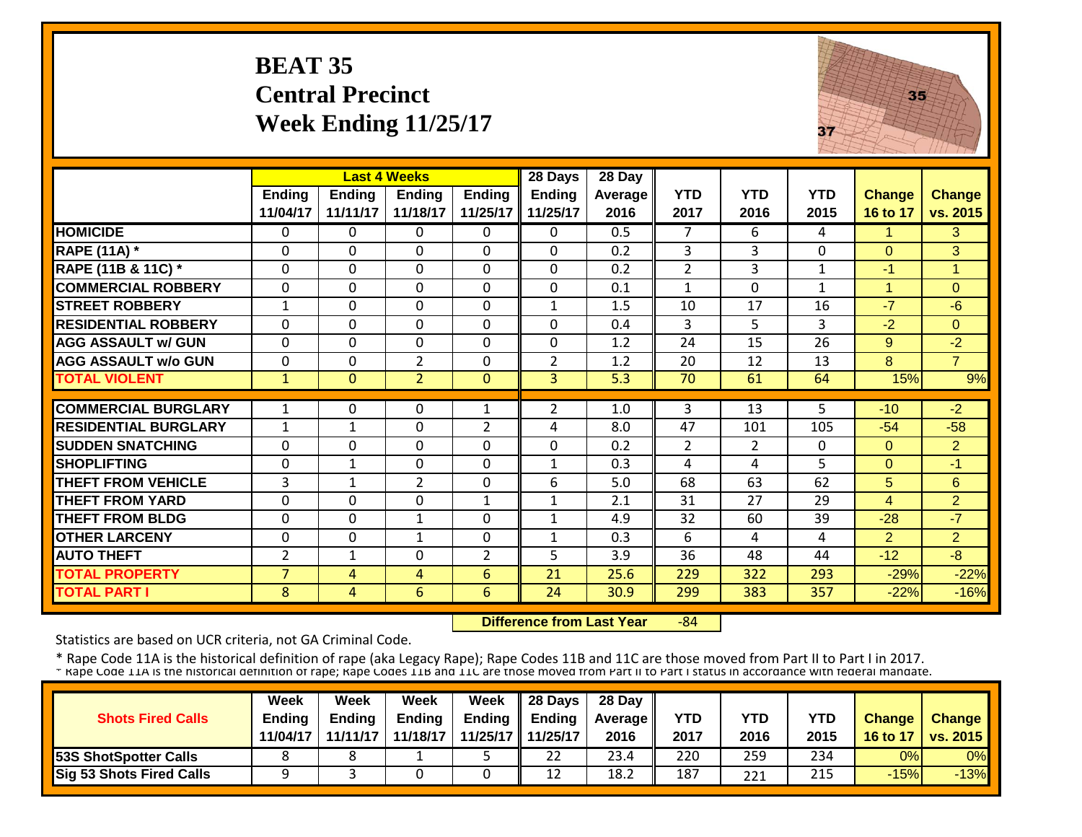# **BEAT 35 Central Precinct Week Ending 11/25/17**



|                             |                |               | <b>Last 4 Weeks</b> |                | 28 Days        | 28 Day  |                |                |            |                |                |
|-----------------------------|----------------|---------------|---------------------|----------------|----------------|---------|----------------|----------------|------------|----------------|----------------|
|                             | <b>Ending</b>  | <b>Ending</b> | <b>Ending</b>       | <b>Ending</b>  | <b>Ending</b>  | Average | <b>YTD</b>     | <b>YTD</b>     | <b>YTD</b> | <b>Change</b>  | <b>Change</b>  |
|                             | 11/04/17       | 11/11/17      | 11/18/17            | 11/25/17       | 11/25/17       | 2016    | 2017           | 2016           | 2015       | 16 to 17       | vs. 2015       |
| <b>HOMICIDE</b>             | $\Omega$       | 0             | $\Omega$            | $\Omega$       | 0              | 0.5     | 7              | 6              | 4          | 1              | 3              |
| <b>RAPE (11A)</b> *         | $\Omega$       | 0             | $\Omega$            | $\Omega$       | $\Omega$       | 0.2     | 3              | 3              | $\Omega$   | $\Omega$       | 3              |
| RAPE (11B & 11C) *          | $\Omega$       | 0             | $\Omega$            | $\Omega$       | $\mathbf 0$    | 0.2     | $\overline{2}$ | 3              | 1          | $-1$           | 1              |
| <b>COMMERCIAL ROBBERY</b>   | $\mathbf 0$    | $\Omega$      | $\Omega$            | $\Omega$       | $\mathbf 0$    | 0.1     | $\mathbf{1}$   | $\Omega$       | 1          | $\mathbf{1}$   | $\Omega$       |
| <b>STREET ROBBERY</b>       | $\mathbf{1}$   | 0             | $\Omega$            | $\mathbf 0$    | $\mathbf{1}$   | 1.5     | 10             | 17             | 16         | $-7$           | $-6$           |
| <b>RESIDENTIAL ROBBERY</b>  | $\Omega$       | $\Omega$      | $\Omega$            | $\Omega$       | $\mathbf 0$    | 0.4     | 3              | 5              | 3          | $-2$           | $\Omega$       |
| <b>AGG ASSAULT w/ GUN</b>   | $\mathbf 0$    | $\mathbf 0$   | $\mathbf{0}$        | $\mathbf 0$    | $\mathbf 0$    | 1.2     | 24             | 15             | 26         | 9              | $-2$           |
| <b>AGG ASSAULT w/o GUN</b>  | $\mathbf 0$    | $\mathbf 0$   | $\overline{2}$      | $\mathbf 0$    | $\overline{2}$ | 1.2     | 20             | 12             | 13         | 8              | $\overline{7}$ |
| <b>TOTAL VIOLENT</b>        | $\mathbf{1}$   | $\Omega$      | $\overline{2}$      | $\mathbf 0$    | 3              | 5.3     | 70             | 61             | 64         | 15%            | 9%             |
|                             |                |               |                     |                |                |         |                |                |            |                |                |
| <b>COMMERCIAL BURGLARY</b>  | 1              | 0             | 0                   | 1              | 2              | 1.0     | 3              | 13             | 5          | $-10$          | $-2$           |
| <b>RESIDENTIAL BURGLARY</b> | $\mathbf{1}$   | $\mathbf{1}$  | $\mathbf 0$         | $\overline{2}$ | 4              | 8.0     | 47             | 101            | 105        | $-54$          | $-58$          |
| <b>SUDDEN SNATCHING</b>     | $\Omega$       | 0             | $\Omega$            | $\Omega$       | 0              | 0.2     | $\overline{2}$ | $\overline{2}$ | $\Omega$   | $\Omega$       | $\overline{2}$ |
| <b>SHOPLIFTING</b>          | $\Omega$       | 1             | $\Omega$            | $\Omega$       | $\mathbf{1}$   | 0.3     | 4              | 4              | 5          | $\Omega$       | $-1$           |
| <b>THEFT FROM VEHICLE</b>   | 3              | $\mathbf{1}$  | $\overline{2}$      | $\Omega$       | 6              | 5.0     | 68             | 63             | 62         | 5              | 6              |
| <b>THEFT FROM YARD</b>      | $\mathbf{0}$   | 0             | $\Omega$            | $\mathbf 1$    | $\mathbf{1}$   | 2.1     | 31             | 27             | 29         | $\overline{4}$ | $\overline{2}$ |
| <b>THEFT FROM BLDG</b>      | 0              | 0             | $\mathbf{1}$        | $\Omega$       | $\mathbf{1}$   | 4.9     | 32             | 60             | 39         | $-28$          | $-7$           |
| <b>OTHER LARCENY</b>        | 0              | 0             | 1                   | 0              | $\mathbf{1}$   | 0.3     | 6              | 4              | 4          | $\overline{2}$ | $\overline{2}$ |
| <b>AUTO THEFT</b>           | $\overline{2}$ | 1             | 0                   | $\overline{2}$ | 5              | 3.9     | 36             | 48             | 44         | $-12$          | $-8$           |
| <b>TOTAL PROPERTY</b>       | $\overline{7}$ | 4             | 4                   | 6              | 21             | 25.6    | 229            | 322            | 293        | $-29%$         | $-22%$         |
| <b>TOTAL PART I</b>         | 8              | 4             | 6                   | 6              | 24             | 30.9    | 299            | 383            | 357        | $-22%$         | $-16%$         |

 **Difference from Last Year**‐84

Statistics are based on UCR criteria, not GA Criminal Code.

|                              | <b>Week</b>   | Week          | Week          | Week | $\parallel$ 28 Days       | 28 Day            |            |      |      |               |                 |
|------------------------------|---------------|---------------|---------------|------|---------------------------|-------------------|------------|------|------|---------------|-----------------|
| <b>Shots Fired Calls</b>     | <b>Endina</b> | <b>Ending</b> | <b>Ending</b> |      | Ending $\parallel$ Ending | <b>Average</b> II | <b>YTD</b> | YTD  | YTD  | <b>Change</b> | <b>Change</b>   |
|                              | 11/04/17      | 11/11/17      | 11/18/17      |      | 11/25/17 11/25/17         | 2016              | 2017       | 2016 | 2015 | 16 to 17      | <b>vs. 2015</b> |
| <b>53S ShotSpotter Calls</b> |               |               |               |      | 22                        | 23.4              | 220        | 259  | 234  | 0%            | 0%              |
| Sig 53 Shots Fired Calls     |               |               |               |      | 12                        | 18.2              | 187        | 221  | 215  | $-15%$        | $-13%$          |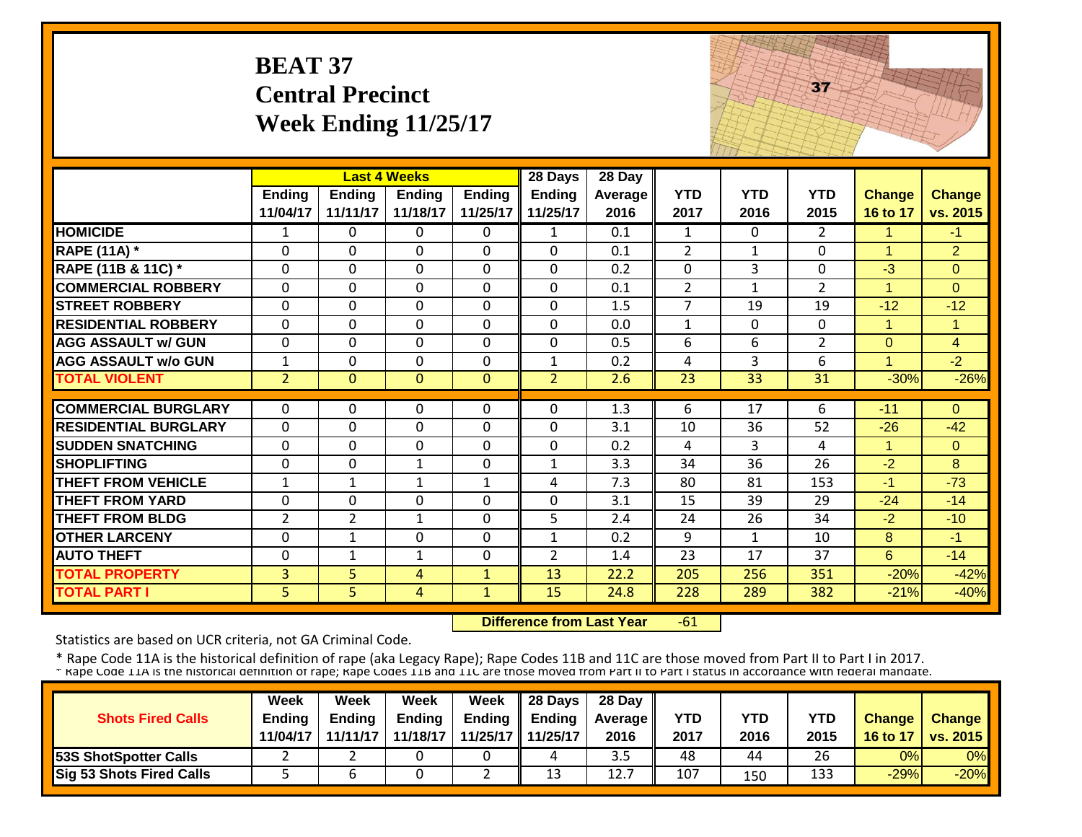## **BEAT 37 Central Precinct Week Ending 11/25/17**



|                             |                |                | <b>Last 4 Weeks</b> |              | 28 Days        | 28 Day         |                |              |                |                      |                |
|-----------------------------|----------------|----------------|---------------------|--------------|----------------|----------------|----------------|--------------|----------------|----------------------|----------------|
|                             | <b>Ending</b>  | <b>Ending</b>  | <b>Ending</b>       | Ending       | <b>Ending</b>  | <b>Average</b> | <b>YTD</b>     | <b>YTD</b>   | <b>YTD</b>     | <b>Change</b>        | <b>Change</b>  |
|                             | 11/04/17       | 11/11/17       | 11/18/17            | 11/25/17     | 11/25/17       | 2016           | 2017           | 2016         | 2015           | 16 to 17             | vs. 2015       |
| <b>HOMICIDE</b>             | 1              | 0              | 0                   | 0            | 1              | 0.1            | 1              | $\Omega$     | 2              | 1                    | $-1$           |
| <b>RAPE (11A) *</b>         | $\Omega$       | 0              | $\Omega$            | $\Omega$     | $\Omega$       | 0.1            | $\overline{2}$ | $\mathbf{1}$ | 0              | $\mathbf{1}$         | $\overline{2}$ |
| RAPE (11B & 11C) *          | $\Omega$       | 0              | $\Omega$            | $\Omega$     | $\mathbf 0$    | 0.2            | $\Omega$       | 3            | 0              | $-3$                 | $\overline{0}$ |
| <b>COMMERCIAL ROBBERY</b>   | $\mathbf{0}$   | 0              | $\mathbf{0}$        | $\Omega$     | $\Omega$       | 0.1            | 2              | $\mathbf{1}$ | $\overline{2}$ | $\blacktriangleleft$ | $\Omega$       |
| <b>STREET ROBBERY</b>       | $\Omega$       | 0              | $\Omega$            | $\Omega$     | $\mathbf 0$    | 1.5            | $\overline{7}$ | 19           | 19             | $-12$                | $-12$          |
| <b>RESIDENTIAL ROBBERY</b>  | $\mathbf{0}$   | 0              | $\Omega$            | $\Omega$     | $\mathbf 0$    | 0.0            | $\mathbf{1}$   | $\Omega$     | $\Omega$       | $\mathbf{1}$         | $\mathbf{1}$   |
| <b>AGG ASSAULT w/ GUN</b>   | $\mathbf{0}$   | $\mathbf 0$    | $\mathbf 0$         | $\mathbf 0$  | $\mathbf 0$    | 0.5            | 6              | 6            | $\overline{2}$ | $\overline{0}$       | $\overline{4}$ |
| <b>AGG ASSAULT w/o GUN</b>  | $\mathbf{1}$   | 0              | $\mathbf 0$         | $\Omega$     | $\mathbf{1}$   | 0.2            | $\overline{4}$ | 3            | 6              | $\blacktriangleleft$ | $-2$           |
| <b>TOTAL VIOLENT</b>        | $\overline{2}$ | $\overline{0}$ | $\mathbf{0}$        | $\mathbf{0}$ | $\overline{2}$ | 2.6            | 23             | 33           | 31             | $-30%$               | $-26%$         |
|                             |                |                |                     |              |                |                |                |              |                |                      |                |
| <b>COMMERCIAL BURGLARY</b>  | $\Omega$       | 0              | $\Omega$            | $\Omega$     | $\Omega$       | 1.3            | 6              | 17           | 6              | $-11$                | $\Omega$       |
| <b>RESIDENTIAL BURGLARY</b> | $\Omega$       | $\Omega$       | $\mathbf 0$         | $\Omega$     | 0              | 3.1            | 10             | 36           | 52             | $-26$                | $-42$          |
| <b>SUDDEN SNATCHING</b>     | $\Omega$       | 0              | $\Omega$            | $\Omega$     | $\mathbf 0$    | 0.2            | 4              | 3            | 4              | $\mathbf{1}$         | $\Omega$       |
| <b>SHOPLIFTING</b>          | $\mathbf 0$    | 0              | 1                   | $\mathbf 0$  | $\mathbf{1}$   | 3.3            | 34             | 36           | 26             | $-2$                 | 8              |
| <b>THEFT FROM VEHICLE</b>   | $\mathbf{1}$   | 1              | 1                   | $\mathbf{1}$ | 4              | 7.3            | 80             | 81           | 153            | $-1$                 | $-73$          |
| <b>THEFT FROM YARD</b>      | $\Omega$       | 0              | $\Omega$            | 0            | $\Omega$       | 3.1            | 15             | 39           | 29             | $-24$                | $-14$          |
| <b>THEFT FROM BLDG</b>      | $\overline{2}$ | $\overline{2}$ | $\mathbf{1}$        | 0            | 5              | 2.4            | 24             | 26           | 34             | $-2$                 | $-10$          |
| <b>OTHER LARCENY</b>        | $\mathbf 0$    | $\mathbf{1}$   | $\mathbf 0$         | $\Omega$     | $\mathbf{1}$   | 0.2            | 9              | 1            | 10             | 8                    | $-1$           |
| <b>AUTO THEFT</b>           | $\Omega$       | 1              | 1                   | 0            | $\overline{2}$ | 1.4            | 23             | 17           | 37             | 6                    | $-14$          |
| <b>TOTAL PROPERTY</b>       | 3              | 5              | 4                   | $\mathbf{1}$ | 13             | 22.2           | 205            | 256          | 351            | $-20%$               | $-42%$         |
| <b>TOTAL PART I</b>         | 5.             | 5              | $\overline{4}$      | $\mathbf{1}$ | 15             | 24.8           | 228            | 289          | 382            | $-21%$               | $-40%$         |

 **Difference from Last Year** $-61$ 

Statistics are based on UCR criteria, not GA Criminal Code.

|                                 | <b>Week</b>   | Week          | Week          | Week                | $\parallel$ 28 Days       | 28 Day            |            |      |      |               |                 |
|---------------------------------|---------------|---------------|---------------|---------------------|---------------------------|-------------------|------------|------|------|---------------|-----------------|
| <b>Shots Fired Calls</b>        | <b>Endina</b> | <b>Ending</b> | <b>Ending</b> |                     | Ending $\parallel$ Ending | <b>Average II</b> | <b>YTD</b> | YTD  | YTD  | <b>Change</b> | <b>Change</b>   |
|                                 | 11/04/17      | 11/11/17      | 11/18/17      | 11/25/17   11/25/17 |                           | 2016              | 2017       | 2016 | 2015 | 16 to 17      | <b>vs. 2015</b> |
| <b>53S ShotSpotter Calls</b>    |               |               |               |                     | 4                         | 3.5               | 48         | 44   | 26   | 0%            | 0%              |
| <b>Sig 53 Shots Fired Calls</b> |               |               |               | <u>.</u>            | 13                        | 12.7              | 107        | 150  | 133  | $-29%$        | $-20%$          |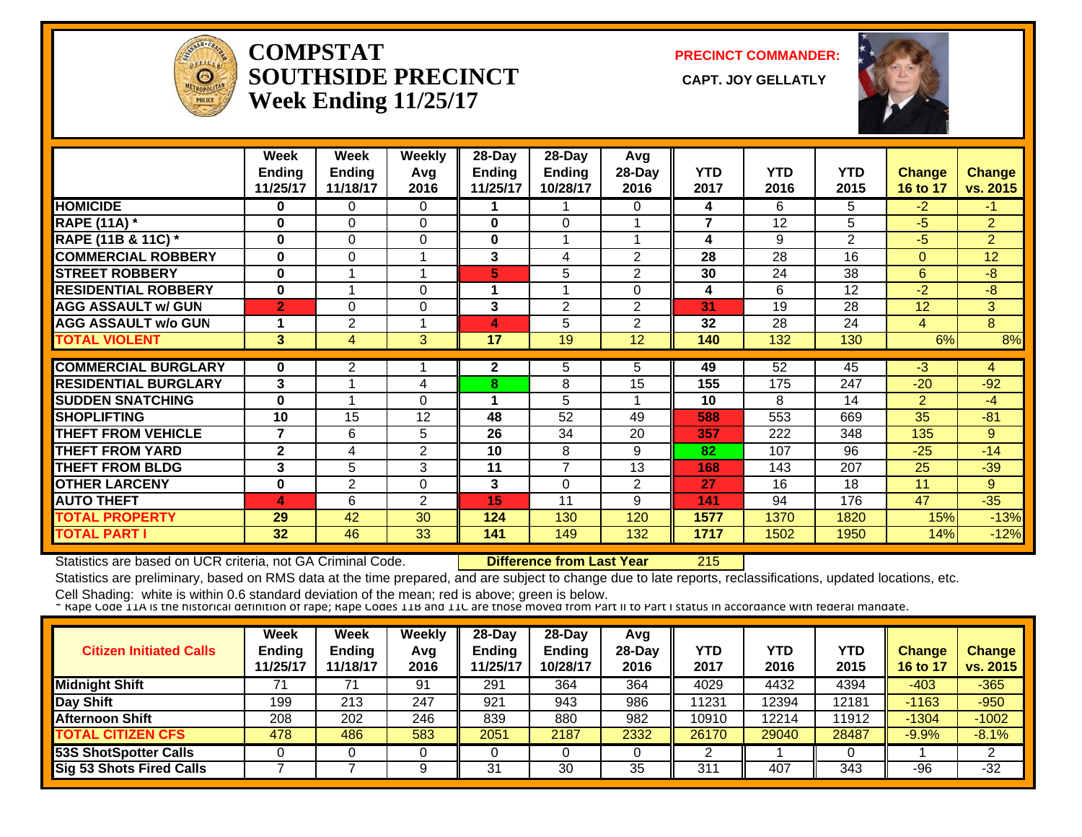

#### **COMPSTATSOUTHSIDE PRECINCT** CAPT. JOY GELLATLY **Week Ending 11/25/17**

**PRECINCT COMMANDER:**



|                             | Week             | Week          | <b>Weekly</b>  | $28-Day$ | 28-Day         | Avg            |                |            |                |                |                |
|-----------------------------|------------------|---------------|----------------|----------|----------------|----------------|----------------|------------|----------------|----------------|----------------|
|                             | <b>Ending</b>    | <b>Ending</b> | Avg            | Ending   | <b>Ending</b>  | 28-Day         | <b>YTD</b>     | <b>YTD</b> | <b>YTD</b>     | <b>Change</b>  | <b>Change</b>  |
|                             | 11/25/17         | 11/18/17      | 2016           | 11/25/17 | 10/28/17       | 2016           | 2017           | 2016       | 2015           | 16 to 17       | vs. 2015       |
| <b>HOMICIDE</b>             | 0                | 0             | $\Omega$       |          |                | 0              | 4              | 6          | 5              | $-2$           | $-1$           |
| <b>RAPE (11A) *</b>         | 0                | 0             | $\Omega$       | 0        | $\Omega$       |                | $\overline{7}$ | 12         | 5              | $-5$           | $\overline{2}$ |
| RAPE (11B & 11C) *          | $\bf{0}$         | $\Omega$      | $\Omega$       | 0        |                |                | 4              | 9          | $\overline{2}$ | $-5$           | $\overline{2}$ |
| <b>COMMERCIAL ROBBERY</b>   | $\mathbf 0$      | $\Omega$      |                | 3        | 4              | $\overline{2}$ | 28             | 28         | 16             | $\Omega$       | 12             |
| <b>STREET ROBBERY</b>       | $\mathbf 0$      |               | 1              | 5        | 5              | 2              | 30             | 24         | 38             | 6              | -8             |
| <b>RESIDENTIAL ROBBERY</b>  | $\bf{0}$         |               | 0              | 1        |                | 0              | 4              | 6          | 12             | $-2$           | $-8$           |
| <b>AGG ASSAULT w/ GUN</b>   | $\overline{2}$   | $\Omega$      | 0              | 3        | $\overline{2}$ | $\overline{2}$ | 31             | 19         | 28             | 12             | 3              |
| <b>AGG ASSAULT w/o GUN</b>  |                  | 2             | 1              | 4        | 5              | $\overline{2}$ | 32             | 28         | 24             | 4              | 8              |
| <b>TOTAL VIOLENT</b>        | 3                | 4             | 3              | 17       | 19             | 12             | 140            | 132        | 130            | 6%             | 8%             |
|                             |                  |               |                |          |                |                |                |            |                |                |                |
| <b>COMMERCIAL BURGLARY</b>  | 0                | 2             |                | 2        | 5              | 5.             | 49             | 52         | 45             | $-3$           | 4              |
| <b>RESIDENTIAL BURGLARY</b> | 3                |               | 4              | 8        | 8              | 15             | 155            | 175        | 247            | $-20$          | $-92$          |
| <b>SUDDEN SNATCHING</b>     | $\bf{0}$         |               | 0              |          | 5              |                | 10             | 8          | 14             | $\overline{2}$ | $-4$           |
| <b>ISHOPLIFTING</b>         | 10               | 15            | 12             | 48       | 52             | 49             | 588            | 553        | 669            | 35             | $-81$          |
| <b>THEFT FROM VEHICLE</b>   | $\overline{7}$   | 6             | 5              | 26       | 34             | 20             | 357            | 222        | 348            | 135            | 9              |
| <b>THEFT FROM YARD</b>      | $\mathbf{2}$     | 4             | $\overline{2}$ | 10       | 8              | 9              | 82             | 107        | 96             | $-25$          | $-14$          |
| <b>THEFT FROM BLDG</b>      | 3                | 5             | 3              | 11       | $\overline{7}$ | 13             | 168            | 143        | 207            | 25             | $-39$          |
| <b>OTHER LARCENY</b>        | $\bf{0}$         | 2             | $\Omega$       | 3        | $\Omega$       | 2              | 27             | 16         | 18             | 11             | 9              |
| <b>AUTO THEFT</b>           | $\blacktriangle$ | 6             | $\overline{2}$ | 15       | 11             | 9              | 141            | 94         | 176            | 47             | $-35$          |
| <b>TOTAL PROPERTY</b>       | 29               | 42            | 30             | 124      | 130            | 120            | 1577           | 1370       | 1820           | 15%            | $-13%$         |
| <b>TOTAL PART I</b>         | 32               | 46            | 33             | 141      | 149            | 132            | 1717           | 1502       | 1950           | 14%            | $-12%$         |

Statistics are based on UCR criteria, not GA Criminal Code. **Difference from Last Year** 215

Statistics are preliminary, based on RMS data at the time prepared, and are subject to change due to late reports, reclassifications, updated locations, etc.

| <b>Citizen Initiated Calls</b>  | <b>Week</b><br><b>Ending</b><br>11/25/17 | <b>Week</b><br><b>Ending</b><br>11/18/17 | Weekly<br>Avg<br>2016 | $28$ -Dav<br>Ending<br>11/25/17 | 28-Day<br><b>Ending</b><br>10/28/17 | Avg<br>$28-Day$<br>2016 | YTD<br>2017 | YTD<br>2016 | YTD<br>2015 | Change<br>16 to 17 | <b>Change</b><br>vs. 2015 |
|---------------------------------|------------------------------------------|------------------------------------------|-----------------------|---------------------------------|-------------------------------------|-------------------------|-------------|-------------|-------------|--------------------|---------------------------|
| <b>Midnight Shift</b>           |                                          |                                          | 91                    | 291                             | 364                                 | 364                     | 4029        | 4432        | 4394        | $-403$             | $-365$                    |
| Day Shift                       | 199                                      | 213                                      | 247                   | 921                             | 943                                 | 986                     | 11231       | 2394        | 12181       | $-1163$            | $-950$                    |
| <b>Afternoon Shift</b>          | 208                                      | 202                                      | 246                   | 839                             | 880                                 | 982                     | 10910       | 2214        | 11912       | $-1304$            | $-1002$                   |
| <b>TOTAL CITIZEN CFS</b>        | 478                                      | 486                                      | 583                   | 2051                            | 2187                                | 2332                    | 26170       | 29040       | 28487       | $-9.9%$            | $-8.1%$                   |
| <b>53S ShotSpotter Calls</b>    |                                          |                                          |                       |                                 |                                     |                         |             |             |             |                    |                           |
| <b>Sig 53 Shots Fired Calls</b> |                                          |                                          | a                     | 31                              | 30                                  | 35                      | 311         | 407         | 343         | $-96$              | $-32$                     |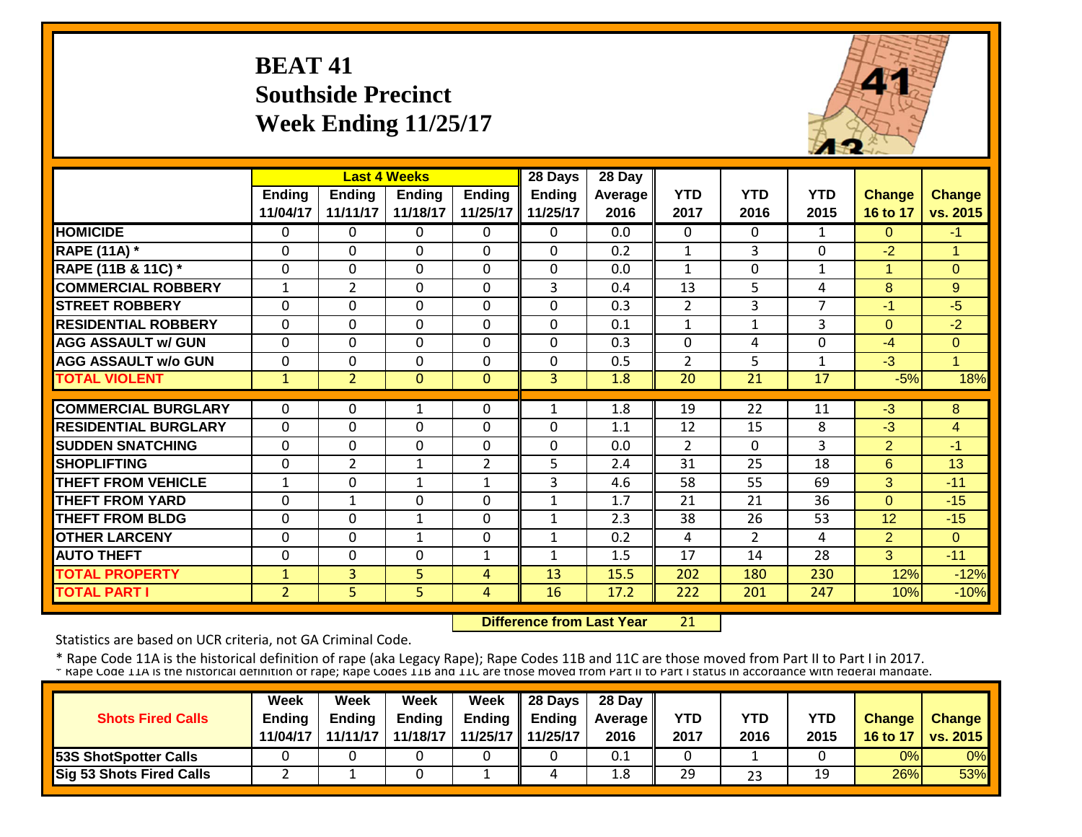# **BEAT 41 Southside Precinct Week Ending 11/25/17**



|                             |                | <b>Last 4 Weeks</b> |               |                | 28 Days        | 28 Day  |                |                |                |                |                      |
|-----------------------------|----------------|---------------------|---------------|----------------|----------------|---------|----------------|----------------|----------------|----------------|----------------------|
|                             | Ending         | <b>Ending</b>       | <b>Ending</b> | <b>Ending</b>  | <b>Ending</b>  | Average | <b>YTD</b>     | <b>YTD</b>     | <b>YTD</b>     | <b>Change</b>  | <b>Change</b>        |
|                             | 11/04/17       | 11/11/17            | 11/18/17      | 11/25/17       | 11/25/17       | 2016    | 2017           | 2016           | 2015           | 16 to 17       | vs. 2015             |
| <b>HOMICIDE</b>             | $\Omega$       | 0                   | 0             | $\Omega$       | $\Omega$       | 0.0     | $\Omega$       | $\Omega$       | $\mathbf{1}$   | $\Omega$       | $-1$                 |
| <b>RAPE (11A)</b> *         | $\Omega$       | $\Omega$            | $\Omega$      | $\Omega$       | $\Omega$       | 0.2     | $\mathbf{1}$   | 3              | 0              | $-2$           | $\overline{1}$       |
| RAPE (11B & 11C) *          | $\mathbf{0}$   | 0                   | $\Omega$      | $\mathbf 0$    | 0              | 0.0     | $\mathbf{1}$   | $\Omega$       | $\mathbf{1}$   | $\mathbf{1}$   | $\overline{0}$       |
| <b>COMMERCIAL ROBBERY</b>   | 1              | 2                   | $\Omega$      | $\Omega$       | 3              | 0.4     | 13             | 5              | 4              | 8              | 9                    |
| <b>STREET ROBBERY</b>       | $\mathbf 0$    | 0                   | $\mathbf 0$   | $\Omega$       | 0              | 0.3     | 2              | 3              | $\overline{7}$ | $-1$           | $-5$                 |
| <b>RESIDENTIAL ROBBERY</b>  | $\mathbf 0$    | 0                   | $\Omega$      | $\mathbf 0$    | $\mathbf 0$    | 0.1     | $\mathbf{1}$   | $\mathbf{1}$   | 3              | $\Omega$       | $-2$                 |
| <b>AGG ASSAULT w/ GUN</b>   | $\mathbf{0}$   | 0                   | $\Omega$      | $\mathbf 0$    | 0              | 0.3     | $\overline{0}$ | 4              | 0              | -4             | $\mathbf{0}$         |
| <b>AGG ASSAULT w/o GUN</b>  | $\Omega$       | 0                   | $\Omega$      | $\Omega$       | $\mathbf 0$    | 0.5     | $\overline{2}$ | 5              | 1              | $-3$           | $\blacktriangleleft$ |
| <b>TOTAL VIOLENT</b>        | $\mathbf{1}$   | $\overline{2}$      | $\Omega$      | $\mathbf{0}$   | 3 <sup>1</sup> | 1.8     | 20             | 21             | 17             | $-5%$          | 18%                  |
|                             |                |                     |               |                |                |         |                |                |                |                |                      |
| <b>COMMERCIAL BURGLARY</b>  | $\Omega$       | 0                   | 1             | $\Omega$       | 1              | 1.8     | 19             | 22             | 11             | $-3$           | 8                    |
| <b>RESIDENTIAL BURGLARY</b> | $\mathbf{0}$   | 0                   | $\Omega$      | $\Omega$       | 0              | 1.1     | 12             | 15             | 8              | $-3$           | $\overline{4}$       |
| <b>SUDDEN SNATCHING</b>     | $\Omega$       | 0                   | $\Omega$      | $\Omega$       | $\mathbf 0$    | 0.0     | $\overline{2}$ | $\Omega$       | 3              | $\overline{2}$ | $-1$                 |
| <b>SHOPLIFTING</b>          | $\Omega$       | 2                   | 1             | $\overline{2}$ | 5              | 2.4     | 31             | 25             | 18             | $6\phantom{1}$ | 13                   |
| <b>THEFT FROM VEHICLE</b>   | $\mathbf{1}$   | 0                   | $\mathbf{1}$  | $\mathbf{1}$   | 3              | 4.6     | 58             | 55             | 69             | 3              | $-11$                |
| <b>THEFT FROM YARD</b>      | $\Omega$       | 1                   | $\Omega$      | 0              | $\mathbf{1}$   | 1.7     | 21             | 21             | 36             | $\Omega$       | $-15$                |
| <b>THEFT FROM BLDG</b>      | $\Omega$       | 0                   | 1             | 0              | 1              | 2.3     | 38             | 26             | 53             | 12             | $-15$                |
| <b>OTHER LARCENY</b>        | $\Omega$       | 0                   | 1             | 0              | $\mathbf{1}$   | 0.2     | 4              | $\overline{2}$ | 4              | $\overline{2}$ | $\Omega$             |
| <b>AUTO THEFT</b>           | $\Omega$       | $\Omega$            | $\Omega$      | 1              | $\mathbf{1}$   | 1.5     | 17             | 14             | 28             | 3              | $-11$                |
| <b>TOTAL PROPERTY</b>       | $\mathbf{1}$   | 3                   | 5             | 4              | 13             | 15.5    | 202            | 180            | 230            | 12%            | $-12%$               |
| <b>TOTAL PART I</b>         | $\overline{2}$ | 5                   | 5             | 4              | 16             | 17.2    | 222            | 201            | 247            | 10%            | $-10%$               |

 **Difference from Last Year**21

Statistics are based on UCR criteria, not GA Criminal Code.

|                                 | <b>Week</b>   | Week     | Week          | Week              | 28 Days       | 28 Day            |      |            |            |               |                   |
|---------------------------------|---------------|----------|---------------|-------------------|---------------|-------------------|------|------------|------------|---------------|-------------------|
| <b>Shots Fired Calls</b>        | <b>Ending</b> | Endina   | <b>Ending</b> | Ending            | <b>Ending</b> | <b>Average II</b> | YTD  | <b>YTD</b> | <b>YTD</b> | <b>Change</b> | Change            |
|                                 | 11/04/17      | 11/11/17 | 11/18/17      | 11/25/17 11/25/17 |               | 2016              | 2017 | 2016       | 2015       | 16 to 17      | $\sqrt{vs. 2015}$ |
| <b>153S ShotSpotter Calls</b>   |               |          |               |                   |               | 0.1               |      |            |            | 0%            | 0%                |
| <b>Sig 53 Shots Fired Calls</b> |               |          | ີ             |                   |               | 1.8               | 29   | 23         | 19         | 26%           | 53%               |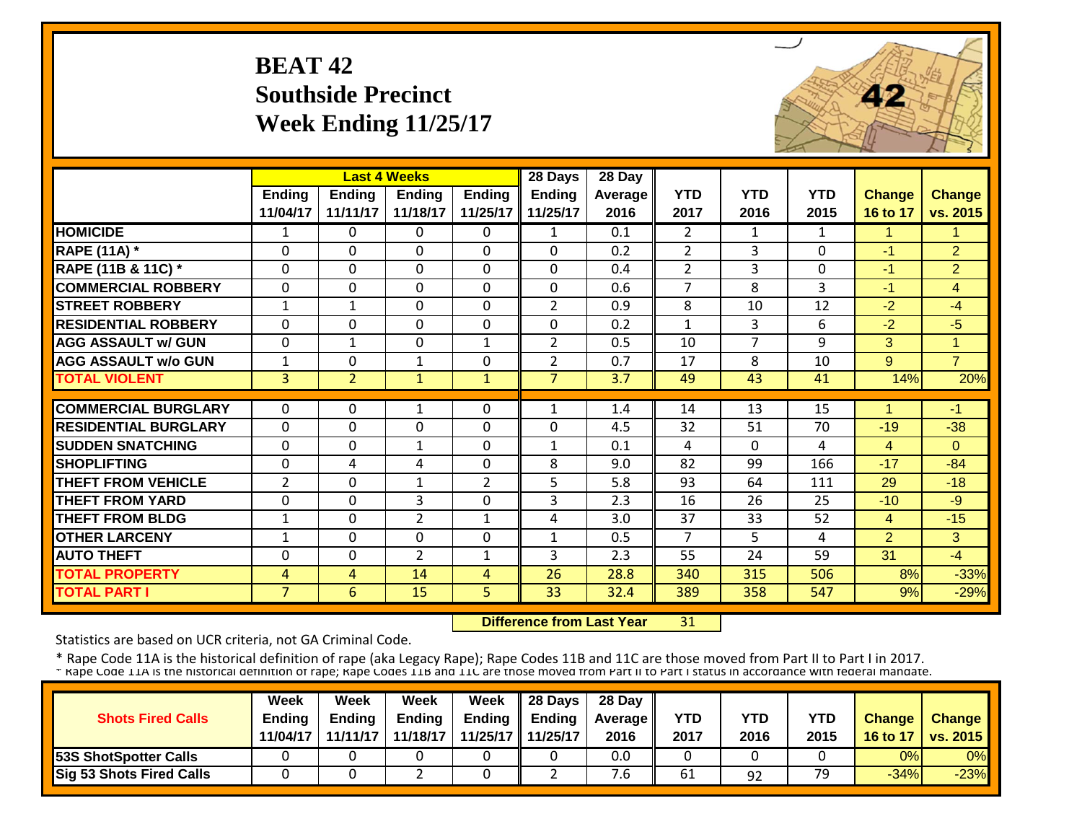### **BEAT 42Southside Precinct Week Ending 11/25/17**



|                             |                | <b>Last 4 Weeks</b> |                |                | 28 Days        | 28 Day  |                |                |              |                |                |
|-----------------------------|----------------|---------------------|----------------|----------------|----------------|---------|----------------|----------------|--------------|----------------|----------------|
|                             | <b>Ending</b>  | <b>Ending</b>       | <b>Ending</b>  | <b>Ending</b>  | <b>Ending</b>  | Average | <b>YTD</b>     | <b>YTD</b>     | <b>YTD</b>   | <b>Change</b>  | <b>Change</b>  |
|                             | 11/04/17       | 11/11/17            | 11/18/17       | 11/25/17       | 11/25/17       | 2016    | 2017           | 2016           | 2015         | 16 to 17       | vs. 2015       |
| <b>HOMICIDE</b>             | 1              | 0                   | $\Omega$       | $\Omega$       | 1              | 0.1     | $\overline{2}$ | $\mathbf{1}$   | $\mathbf{1}$ | 1              | 1.             |
| <b>RAPE (11A) *</b>         | $\mathbf 0$    | 0                   | 0              | $\mathbf 0$    | 0              | 0.2     | $\overline{2}$ | 3              | $\mathbf{0}$ | $-1$           | $\overline{2}$ |
| RAPE (11B & 11C) *          | $\Omega$       | $\Omega$            | $\Omega$       | $\Omega$       | $\Omega$       | 0.4     | $\overline{2}$ | 3              | $\Omega$     | $-1$           | $\overline{2}$ |
| <b>COMMERCIAL ROBBERY</b>   | $\Omega$       | $\Omega$            | $\Omega$       | $\Omega$       | $\Omega$       | 0.6     | 7              | 8              | 3            | $-1$           | 4              |
| <b>STREET ROBBERY</b>       | $\mathbf{1}$   | $\mathbf{1}$        | $\mathbf 0$    | $\Omega$       | $\overline{2}$ | 0.9     | 8              | 10             | 12           | $-2$           | $-4$           |
| <b>RESIDENTIAL ROBBERY</b>  | $\mathbf{0}$   | 0                   | $\Omega$       | $\Omega$       | 0              | 0.2     | $\mathbf{1}$   | 3              | 6            | $-2$           | $-5$           |
| <b>AGG ASSAULT w/ GUN</b>   | $\mathbf{0}$   | $\mathbf 1$         | $\Omega$       | $\mathbf{1}$   | $\overline{2}$ | 0.5     | 10             | $\overline{7}$ | 9            | 3              | $\mathbf{1}$   |
| <b>AGG ASSAULT w/o GUN</b>  | $\mathbf{1}$   | 0                   | $\mathbf{1}$   | $\Omega$       | $\overline{2}$ | 0.7     | 17             | 8              | 10           | 9              | $\overline{7}$ |
| <b>TOTAL VIOLENT</b>        | $\overline{3}$ | $\overline{2}$      | 1              | $\mathbf{1}$   | $\overline{7}$ | 3.7     | 49             | 43             | 41           | 14%            | 20%            |
|                             |                |                     |                |                |                |         |                |                |              |                |                |
| <b>COMMERCIAL BURGLARY</b>  | $\Omega$       | 0                   | 1              | 0              | $\mathbf{1}$   | 1.4     | 14             | 13             | 15           |                | $-1$           |
| <b>RESIDENTIAL BURGLARY</b> | $\mathbf{0}$   | 0                   | $\Omega$       | $\Omega$       | 0              | 4.5     | 32             | 51             | 70           | $-19$          | $-38$          |
| <b>SUDDEN SNATCHING</b>     | $\Omega$       | 0                   | 1              | $\Omega$       | 1              | 0.1     | 4              | $\Omega$       | 4            | 4              | $\Omega$       |
| <b>SHOPLIFTING</b>          | $\mathbf{0}$   | 4                   | 4              | $\Omega$       | 8              | 9.0     | 82             | 99             | 166          | $-17$          | $-84$          |
| <b>THEFT FROM VEHICLE</b>   | $\overline{2}$ | 0                   | 1              | $\overline{2}$ | 5              | 5.8     | 93             | 64             | 111          | 29             | $-18$          |
| <b>THEFT FROM YARD</b>      | $\Omega$       | 0                   | 3              | $\Omega$       | 3              | 2.3     | 16             | 26             | 25           | $-10$          | $-9$           |
| <b>THEFT FROM BLDG</b>      | 1              | 0                   | $\overline{2}$ | 1              | 4              | 3.0     | 37             | 33             | 52           | $\overline{4}$ | $-15$          |
| <b>OTHER LARCENY</b>        | 1              | 0                   | $\Omega$       | $\Omega$       | $\mathbf{1}$   | 0.5     | 7              | 5.             | 4            | $\overline{2}$ | 3              |
| <b>AUTO THEFT</b>           | $\Omega$       | 0                   | $\overline{2}$ | 1              | 3              | 2.3     | 55             | 24             | 59           | 31             | $-4$           |
| <b>TOTAL PROPERTY</b>       | $\overline{4}$ | 4                   | 14             | 4              | 26             | 28.8    | 340            | 315            | 506          | 8%             | $-33%$         |
| <b>TOTAL PART I</b>         | $\overline{7}$ | 6                   | 15             | 5.             | 33             | 32.4    | 389            | 358            | 547          | 9%             | $-29%$         |

 **Difference from Last Year**31

Statistics are based on UCR criteria, not GA Criminal Code.

|                                 | Week          | Week          | Week          | Week                | $\parallel$ 28 Days       | 28 Day            |            |      |      |               |                 |
|---------------------------------|---------------|---------------|---------------|---------------------|---------------------------|-------------------|------------|------|------|---------------|-----------------|
| <b>Shots Fired Calls</b>        | <b>Ending</b> | <b>Ending</b> | <b>Ending</b> |                     | Ending $\parallel$ Ending | <b>Average</b> II | <b>YTD</b> | YTD  | YTD  | <b>Change</b> | <b>Change</b>   |
|                                 | 11/04/17      | 11/11/17      | 11/18/17      | 11/25/17   11/25/17 |                           | 2016              | 2017       | 2016 | 2015 | 16 to 17      | <b>vs. 2015</b> |
| <b>53S ShotSpotter Calls</b>    |               |               |               |                     |                           | 0.0               |            |      |      | 0%            | 0%              |
| <b>Sig 53 Shots Fired Calls</b> |               |               |               |                     |                           | 6.'               | 61         | 92   | 79   | $-34%$        | $-23%$          |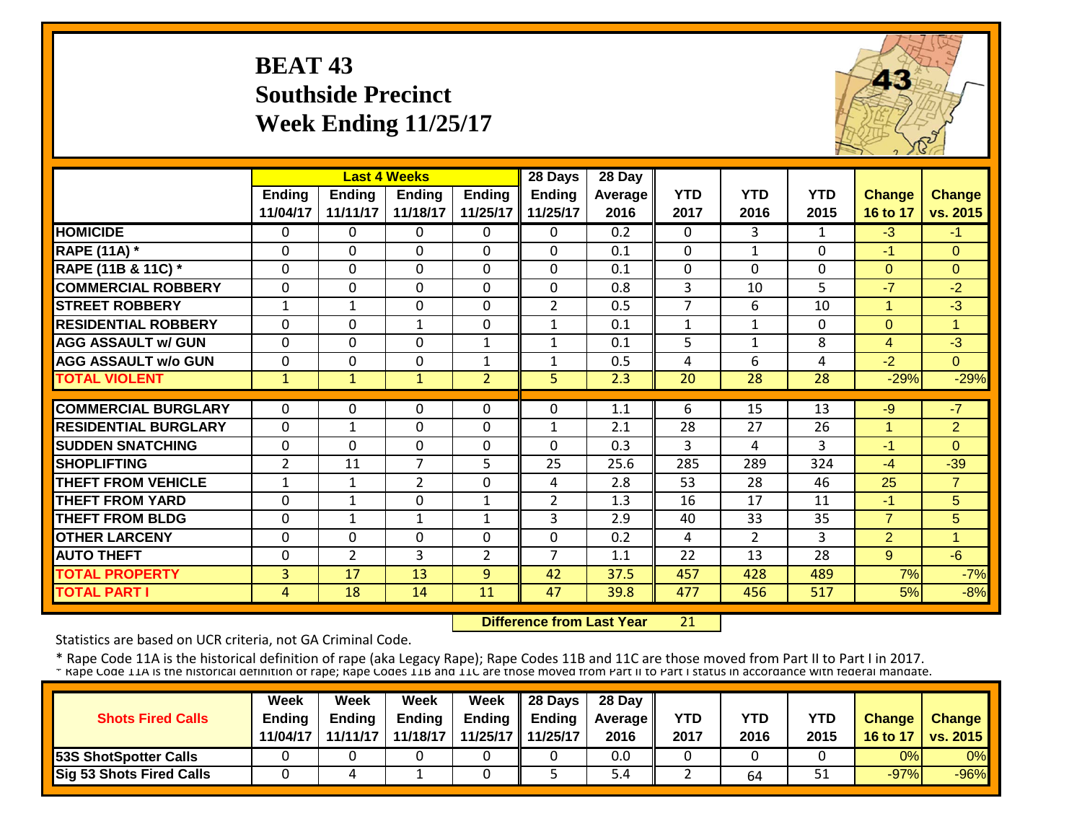#### **BEAT 43 Southside Precinct Week Ending 11/25/17**



|                             |                | <b>Last 4 Weeks</b> |                |                | 28 Days        | 28 Day  |                |                |              |                |                |
|-----------------------------|----------------|---------------------|----------------|----------------|----------------|---------|----------------|----------------|--------------|----------------|----------------|
|                             | <b>Ending</b>  | <b>Ending</b>       | <b>Ending</b>  | <b>Ending</b>  | <b>Ending</b>  | Average | <b>YTD</b>     | <b>YTD</b>     | <b>YTD</b>   | <b>Change</b>  | Change         |
|                             | 11/04/17       | 11/11/17            | 11/18/17       | 11/25/17       | 11/25/17       | 2016    | 2017           | 2016           | 2015         | 16 to 17       | vs. 2015       |
| <b>HOMICIDE</b>             | $\Omega$       | $\Omega$            | $\Omega$       | $\Omega$       | $\Omega$       | 0.2     | $\Omega$       | 3              | $\mathbf{1}$ | $-3$           | $-1$           |
| <b>RAPE (11A) *</b>         | $\Omega$       | 0                   | $\Omega$       | $\Omega$       | $\mathbf 0$    | 0.1     | $\Omega$       | $\mathbf{1}$   | $\Omega$     | $-1$           | $\Omega$       |
| RAPE (11B & 11C) *          | $\Omega$       | $\Omega$            | $\Omega$       | $\Omega$       | $\mathbf 0$    | 0.1     | $\mathbf 0$    | $\Omega$       | $\Omega$     | $\overline{0}$ | $\Omega$       |
| <b>COMMERCIAL ROBBERY</b>   | $\Omega$       | $\Omega$            | $\Omega$       | $\Omega$       | $\Omega$       | 0.8     | 3              | 10             | 5            | $-7$           | $-2$           |
| <b>STREET ROBBERY</b>       | $\mathbf{1}$   | $\mathbf{1}$        | $\Omega$       | $\Omega$       | $\overline{2}$ | 0.5     | $\overline{7}$ | 6              | 10           | $\mathbf{1}$   | $-3$           |
| <b>RESIDENTIAL ROBBERY</b>  | $\Omega$       | 0                   | $\mathbf{1}$   | $\Omega$       | $\mathbf{1}$   | 0.1     | $\mathbf{1}$   | $\mathbf{1}$   | 0            | $\Omega$       | 1              |
| <b>AGG ASSAULT w/ GUN</b>   | $\mathbf 0$    | 0                   | $\mathbf 0$    | $\mathbf{1}$   | $\mathbf{1}$   | 0.1     | 5              | 1              | 8            | $\overline{4}$ | $-3$           |
| <b>AGG ASSAULT w/o GUN</b>  | $\Omega$       | 0                   | $\Omega$       | 1              | $\mathbf{1}$   | 0.5     | 4              | 6              | 4            | $-2$           | $\Omega$       |
| <b>TOTAL VIOLENT</b>        | $\mathbf{1}$   | $\mathbf{1}$        | $\mathbf{1}$   | $\overline{2}$ | 5 <sup>1</sup> | 2.3     | 20             | 28             | 28           | $-29%$         | $-29%$         |
|                             |                |                     |                |                |                |         |                |                |              |                |                |
| <b>COMMERCIAL BURGLARY</b>  | $\Omega$       | 0                   | $\Omega$       | $\Omega$       | $\Omega$       | 1.1     | 6              | 15             | 13           | $-9$           | $-7$           |
| <b>RESIDENTIAL BURGLARY</b> | $\mathbf 0$    | 1                   | $\mathbf 0$    | 0              | $\mathbf{1}$   | 2.1     | 28             | 27             | 26           | 1              | $\overline{2}$ |
| <b>SUDDEN SNATCHING</b>     | $\mathbf 0$    | $\Omega$            | $\Omega$       | 0              | $\Omega$       | 0.3     | 3              | 4              | 3            | $-1$           | $\Omega$       |
| <b>SHOPLIFTING</b>          | $\overline{2}$ | 11                  | 7              | 5              | 25             | 25.6    | 285            | 289            | 324          | $-4$           | $-39$          |
| <b>THEFT FROM VEHICLE</b>   | 1              | 1                   | $\overline{2}$ | 0              | 4              | 2.8     | 53             | 28             | 46           | 25             | $\overline{7}$ |
| <b>THEFT FROM YARD</b>      | $\mathbf 0$    | $\mathbf{1}$        | $\mathbf 0$    | $\mathbf{1}$   | $\overline{2}$ | 1.3     | 16             | 17             | 11           | $-1$           | 5              |
| <b>THEFT FROM BLDG</b>      | $\Omega$       | 1                   | 1              | 1              | 3              | 2.9     | 40             | 33             | 35           | $\overline{7}$ | 5              |
| <b>OTHER LARCENY</b>        | $\Omega$       | 0                   | $\Omega$       | $\Omega$       | $\Omega$       | 0.2     | 4              | $\overline{2}$ | 3            | $\overline{2}$ | 1              |
| <b>AUTO THEFT</b>           | $\Omega$       | $\overline{2}$      | 3              | $\overline{2}$ | $\overline{7}$ | 1.1     | 22             | 13             | 28           | 9              | $-6$           |
| <b>TOTAL PROPERTY</b>       | 3              | 17                  | 13             | 9              | 42             | 37.5    | 457            | 428            | 489          | 7%             | $-7%$          |
| <b>TOTAL PART I</b>         | 4              | 18                  | 14             | 11             | 47             | 39.8    | 477            | 456            | 517          | 5%             | $-8%$          |

 **Difference from Last Year**21

Statistics are based on UCR criteria, not GA Criminal Code.

|                                 | Week          | Week          | Week          | <b>Week</b> | $\parallel$ 28 Days       | 28 Day            |      |      |      |               |                 |
|---------------------------------|---------------|---------------|---------------|-------------|---------------------------|-------------------|------|------|------|---------------|-----------------|
| <b>Shots Fired Calls</b>        | <b>Endina</b> | <b>Ending</b> | <b>Ending</b> |             | Ending $\parallel$ Ending | <b>Average</b> II | YTD  | YTD  | YTD  | <b>Change</b> | <b>Change</b>   |
|                                 | 11/04/17      | 11/11/17      | 11/18/17      |             | 11/25/17 11/25/17         | 2016              | 2017 | 2016 | 2015 | 16 to 17      | <b>vs. 2015</b> |
| <b>53S ShotSpotter Calls</b>    |               |               |               |             |                           | 0.0               |      |      |      | 0%            | 0%              |
| <b>Sig 53 Shots Fired Calls</b> |               |               |               |             |                           | 5.4               |      | 64   | ⊥ ب  | $-97%$        | $-96%$          |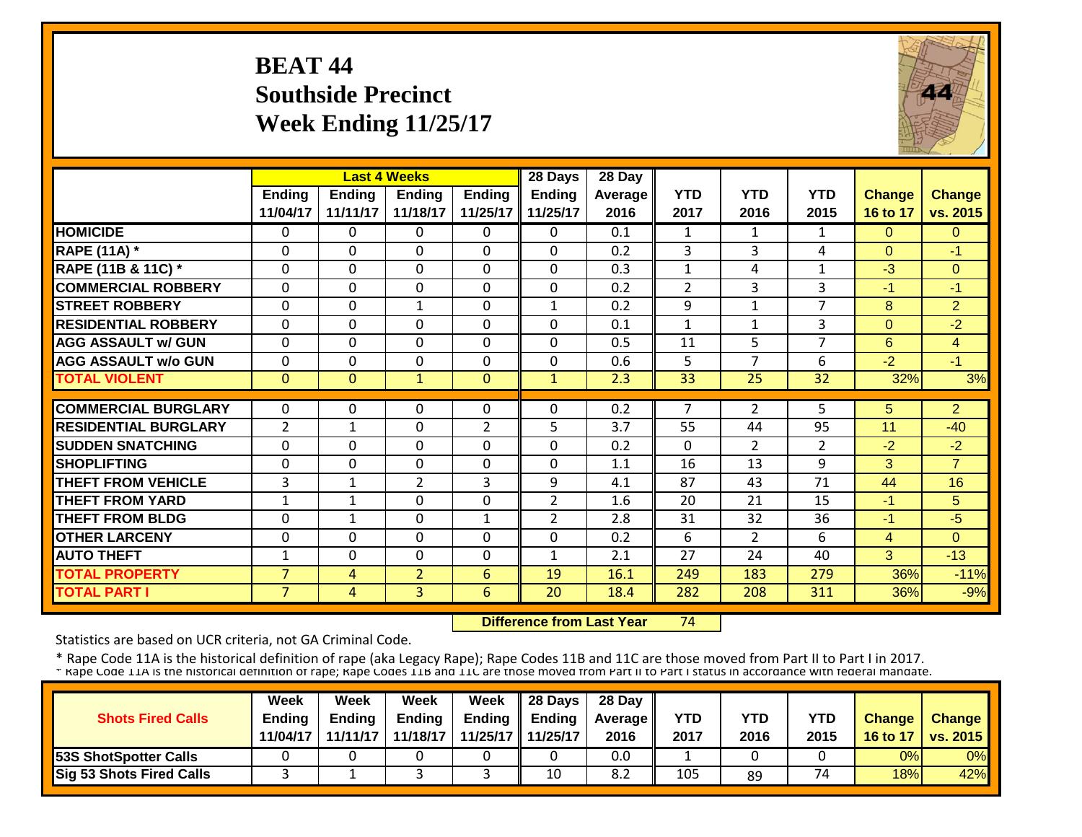## **BEAT 44 Southside Precinct Week Ending 11/25/17**



|                             |                | <b>Last 4 Weeks</b> |                |                | 28 Days        | 28 Day  |                |                |                |                |                |
|-----------------------------|----------------|---------------------|----------------|----------------|----------------|---------|----------------|----------------|----------------|----------------|----------------|
|                             | <b>Ending</b>  | <b>Ending</b>       | <b>Ending</b>  | <b>Ending</b>  | <b>Ending</b>  | Average | <b>YTD</b>     | <b>YTD</b>     | <b>YTD</b>     | <b>Change</b>  | <b>Change</b>  |
|                             | 11/04/17       | 11/11/17            | 11/18/17       | 11/25/17       | 11/25/17       | 2016    | 2017           | 2016           | 2015           | 16 to 17       | vs. 2015       |
| <b>HOMICIDE</b>             | $\Omega$       | 0                   | 0              | $\Omega$       | 0              | 0.1     | $\mathbf{1}$   | $\mathbf{1}$   | $\mathbf{1}$   | $\Omega$       | $\Omega$       |
| <b>RAPE (11A)</b> *         | $\Omega$       | $\Omega$            | $\Omega$       | $\Omega$       | 0              | 0.2     | 3              | 3              | 4              | $\Omega$       | -1             |
| RAPE (11B & 11C) *          | $\mathbf 0$    | 0                   | $\Omega$       | $\mathbf 0$    | 0              | 0.3     | $\mathbf{1}$   | 4              | $\mathbf{1}$   | $-3$           | $\Omega$       |
| <b>COMMERCIAL ROBBERY</b>   | $\mathbf{0}$   | 0                   | $\Omega$       | $\Omega$       | 0              | 0.2     | $\overline{2}$ | 3              | 3              | $-1$           | $-1$           |
| <b>STREET ROBBERY</b>       | $\mathbf{0}$   | 0                   | $\mathbf{1}$   | $\mathbf 0$    | $\mathbf{1}$   | 0.2     | 9              | 1              | $\overline{7}$ | 8              | $\overline{2}$ |
| <b>RESIDENTIAL ROBBERY</b>  | $\mathbf{0}$   | 0                   | $\Omega$       | $\Omega$       | 0              | 0.1     | $\mathbf{1}$   | $\mathbf{1}$   | 3              | $\Omega$       | $-2$           |
| <b>AGG ASSAULT w/ GUN</b>   | $\mathbf{0}$   | 0                   | $\Omega$       | $\Omega$       | 0              | 0.5     | 11             | 5              | 7              | 6              | $\overline{4}$ |
| <b>AGG ASSAULT w/o GUN</b>  | $\Omega$       | 0                   | $\Omega$       | $\Omega$       | 0              | 0.6     | 5              | $\overline{ }$ | 6              | $-2$           | $-1$           |
| <b>TOTAL VIOLENT</b>        | $\mathbf{0}$   | $\Omega$            | $\mathbf{1}$   | $\mathbf{0}$   | $\mathbf{1}$   | 2.3     | 33             | 25             | 32             | 32%            | 3%             |
|                             |                |                     |                |                |                |         |                |                |                |                |                |
| <b>COMMERCIAL BURGLARY</b>  | $\Omega$       | 0                   | $\Omega$       | 0              | 0              | 0.2     | 7              | $\overline{2}$ | 5              | 5              | $\overline{2}$ |
| <b>RESIDENTIAL BURGLARY</b> | $\overline{2}$ | 1                   | $\Omega$       | $\overline{2}$ | 5              | 3.7     | 55             | 44             | 95             | 11             | $-40$          |
| <b>SUDDEN SNATCHING</b>     | $\Omega$       | 0                   | $\Omega$       | $\Omega$       | 0              | 0.2     | $\Omega$       | $\overline{2}$ | 2              | $-2$           | $-2$           |
| <b>SHOPLIFTING</b>          | $\Omega$       | $\Omega$            | $\Omega$       | $\Omega$       | 0              | 1.1     | 16             | 13             | 9              | 3              | $\overline{7}$ |
| <b>THEFT FROM VEHICLE</b>   | 3              | 1                   | $\overline{2}$ | 3              | 9              | 4.1     | 87             | 43             | 71             | 44             | 16             |
| <b>THEFT FROM YARD</b>      | 1              | 1                   | $\Omega$       | $\Omega$       | $\overline{2}$ | 1.6     | 20             | 21             | 15             | $-1$           | 5.             |
| <b>THEFT FROM BLDG</b>      | $\Omega$       | $\mathbf{1}$        | $\Omega$       | 1              | $\overline{2}$ | 2.8     | 31             | 32             | 36             | $-1$           | $-5$           |
| <b>OTHER LARCENY</b>        | $\mathbf{0}$   | 0                   | $\Omega$       | $\Omega$       | 0              | 0.2     | 6              | $\overline{2}$ | 6              | $\overline{4}$ | $\Omega$       |
| <b>AUTO THEFT</b>           | $\mathbf{1}$   | 0                   | $\Omega$       | $\Omega$       | $\mathbf{1}$   | 2.1     | 27             | 24             | 40             | 3              | $-13$          |
| <b>TOTAL PROPERTY</b>       | $\overline{7}$ | 4                   | $\overline{2}$ | 6              | 19             | 16.1    | 249            | 183            | 279            | 36%            | $-11%$         |
| <b>TOTAL PART I</b>         | $\overline{7}$ | 4                   | 3              | 6              | 20             | 18.4    | 282            | 208            | 311            | 36%            | $-9%$          |

 **Difference from Last Year**74

Statistics are based on UCR criteria, not GA Criminal Code.

|                                 | Week          | Week     | Week          | Week              | 28 Days       | 28 Day            |      |            |            |               |                 |
|---------------------------------|---------------|----------|---------------|-------------------|---------------|-------------------|------|------------|------------|---------------|-----------------|
| <b>Shots Fired Calls</b>        | <b>Ending</b> | Endina   | <b>Ending</b> | Ending            | <b>Ending</b> | <b>Average II</b> | YTD  | <b>YTD</b> | <b>YTD</b> | <b>Change</b> | Change          |
|                                 | 11/04/17      | 11/11/17 | 11/18/17      | 11/25/17 11/25/17 |               | 2016              | 2017 | 2016       | 2015       | 16 to 17      | <b>vs. 2015</b> |
| <b>153S ShotSpotter Calls</b>   |               |          |               |                   |               | 0.0               |      |            |            | 0%            | 0%              |
| <b>Sig 53 Shots Fired Calls</b> |               |          |               |                   | 10            | 8.2               | 105  | 89         | 74         | 18%           | 42%             |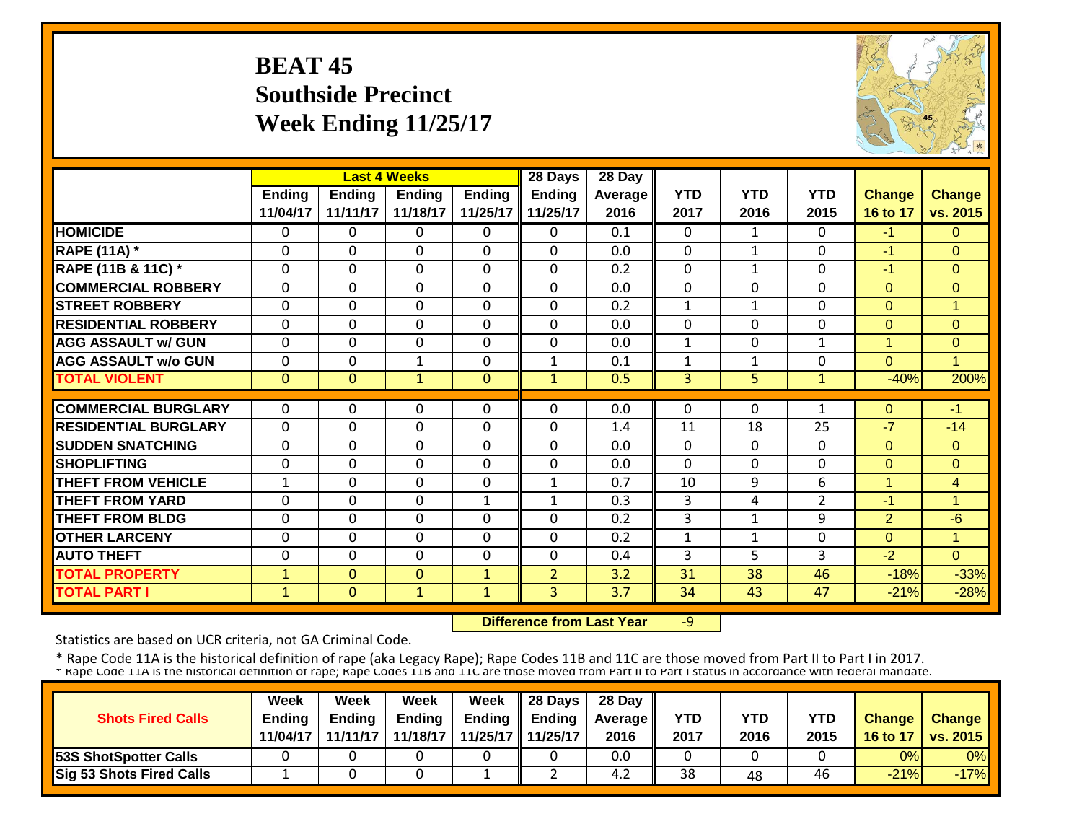# **BEAT 45 Southside Precinct Week Ending 11/25/17**



|                             |               |               | <b>Last 4 Weeks</b> |               | 28 Days        | 28 Day  |              |                |                |                |                      |
|-----------------------------|---------------|---------------|---------------------|---------------|----------------|---------|--------------|----------------|----------------|----------------|----------------------|
|                             | <b>Ending</b> | <b>Ending</b> | <b>Ending</b>       | <b>Ending</b> | <b>Ending</b>  | Average | <b>YTD</b>   | <b>YTD</b>     | <b>YTD</b>     | <b>Change</b>  | Change               |
|                             | 11/04/17      | 11/11/17      | 11/18/17            | 11/25/17      | 11/25/17       | 2016    | 2017         | 2016           | 2015           | 16 to 17       | vs. 2015             |
| <b>HOMICIDE</b>             | $\mathbf{0}$  | 0             | $\Omega$            | $\Omega$      | 0              | 0.1     | $\Omega$     | $\mathbf{1}$   | $\Omega$       | $-1$           | $\overline{0}$       |
| <b>RAPE (11A) *</b>         | $\Omega$      | 0             | $\Omega$            | $\Omega$      | $\Omega$       | 0.0     | $\Omega$     | $\mathbf{1}$   | $\mathbf{0}$   | $-1$           | $\Omega$             |
| RAPE (11B & 11C) *          | $\Omega$      | $\Omega$      | $\Omega$            | $\Omega$      | $\Omega$       | 0.2     | $\Omega$     | $\mathbf{1}$   | $\Omega$       | $-1$           | $\overline{0}$       |
| <b>COMMERCIAL ROBBERY</b>   | $\Omega$      | $\Omega$      | $\Omega$            | $\Omega$      | $\Omega$       | 0.0     | $\Omega$     | $\Omega$       | $\Omega$       | $\Omega$       | $\Omega$             |
| <b>STREET ROBBERY</b>       | $\mathbf 0$   | 0             | $\Omega$            | $\Omega$      | $\Omega$       | 0.2     | $\mathbf{1}$ | $\mathbf{1}$   | $\Omega$       | $\Omega$       | $\blacktriangleleft$ |
| <b>RESIDENTIAL ROBBERY</b>  | $\Omega$      | 0             | $\Omega$            | $\Omega$      | 0              | 0.0     | $\mathbf 0$  | $\Omega$       | $\Omega$       | $\Omega$       | $\Omega$             |
| <b>AGG ASSAULT w/ GUN</b>   | $\mathbf 0$   | 0             | $\Omega$            | $\mathbf 0$   | 0              | 0.0     | $\mathbf{1}$ | 0              | $\mathbf{1}$   | 1              | $\overline{0}$       |
| <b>AGG ASSAULT w/o GUN</b>  | $\mathbf 0$   | 0             | $\mathbf{1}$        | $\mathbf 0$   | $\mathbf{1}$   | 0.1     | $\mathbf{1}$ | $\mathbf{1}$   | $\mathbf 0$    | $\Omega$       | 1                    |
| <b>TOTAL VIOLENT</b>        | $\mathbf{0}$  | $\Omega$      | $\mathbf{1}$        | $\mathbf{0}$  | $\mathbf{1}$   | 0.5     | 3            | 5 <sup>1</sup> | $\mathbf{1}$   | $-40%$         | 200%                 |
|                             |               |               |                     |               |                |         |              |                |                |                |                      |
| <b>COMMERCIAL BURGLARY</b>  | $\mathbf{0}$  | 0             | $\Omega$            | $\Omega$      | $\Omega$       | 0.0     | 0            | 0              | 1              | $\Omega$       | $-1$                 |
| <b>RESIDENTIAL BURGLARY</b> | $\mathbf{0}$  | 0             | $\mathbf 0$         | $\Omega$      | 0              | 1.4     | 11           | 18             | 25             | $-7$           | $-14$                |
| <b>SUDDEN SNATCHING</b>     | $\Omega$      | 0             | $\Omega$            | $\mathbf 0$   | $\Omega$       | 0.0     | $\Omega$     | $\Omega$       | $\Omega$       | $\Omega$       | $\Omega$             |
| <b>SHOPLIFTING</b>          | $\Omega$      | 0             | $\Omega$            | $\Omega$      | $\Omega$       | 0.0     | $\Omega$     | $\Omega$       | $\mathbf 0$    | $\Omega$       | $\Omega$             |
| <b>THEFT FROM VEHICLE</b>   | $\mathbf 1$   | 0             | $\Omega$            | $\Omega$      | $\mathbf{1}$   | 0.7     | 10           | 9              | 6              | 1              | $\overline{4}$       |
| <b>THEFT FROM YARD</b>      | $\mathbf 0$   | 0             | $\mathbf 0$         | $\mathbf{1}$  | $\mathbf{1}$   | 0.3     | 3            | 4              | $\overline{2}$ | $-1$           | 1                    |
| <b>THEFT FROM BLDG</b>      | $\Omega$      | 0             | $\Omega$            | $\Omega$      | $\Omega$       | 0.2     | 3            | 1              | 9              | $\overline{2}$ | $-6$                 |
| <b>OTHER LARCENY</b>        | $\Omega$      | $\Omega$      | $\Omega$            | $\Omega$      | $\Omega$       | 0.2     | 1            | 1              | $\Omega$       | $\Omega$       | 1.                   |
| <b>AUTO THEFT</b>           | $\Omega$      | 0             | $\Omega$            | $\Omega$      | $\Omega$       | 0.4     | 3            | 5              | 3              | $-2$           | $\Omega$             |
| <b>TOTAL PROPERTY</b>       | $\mathbf{1}$  | $\Omega$      | $\mathbf{0}$        | $\mathbf{1}$  | $\overline{2}$ | 3.2     | 31           | 38             | 46             | $-18%$         | $-33%$               |
| <b>TOTAL PART I</b>         | $\mathbf{1}$  | $\Omega$      | $\mathbf{1}$        | $\mathbf{1}$  | $\overline{3}$ | 3.7     | 34           | 43             | 47             | $-21%$         | $-28%$               |

 **Difference from Last Year**‐9

Statistics are based on UCR criteria, not GA Criminal Code.

|                              | Week          | Week          | Week          | Week                | $\parallel$ 28 Days       | 28 Day            |            |      |      |               |                 |
|------------------------------|---------------|---------------|---------------|---------------------|---------------------------|-------------------|------------|------|------|---------------|-----------------|
| <b>Shots Fired Calls</b>     | <b>Ending</b> | <b>Ending</b> | <b>Ending</b> |                     | Ending $\parallel$ Ending | <b>Average</b> II | <b>YTD</b> | YTD  | YTD  | <b>Change</b> | <b>Change</b>   |
|                              | 11/04/17      | 11/11/17      | 11/18/17      | 11/25/17   11/25/17 |                           | 2016              | 2017       | 2016 | 2015 | 16 to 17      | <b>vs. 2015</b> |
| <b>53S ShotSpotter Calls</b> |               |               |               |                     |                           | 0.0               |            |      |      | 0%            | 0%              |
| Sig 53 Shots Fired Calls     |               |               |               |                     |                           | 4.2               | 38         | 48   | 46   | $-21%$        | $-17%$          |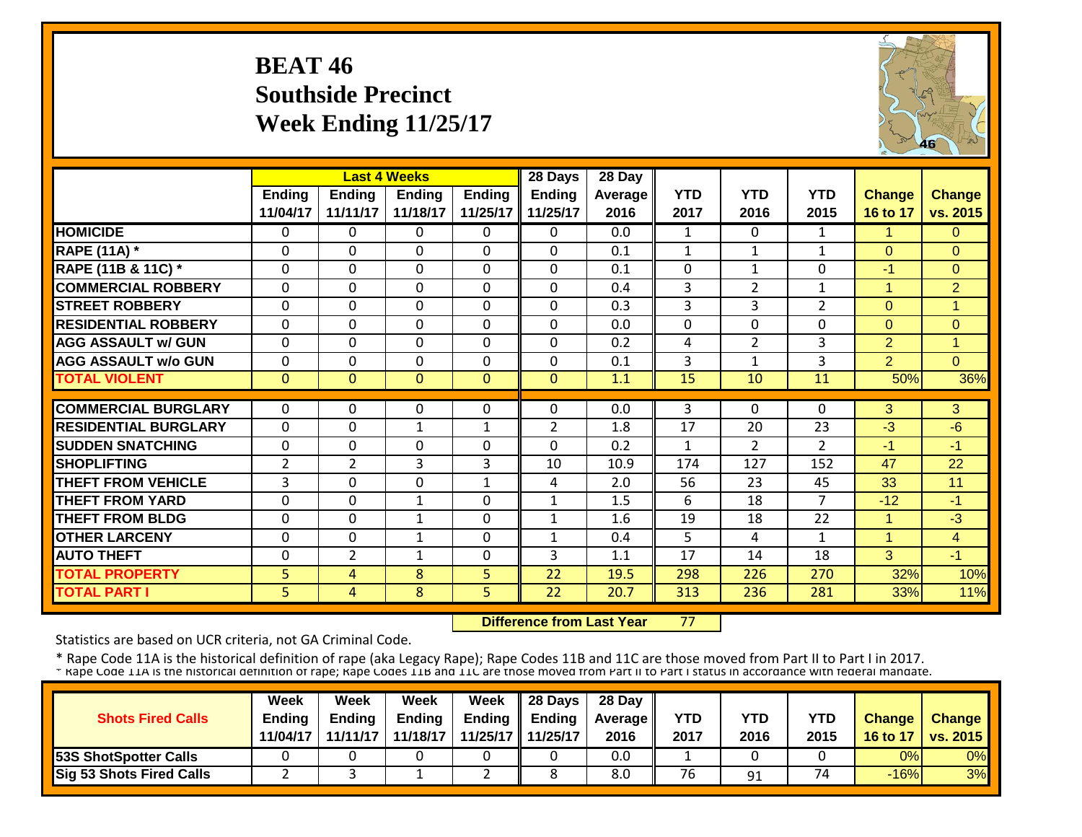### **BEAT 46 Southside Precinct Week Ending 11/25/17**



|                             |                |                | <b>Last 4 Weeks</b> |             | 28 Days        | 28 Day         |              |                |                |                      |                |
|-----------------------------|----------------|----------------|---------------------|-------------|----------------|----------------|--------------|----------------|----------------|----------------------|----------------|
|                             | Ending         | <b>Ending</b>  | Ending              | Ending      | <b>Ending</b>  | <b>Average</b> | <b>YTD</b>   | <b>YTD</b>     | <b>YTD</b>     | <b>Change</b>        | <b>Change</b>  |
|                             | 11/04/17       | 11/11/17       | 11/18/17            | 11/25/17    | 11/25/17       | 2016           | 2017         | 2016           | 2015           | 16 to 17             | vs. 2015       |
| <b>HOMICIDE</b>             | $\Omega$       | 0              | $\Omega$            | $\Omega$    | $\Omega$       | 0.0            | $\mathbf{1}$ | 0              | $\mathbf{1}$   | 1                    | $\Omega$       |
| <b>RAPE (11A) *</b>         | $\Omega$       | 0              | $\Omega$            | $\Omega$    | $\Omega$       | 0.1            | $\mathbf{1}$ | $\mathbf{1}$   | $\mathbf{1}$   | $\Omega$             | $\Omega$       |
| RAPE (11B & 11C) *          | $\Omega$       | 0              | $\Omega$            | $\Omega$    | $\Omega$       | 0.1            | $\Omega$     | 1              | 0              | $-1$                 | $\Omega$       |
| <b>COMMERCIAL ROBBERY</b>   | $\Omega$       | 0              | $\Omega$            | $\Omega$    | $\Omega$       | 0.4            | $\mathbf{3}$ | $\overline{2}$ | $\mathbf{1}$   | $\overline{1}$       | $\overline{2}$ |
| <b>STREET ROBBERY</b>       | $\Omega$       | 0              | $\mathbf 0$         | $\Omega$    | $\mathbf{0}$   | 0.3            | 3            | 3              | $\overline{2}$ | $\Omega$             | $\mathbf{1}$   |
| <b>RESIDENTIAL ROBBERY</b>  | $\Omega$       | 0              | $\Omega$            | 0           | $\Omega$       | 0.0            | 0            | $\Omega$       | 0              | $\Omega$             | $\Omega$       |
| <b>AGG ASSAULT w/ GUN</b>   | $\Omega$       | 0              | $\Omega$            | 0           | $\mathbf 0$    | 0.2            | 4            | $\overline{2}$ | 3              | $\overline{2}$       | $\overline{1}$ |
| <b>AGG ASSAULT w/o GUN</b>  | $\Omega$       | 0              | 0                   | 0           | $\Omega$       | 0.1            | 3            | 1              | 3              | $\overline{2}$       | $\Omega$       |
| <b>TOTAL VIOLENT</b>        | $\mathbf{0}$   | $\Omega$       | $\overline{0}$      | $\Omega$    | $\Omega$       | 1.1            | 15           | 10             | 11             | 50%                  | 36%            |
|                             |                |                |                     |             |                |                |              |                |                |                      |                |
| <b>COMMERCIAL BURGLARY</b>  | $\mathbf{0}$   | 0              | 0                   | $\Omega$    | $\Omega$       | 0.0            | 3            | 0              | 0              | 3                    | 3              |
| <b>RESIDENTIAL BURGLARY</b> | $\Omega$       | 0              | $\mathbf{1}$        | 1           | $\overline{2}$ | 1.8            | 17           | 20             | 23             | $-3$                 | $-6$           |
| <b>SUDDEN SNATCHING</b>     | $\Omega$       | 0              | 0                   | 0           | $\Omega$       | 0.2            | 1            | $\overline{2}$ | $\overline{2}$ | $-1$                 | $-1$           |
| <b>SHOPLIFTING</b>          | 2              | $\overline{2}$ | 3                   | 3           | 10             | 10.9           | 174          | 127            | 152            | 47                   | 22             |
| <b>THEFT FROM VEHICLE</b>   | 3              | 0              | 0                   | 1           | 4              | 2.0            | 56           | 23             | 45             | 33                   | 11             |
| <b>THEFT FROM YARD</b>      | $\Omega$       | 0              | $\mathbf{1}$        | $\Omega$    | $\mathbf{1}$   | 1.5            | 6            | 18             | 7              | $-12$                | $-1$           |
| <b>THEFT FROM BLDG</b>      | $\Omega$       | 0              | $\mathbf{1}$        | 0           | $\mathbf{1}$   | 1.6            | 19           | 18             | 22             | $\blacktriangleleft$ | $-3$           |
| <b>OTHER LARCENY</b>        | $\Omega$       | 0              | $\mathbf{1}$        | $\Omega$    | $\mathbf{1}$   | 0.4            | 5            | 4              | $\mathbf{1}$   | $\blacktriangleleft$ | $\overline{4}$ |
| <b>AUTO THEFT</b>           | $\mathbf 0$    | $\overline{2}$ | $\mathbf{1}$        | $\mathbf 0$ | 3              | 1.1            | 17           | 14             | 18             | 3                    | $-1$           |
| <b>TOTAL PROPERTY</b>       | 5              | 4              | 8                   | 5           | 22             | 19.5           | 298          | 226            | 270            | 32%                  | 10%            |
| <b>TOTAL PART I</b>         | 5 <sup>1</sup> | 4              | 8                   | 5           | 22             | 20.7           | 313          | 236            | 281            | 33%                  | 11%            |

 **Difference from Last Year**77

Statistics are based on UCR criteria, not GA Criminal Code.

|                                 | Week          | Week          | Week          | <b>Week</b> | $\parallel$ 28 Days       | 28 Day            |      |      |      |               |                 |
|---------------------------------|---------------|---------------|---------------|-------------|---------------------------|-------------------|------|------|------|---------------|-----------------|
| <b>Shots Fired Calls</b>        | <b>Endina</b> | <b>Ending</b> | <b>Ending</b> |             | Ending $\parallel$ Ending | <b>Average</b> II | YTD  | YTD  | YTD  | <b>Change</b> | <b>Change</b>   |
|                                 | 11/04/17      | 11/11/17      | 11/18/17      |             | 11/25/17 11/25/17         | 2016              | 2017 | 2016 | 2015 | 16 to 17      | <b>vs. 2015</b> |
| <b>53S ShotSpotter Calls</b>    |               |               |               |             |                           | 0.0               |      |      |      | 0%            | 0%              |
| <b>Sig 53 Shots Fired Calls</b> |               |               |               | <u>.</u>    |                           | 8.0               | 76   | 91   | 74   | $-16%$        | 3%              |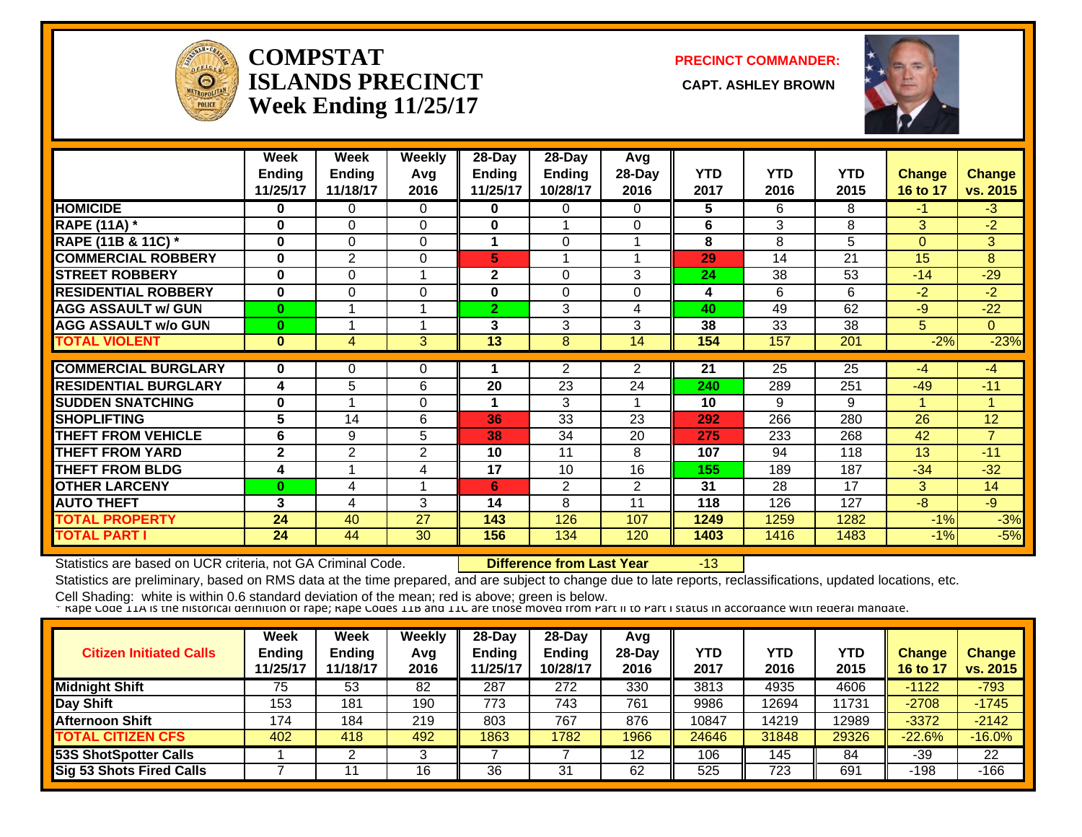

#### **COMPSTATISLANDS PRECINCT Week Ending 11/25/17**

**PRECINCT COMMANDER:**

**CAPT. ASHLEY BROWN** 



|                             | Week           | Week           | <b>Weekly</b>  | 28-Day        | $28$ -Day      | Avg            |            |            |            |               |                |
|-----------------------------|----------------|----------------|----------------|---------------|----------------|----------------|------------|------------|------------|---------------|----------------|
|                             | <b>Ending</b>  | <b>Ending</b>  | Avg            | <b>Ending</b> | Ending         | 28-Day         | <b>YTD</b> | <b>YTD</b> | <b>YTD</b> | <b>Change</b> | <b>Change</b>  |
|                             | 11/25/17       | 11/18/17       | 2016           | 11/25/17      | 10/28/17       | 2016           | 2017       | 2016       | 2015       | 16 to 17      | vs. 2015       |
| <b>HOMICIDE</b>             | 0              | $\Omega$       | $\Omega$       | 0             | $\Omega$       | $\Omega$       | 5          | 6          | 8          | $-1$          | $-3$           |
| <b>RAPE (11A) *</b>         | $\bf{0}$       | $\Omega$       | $\Omega$       | $\bf{0}$      |                | $\Omega$       | 6          | 3          | 8          | 3             | $-2$           |
| RAPE (11B & 11C) *          | $\bf{0}$       | $\Omega$       | 0              |               | $\Omega$       |                | 8          | 8          | 5          | $\Omega$      | 3              |
| <b>COMMERCIAL ROBBERY</b>   | 0              | 2              | 0              | 5             |                |                | 29         | 14         | 21         | 15            | 8              |
| <b>STREET ROBBERY</b>       | 0              | $\Omega$       | 1              | 2             | $\Omega$       | 3              | 24         | 38         | 53         | $-14$         | $-29$          |
| <b>RESIDENTIAL ROBBERY</b>  | $\bf{0}$       | 0              | $\Omega$       | 0             | $\Omega$       | $\Omega$       | 4          | 6          | 6          | $-2$          | $-2$           |
| <b>AGG ASSAULT w/ GUN</b>   | $\bf{0}$       |                | 1              | 2             | 3              | 4              | 40         | 49         | 62         | $-9$          | $-22$          |
| <b>AGG ASSAULT w/o GUN</b>  | $\bf{0}$       |                | 1              | 3             | 3              | 3              | 38         | 33         | 38         | 5             | $\Omega$       |
| <b>TOTAL VIOLENT</b>        | $\mathbf{0}$   | 4              | 3              | 13            | 8              | 14             | 154        | 157        | 201        | $-2%$         | $-23%$         |
|                             |                |                |                |               |                |                |            |            |            |               |                |
| <b>COMMERCIAL BURGLARY</b>  | 0              | 0              | 0              |               | 2              | 2              | 21         | 25         | 25         | $-4$          | $-4$           |
| <b>RESIDENTIAL BURGLARY</b> | 4              | 5              | 6              | 20            | 23             | 24             | 240        | 289        | 251        | $-49$         | $-11$          |
| <b>SUDDEN SNATCHING</b>     | $\bf{0}$       |                | 0              |               | 3              |                | 10         | 9          | 9          |               | 4              |
| <b>SHOPLIFTING</b>          | 5              | 14             | 6              | 36            | 33             | 23             | 292        | 266        | 280        | 26            | 12             |
| <b>THEFT FROM VEHICLE</b>   | 6              | 9              | 5              | 38            | 34             | 20             | 275        | 233        | 268        | 42            | $\overline{7}$ |
| <b>THEFT FROM YARD</b>      | $\overline{2}$ | $\overline{2}$ | $\overline{2}$ | 10            | 11             | 8              | 107        | 94         | 118        | 13            | $-11$          |
| <b>THEFT FROM BLDG</b>      | 4              |                | 4              | 17            | 10             | 16             | 155        | 189        | 187        | $-34$         | $-32$          |
| <b>OTHER LARCENY</b>        | $\bf{0}$       | 4              |                | 6             | $\overline{2}$ | $\overline{2}$ | 31         | 28         | 17         | 3             | 14             |
| <b>AUTO THEFT</b>           | 3              | 4              | 3              | 14            | 8              | 11             | 118        | 126        | 127        | $-8$          | $-9$           |
| <b>TOTAL PROPERTY</b>       | 24             | 40             | 27             | 143           | 126            | 107            | 1249       | 1259       | 1282       | $-1%$         | $-3%$          |
| <b>TOTAL PART I</b>         | 24             | 44             | 30             | 156           | 134            | 120            | 1403       | 1416       | 1483       | $-1%$         | $-5%$          |

Statistics are based on UCR criteria, not GA Criminal Code. **Difference from Last Year** -13

Statistics are preliminary, based on RMS data at the time prepared, and are subject to change due to late reports, reclassifications, updated locations, etc.

| <b>Citizen Initiated Calls</b>  | Week<br><b>Ending</b><br>11/25/17 | Week<br><b>Ending</b><br>11/18/17 | Weekly<br>Avg<br>2016 | 28-Day<br>Ending<br>1/25/17 | 28-Day<br><b>Ending</b><br>10/28/17 | Avg<br>$28-Day$<br>2016 | YTD<br>2017 | YTD<br>2016 | YTD<br>2015 | <b>Change</b><br>16 to 17 | <b>Change</b><br>vs. 2015 |
|---------------------------------|-----------------------------------|-----------------------------------|-----------------------|-----------------------------|-------------------------------------|-------------------------|-------------|-------------|-------------|---------------------------|---------------------------|
| <b>Midnight Shift</b>           | 75                                | 53                                | 82                    | 287                         | 272                                 | 330                     | 3813        | 4935        | 4606        | $-1122$                   | $-793$                    |
| Day Shift                       | 153                               | 181                               | 190                   | 773                         | 743                                 | 761                     | 9986        | 2694        | 11731       | $-2708$                   | $-1745$                   |
| <b>Afternoon Shift</b>          | 174                               | 184                               | 219                   | 803                         | 767                                 | 876                     | 10847       | 14219       | 12989       | $-3372$                   | $-2142$                   |
| <b>TOTAL CITIZEN CFS</b>        | 402                               | 418                               | 492                   | 1863                        | 1782                                | 1966                    | 24646       | 31848       | 29326       | $-22.6%$                  | $-16.0%$                  |
| <b>53S ShotSpotter Calls</b>    |                                   |                                   |                       |                             |                                     | 12                      | 106         | 145         | 84          | $-39$                     | 22                        |
| <b>Sig 53 Shots Fired Calls</b> |                                   |                                   | 16                    | 36                          | 31                                  | 62                      | 525         | 723         | 691         | -198                      | $-166$                    |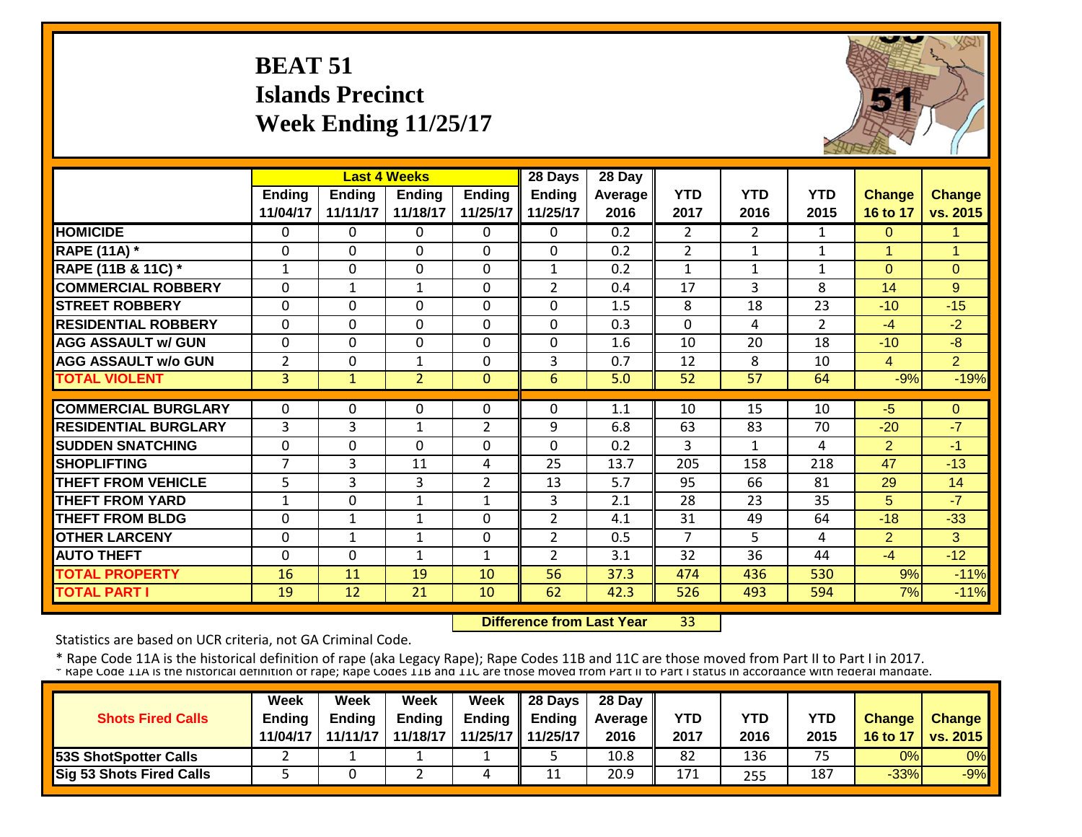# **BEAT 51 Islands Precinct Week Ending 11/25/17**



|                             |                |              | <b>Last 4 Weeks</b> |                | 28 Days        | 28 Day  |                |                       |                |                |                      |
|-----------------------------|----------------|--------------|---------------------|----------------|----------------|---------|----------------|-----------------------|----------------|----------------|----------------------|
|                             | Ending         | Ending       | <b>Ending</b>       | <b>Ending</b>  | <b>Ending</b>  | Average | <b>YTD</b>     | <b>YTD</b>            | <b>YTD</b>     | Change         | <b>Change</b>        |
|                             | 11/04/17       | 11/11/17     | 11/18/17            | 11/25/17       | 11/25/17       | 2016    | 2017           | 2016                  | 2015           | 16 to 17       | vs. 2015             |
| <b>HOMICIDE</b>             | 0              | 0            | 0                   | 0              | 0              | 0.2     | $\overline{2}$ | $\mathbf{2}^{\prime}$ | 1              | $\Omega$       | 1.                   |
| <b>RAPE (11A) *</b>         | $\Omega$       | $\Omega$     | $\Omega$            | $\Omega$       | $\mathbf 0$    | 0.2     | 2              | $\mathbf{1}$          | $\mathbf{1}$   | $\mathbf{1}$   | $\blacktriangleleft$ |
| RAPE (11B & 11C) *          | $\mathbf{1}$   | 0            | $\Omega$            | $\Omega$       | $\mathbf{1}$   | 0.2     | $\mathbf{1}$   | 1                     | $\mathbf{1}$   | $\Omega$       | $\mathbf{0}$         |
| <b>COMMERCIAL ROBBERY</b>   | $\mathbf{0}$   | $\mathbf{1}$ | $\mathbf{1}$        | $\Omega$       | $\overline{2}$ | 0.4     | 17             | 3                     | 8              | 14             | 9                    |
| <b>STREET ROBBERY</b>       | $\Omega$       | 0            | $\Omega$            | $\Omega$       | $\mathbf 0$    | 1.5     | 8              | 18                    | 23             | $-10$          | $-15$                |
| <b>RESIDENTIAL ROBBERY</b>  | $\mathbf{0}$   | $\Omega$     | $\Omega$            | $\Omega$       | $\mathbf 0$    | 0.3     | $\mathbf{0}$   | 4                     | $\overline{2}$ | $-4$           | $-2$                 |
| <b>AGG ASSAULT w/ GUN</b>   | $\Omega$       | $\mathbf 0$  | $\Omega$            | $\Omega$       | $\mathbf 0$    | 1.6     | 10             | 20                    | 18             | $-10$          | $-8$                 |
| <b>AGG ASSAULT w/o GUN</b>  | $\overline{2}$ | 0            | $\mathbf{1}$        | $\Omega$       | 3              | 0.7     | 12             | 8                     | 10             | $\overline{4}$ | $\overline{2}$       |
| <b>TOTAL VIOLENT</b>        | $\overline{3}$ | $\mathbf{1}$ | $\overline{2}$      | $\mathbf{0}$   | 6              | 5.0     | 52             | 57                    | 64             | $-9%$          | $-19%$               |
|                             |                |              |                     |                |                |         |                |                       |                |                |                      |
| <b>COMMERCIAL BURGLARY</b>  | $\Omega$       | 0            | $\Omega$            | $\Omega$       | $\Omega$       | 1.1     | 10             | 15                    | 10             | $-5$           | $\Omega$             |
| <b>RESIDENTIAL BURGLARY</b> | 3              | 3            | $\mathbf{1}$        | $\overline{2}$ | 9              | 6.8     | 63             | 83                    | 70             | $-20$          | $-7$                 |
| <b>ISUDDEN SNATCHING</b>    | $\mathbf{0}$   | 0            | $\Omega$            | $\Omega$       | $\Omega$       | 0.2     | 3              | 1                     | 4              | $\overline{2}$ | $-1$                 |
| <b>SHOPLIFTING</b>          | $\overline{7}$ | 3            | 11                  | 4              | 25             | 13.7    | 205            | 158                   | 218            | 47             | $-13$                |
| <b>THEFT FROM VEHICLE</b>   | 5              | 3            | 3                   | $\overline{2}$ | 13             | 5.7     | 95             | 66                    | 81             | 29             | 14                   |
| <b>THEFT FROM YARD</b>      | $\mathbf{1}$   | 0            | $\mathbf{1}$        | $\mathbf{1}$   | 3              | 2.1     | 28             | 23                    | 35             | 5              | $-7$                 |
| <b>THEFT FROM BLDG</b>      | $\mathbf 0$    | 1            | $\mathbf{1}$        | 0              | $\overline{2}$ | 4.1     | 31             | 49                    | 64             | $-18$          | $-33$                |
| <b>OTHER LARCENY</b>        | $\Omega$       | 1            | 1                   | $\Omega$       | $\overline{2}$ | 0.5     | $\overline{7}$ | 5.                    | 4              | $\overline{2}$ | 3                    |
| <b>AUTO THEFT</b>           | $\Omega$       | 0            | 1                   | 1              | $\overline{2}$ | 3.1     | 32             | 36                    | 44             | $-4$           | $-12$                |
| <b>TOTAL PROPERTY</b>       | 16             | 11           | 19                  | 10             | 56             | 37.3    | 474            | 436                   | 530            | 9%             | $-11%$               |
| <b>TOTAL PART I</b>         | 19             | 12           | 21                  | 10             | 62             | 42.3    | 526            | 493                   | 594            | 7%             | $-11%$               |

 **Difference from Last Year**33

Statistics are based on UCR criteria, not GA Criminal Code.

|                               | <b>Week</b>   | Week     | Week          | Week                | 28 Days       | 28 Day            |      |            |            |               |                 |
|-------------------------------|---------------|----------|---------------|---------------------|---------------|-------------------|------|------------|------------|---------------|-----------------|
| <b>Shots Fired Calls</b>      | <b>Ending</b> | Endina   | <b>Ending</b> | Ending              | <b>Ending</b> | <b>Average II</b> | YTD  | <b>YTD</b> | <b>YTD</b> | <b>Change</b> | Change          |
|                               | 11/04/17      | 11/11/17 | 11/18/17      | 11/25/17   11/25/17 |               | 2016              | 2017 | 2016       | 2015       | 16 to 17      | <b>VS. 2015</b> |
| <b>153S ShotSpotter Calls</b> |               |          |               |                     |               | 10.8              | 82   | 136        | 75         | 0%            | 0%              |
| Sig 53 Shots Fired Calls      |               |          |               | 4                   | 11            | 20.9              | 171  | 255        | 187        | $-33%$        | $-9%$           |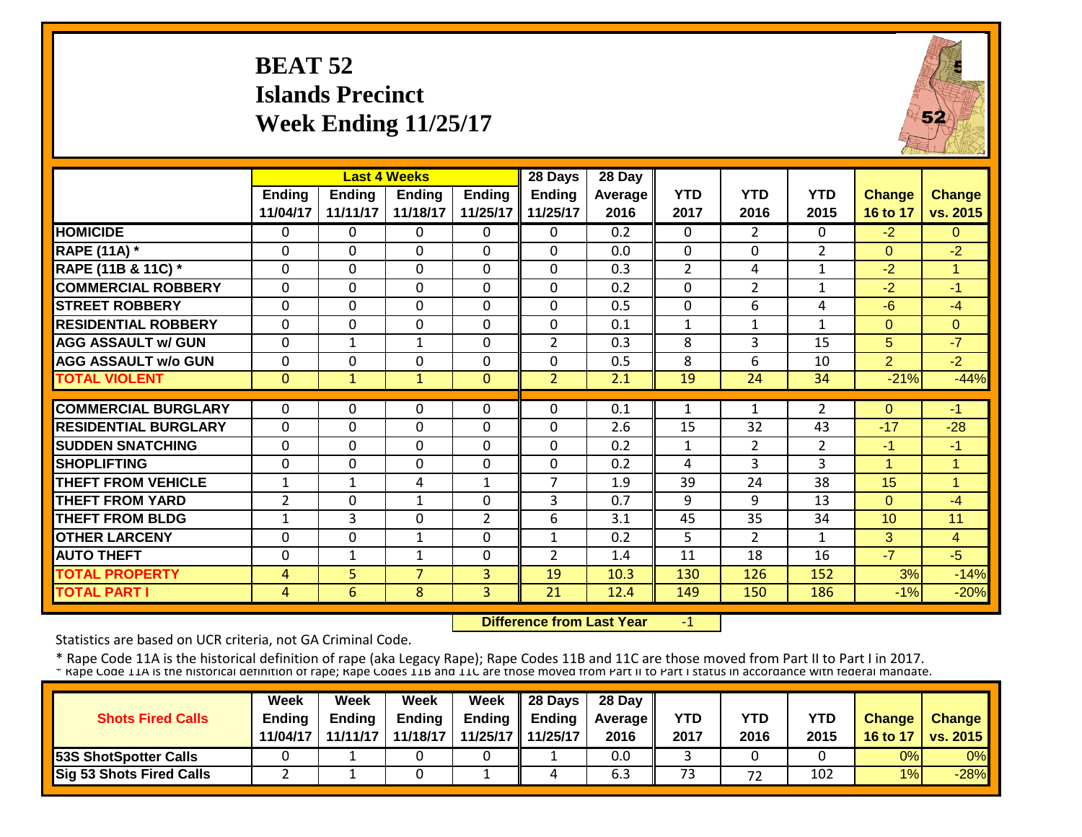# **BEAT 52 Islands Precinct Week Ending 11/25/17**



|                             |                |                | <b>Last 4 Weeks</b> |                | 28 Days        | 28 Day  |                |                |                |                      |                |
|-----------------------------|----------------|----------------|---------------------|----------------|----------------|---------|----------------|----------------|----------------|----------------------|----------------|
|                             | Ending         | <b>Ending</b>  | Endina              | <b>Ending</b>  | <b>Ending</b>  | Average | <b>YTD</b>     | <b>YTD</b>     | <b>YTD</b>     | <b>Change</b>        | <b>Change</b>  |
|                             | 11/04/17       | 11/11/17       | 11/18/17            | 11/25/17       | 11/25/17       | 2016    | 2017           | 2016           | 2015           | 16 to 17             | vs. 2015       |
| <b>HOMICIDE</b>             | $\overline{0}$ | 0              | 0                   | 0              | 0              | 0.2     | $\Omega$       | $\overline{2}$ | 0              | $-2$                 | $\Omega$       |
| <b>RAPE (11A) *</b>         | $\Omega$       | 0              | $\Omega$            | $\Omega$       | $\Omega$       | 0.0     | $\Omega$       | $\Omega$       | $\overline{2}$ | $\Omega$             | $-2$           |
| RAPE (11B & 11C) *          | $\Omega$       | 0              | $\Omega$            | $\Omega$       | $\mathbf 0$    | 0.3     | $\overline{2}$ | 4              | $\mathbf{1}$   | -2                   | 1              |
| <b>COMMERCIAL ROBBERY</b>   | $\Omega$       | 0              | $\Omega$            | 0              | $\mathbf 0$    | 0.2     | $\Omega$       | $\overline{2}$ | $\mathbf{1}$   | $-2$                 | $-1$           |
| <b>STREET ROBBERY</b>       | $\mathbf 0$    | 0              | $\Omega$            | $\Omega$       | $\mathbf 0$    | 0.5     | $\mathbf 0$    | 6              | 4              | -6                   | $-4$           |
| <b>RESIDENTIAL ROBBERY</b>  | $\Omega$       | 0              | 0                   | $\mathbf 0$    | $\mathbf 0$    | 0.1     | 1              | $\mathbf{1}$   | $\mathbf{1}$   | $\Omega$             | $\Omega$       |
| <b>AGG ASSAULT w/ GUN</b>   | $\Omega$       | $\mathbf{1}$   | $\mathbf{1}$        | 0              | $\overline{2}$ | 0.3     | 8              | 3              | 15             | 5                    | $-7$           |
| <b>AGG ASSAULT w/o GUN</b>  | $\Omega$       | 0              | $\Omega$            | $\Omega$       | $\Omega$       | 0.5     | 8              | 6              | 10             | $\overline{2}$       | $-2$           |
| <b>TOTAL VIOLENT</b>        | $\mathbf{0}$   | $\mathbf{1}$   | 1                   | $\mathbf 0$    | $\overline{2}$ | 2.1     | 19             | 24             | 34             | $-21%$               | $-44%$         |
|                             |                |                |                     |                |                |         |                |                |                |                      |                |
| <b>COMMERCIAL BURGLARY</b>  | $\Omega$       | 0              | 0                   | 0              | 0              | 0.1     | 1              | 1              | 2              | $\Omega$             | -1             |
| <b>RESIDENTIAL BURGLARY</b> | $\mathbf 0$    | 0              | $\mathbf 0$         | 0              | $\mathbf 0$    | 2.6     | 15             | 32             | 43             | $-17$                | $-28$          |
| <b>SUDDEN SNATCHING</b>     | $\Omega$       | 0              | 0                   | 0              | $\mathbf 0$    | 0.2     | $\mathbf{1}$   | $\overline{2}$ | $\overline{2}$ | -1                   | $-1$           |
| <b>SHOPLIFTING</b>          | $\Omega$       | 0              | 0                   | 0              | $\mathbf 0$    | 0.2     | 4              | 3              | 3              | $\blacktriangleleft$ | 1              |
| <b>THEFT FROM VEHICLE</b>   | $\mathbf 1$    | 1              | 4                   | 1              | 7              | 1.9     | 39             | 24             | 38             | 15                   | -4             |
| <b>THEFT FROM YARD</b>      | $\overline{2}$ | 0              | $\mathbf{1}$        | $\Omega$       | 3              | 0.7     | 9              | 9              | 13             | $\Omega$             | $-4$           |
| <b>THEFT FROM BLDG</b>      | 1              | 3              | 0                   | $\overline{2}$ | 6              | 3.1     | 45             | 35             | 34             | 10                   | 11             |
| <b>OTHER LARCENY</b>        | $\Omega$       | 0              | $\mathbf{1}$        | $\Omega$       | $\mathbf{1}$   | 0.2     | 5              | $\overline{2}$ | $\mathbf{1}$   | 3                    | $\overline{4}$ |
| <b>AUTO THEFT</b>           | $\Omega$       | $\mathbf{1}$   | $\mathbf{1}$        | $\Omega$       | $\overline{2}$ | 1.4     | 11             | 18             | 16             | $-7$                 | $-5$           |
| <b>TOTAL PROPERTY</b>       | 4              | 5              | $\overline{7}$      | 3              | 19             | 10.3    | 130            | 126            | 152            | 3%                   | $-14%$         |
| <b>TOTAL PART I</b>         | $\overline{4}$ | $\overline{6}$ | 8                   | 3              | 21             | 12.4    | 149            | 150            | 186            | $-1%$                | $-20%$         |

 **Difference from Last Year**‐1

Statistics are based on UCR criteria, not GA Criminal Code.

| <b>Shots Fired Calls</b>        | Week<br><b>Endina</b><br>11/04/17 | Week<br><b>Ending</b><br>11/11/17 | Week<br><b>Ending</b><br>11/18/17 | <b>Week</b> | $\parallel$ 28 Days<br>Ending $\parallel$ Ending<br>11/25/17 11/25/17 | 28 Day<br><b>Average</b> II<br>2016 | YTD<br>2017 | YTD<br>2016 | YTD<br>2015 | <b>Change</b><br>16 to 17 | <b>Change</b><br><b>vs. 2015</b> |
|---------------------------------|-----------------------------------|-----------------------------------|-----------------------------------|-------------|-----------------------------------------------------------------------|-------------------------------------|-------------|-------------|-------------|---------------------------|----------------------------------|
| <b>53S ShotSpotter Calls</b>    |                                   |                                   |                                   |             |                                                                       | 0.0                                 |             |             |             | 0%                        | 0%                               |
| <b>Sig 53 Shots Fired Calls</b> |                                   |                                   |                                   |             |                                                                       | b.3                                 | 73          | 72          | 102         | 1%                        | $-28%$                           |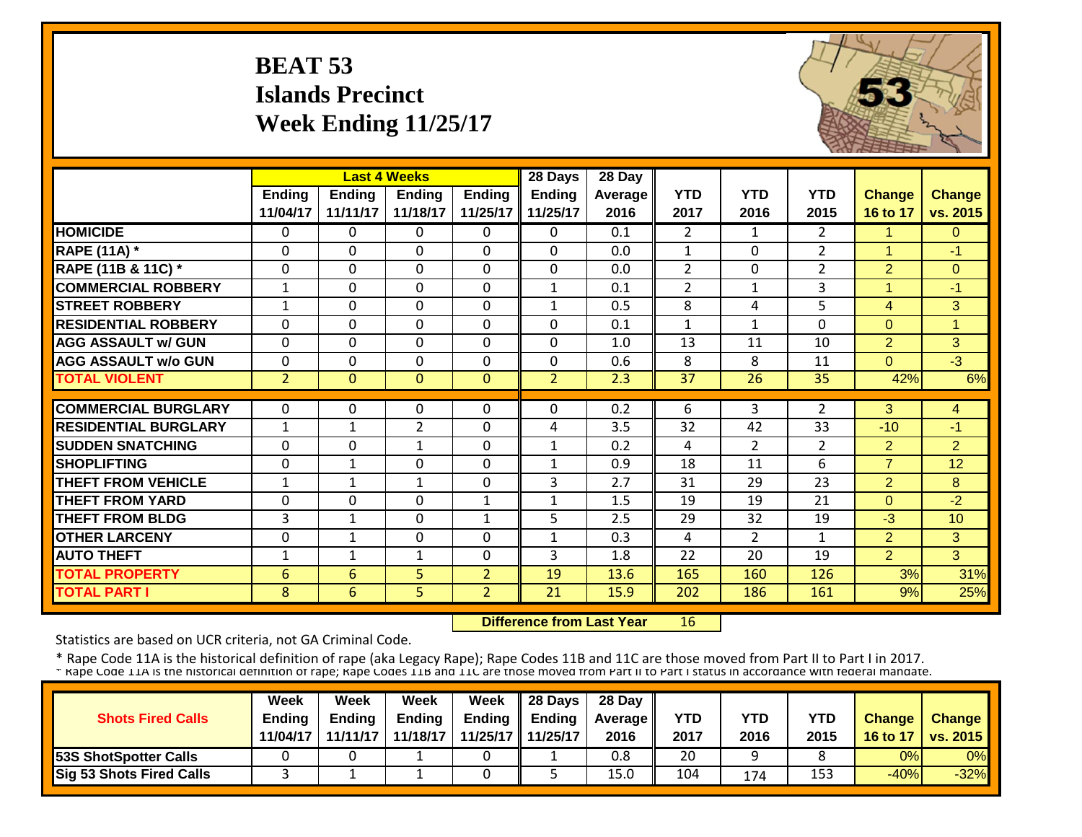# **BEAT 53 Islands Precinct Week Ending 11/25/17**



|                             |                |                | <b>Last 4 Weeks</b> |                | 28 Days        | 28 Day         |                |                |                |                      |                |
|-----------------------------|----------------|----------------|---------------------|----------------|----------------|----------------|----------------|----------------|----------------|----------------------|----------------|
|                             | <b>Ending</b>  | <b>Ending</b>  | <b>Ending</b>       | <b>Ending</b>  | <b>Ending</b>  | <b>Average</b> | <b>YTD</b>     | <b>YTD</b>     | <b>YTD</b>     | <b>Change</b>        | <b>Change</b>  |
|                             | 11/04/17       | 11/11/17       | 11/18/17            | 11/25/17       | 11/25/17       | 2016           | 2017           | 2016           | 2015           | 16 to 17             | vs. 2015       |
| <b>HOMICIDE</b>             | $\mathbf{0}$   | 0              | $\Omega$            | $\Omega$       | $\Omega$       | 0.1            | $\overline{2}$ | $\mathbf{1}$   | $\overline{2}$ | 1                    | $\Omega$       |
| <b>RAPE (11A) *</b>         | $\Omega$       | 0              | $\Omega$            | $\Omega$       | $\mathbf{0}$   | 0.0            | $\mathbf{1}$   | $\Omega$       | $\overline{2}$ | $\overline{1}$       | $-1$           |
| RAPE (11B & 11C) *          | $\mathbf 0$    | 0              | $\mathbf 0$         | $\mathbf 0$    | $\mathbf{0}$   | 0.0            | $\overline{2}$ | $\Omega$       | $\overline{2}$ | $\overline{2}$       | $\overline{0}$ |
| <b>COMMERCIAL ROBBERY</b>   | $\mathbf{1}$   | 0              | $\mathbf 0$         | $\Omega$       | $\mathbf{1}$   | 0.1            | $\overline{2}$ | $\mathbf{1}$   | 3              | $\blacktriangleleft$ | $-1$           |
| <b>STREET ROBBERY</b>       | $\mathbf{1}$   | 0              | $\mathbf 0$         | $\Omega$       | 1              | 0.5            | 8              | 4              | 5              | $\overline{4}$       | 3              |
| <b>RESIDENTIAL ROBBERY</b>  | $\Omega$       | $\Omega$       | $\Omega$            | $\Omega$       | $\Omega$       | 0.1            | $\mathbf{1}$   | 1              | $\Omega$       | $\Omega$             | 1              |
| <b>AGG ASSAULT w/ GUN</b>   | $\mathbf 0$    | $\Omega$       | $\Omega$            | $\Omega$       | $\mathbf 0$    | 1.0            | 13             | 11             | 10             | $\overline{2}$       | 3 <sup>1</sup> |
| <b>AGG ASSAULT w/o GUN</b>  | $\Omega$       | 0              | $\Omega$            | $\mathbf 0$    | $\mathbf{0}$   | 0.6            | 8              | 8              | 11             | $\Omega$             | $-3$           |
| <b>TOTAL VIOLENT</b>        | $\overline{2}$ | $\overline{0}$ | $\overline{0}$      | $\mathbf{0}$   | $\overline{2}$ | 2.3            | 37             | 26             | 35             | 42%                  | 6%             |
|                             |                |                |                     |                |                |                |                |                |                |                      |                |
| <b>COMMERCIAL BURGLARY</b>  | $\Omega$       | 0              | $\Omega$            | $\Omega$       | $\Omega$       | 0.2            | 6              | 3              | $\overline{2}$ | 3                    | 4              |
| <b>RESIDENTIAL BURGLARY</b> | $\mathbf{1}$   | 1              | $\overline{2}$      | 0              | 4              | 3.5            | 32             | 42             | 33             | $-10$                | $-1$           |
| <b>SUDDEN SNATCHING</b>     | $\Omega$       | 0              | $\mathbf{1}$        | $\Omega$       | $\mathbf{1}$   | 0.2            | 4              | $\overline{2}$ | $\overline{2}$ | $\overline{2}$       | $\overline{2}$ |
| <b>SHOPLIFTING</b>          | $\Omega$       | $\mathbf{1}$   | $\Omega$            | 0              | $\mathbf{1}$   | 0.9            | 18             | 11             | 6              | $\overline{7}$       | 12             |
| <b>THEFT FROM VEHICLE</b>   | 1              | 1              | 1                   | $\Omega$       | 3              | 2.7            | 31             | 29             | 23             | $\overline{2}$       | 8              |
| <b>THEFT FROM YARD</b>      | $\Omega$       | 0              | $\Omega$            | $\mathbf{1}$   | $\mathbf{1}$   | 1.5            | 19             | 19             | 21             | $\Omega$             | $-2$           |
| <b>THEFT FROM BLDG</b>      | 3              | $\mathbf{1}$   | $\Omega$            | $\mathbf{1}$   | 5              | 2.5            | 29             | 32             | 19             | $-3$                 | 10             |
| <b>OTHER LARCENY</b>        | $\mathbf 0$    | $\mathbf{1}$   | $\mathbf 0$         | 0              | 1              | 0.3            | 4              | $\overline{2}$ | $\mathbf{1}$   | $\overline{2}$       | 3              |
| <b>AUTO THEFT</b>           | 1              | 1              | $\mathbf{1}$        | $\Omega$       | 3              | 1.8            | 22             | 20             | 19             | $\overline{2}$       | 3              |
| <b>TOTAL PROPERTY</b>       | 6              | 6              | 5 <sup>1</sup>      | $\overline{2}$ | 19             | 13.6           | 165            | 160            | 126            | 3%                   | 31%            |
| <b>TOTAL PART I</b>         | 8              | 6              | $\overline{5}$      | $\overline{2}$ | 21             | 15.9           | 202            | 186            | 161            | 9%                   | 25%            |

 **Difference from Last Year**16

Statistics are based on UCR criteria, not GA Criminal Code.

| <b>Shots Fired Calls</b>        | Week<br><b>Endina</b> | Week<br><b>Ending</b> | Week<br><b>Ending</b> | Week | $\parallel$ 28 Days<br>Ending $\parallel$ Ending | 28 Day<br><b>Average II</b> | YTD  | YTD  | YTD  | <b>Change</b> | <b>Change</b>   |
|---------------------------------|-----------------------|-----------------------|-----------------------|------|--------------------------------------------------|-----------------------------|------|------|------|---------------|-----------------|
|                                 | 11/04/17              | 11/11/17              | 11/18/17              |      | 11/25/17 11/25/17                                | 2016                        | 2017 | 2016 | 2015 | 16 to 17      | <b>VS. 2015</b> |
| <b>53S ShotSpotter Calls</b>    |                       |                       |                       |      |                                                  | 0.8                         | 20   |      |      | 0%            | 0%              |
| <b>Sig 53 Shots Fired Calls</b> |                       |                       |                       |      |                                                  | 15.0                        | 104  | 174  | 153  | $-40%$        | $-32%$          |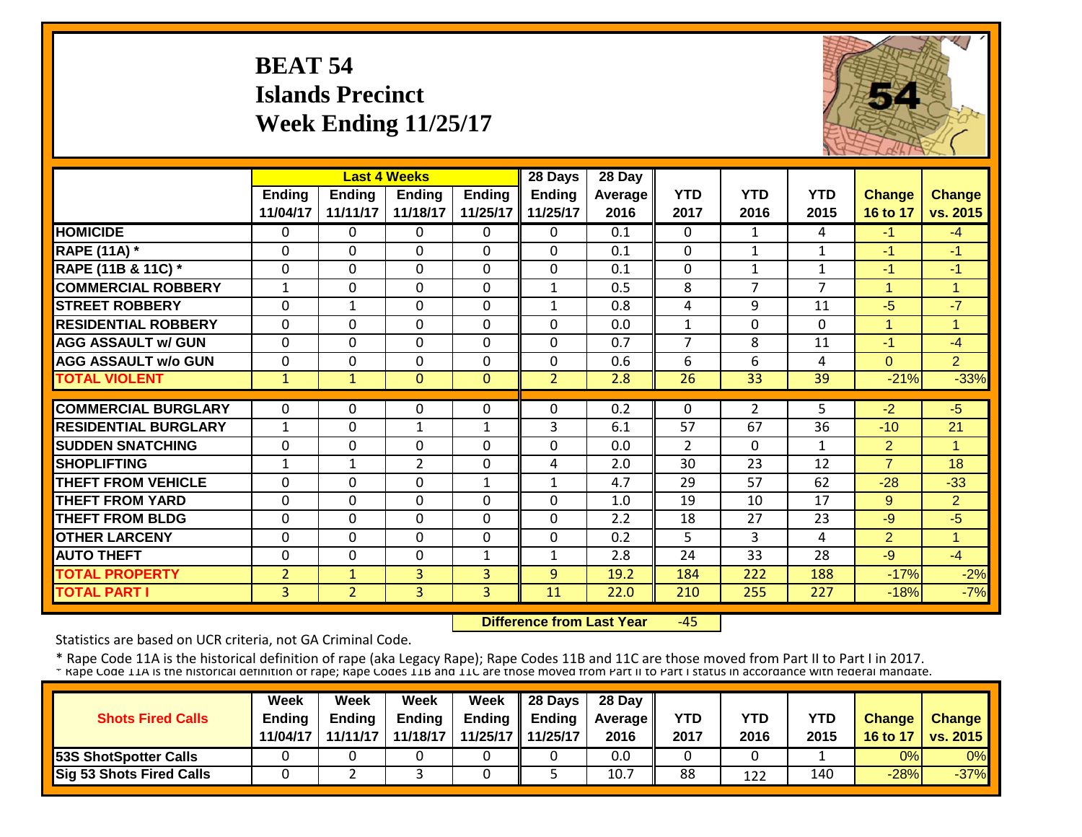# **BEAT 54 Islands Precinct Week Ending 11/25/17**



|                             |                | <b>Last 4 Weeks</b> |                |               | 28 Days        | 28 Day  |                |                |                |                |                |
|-----------------------------|----------------|---------------------|----------------|---------------|----------------|---------|----------------|----------------|----------------|----------------|----------------|
|                             | Ending         | <b>Ending</b>       | <b>Ending</b>  | <b>Ending</b> | <b>Ending</b>  | Average | <b>YTD</b>     | <b>YTD</b>     | <b>YTD</b>     | <b>Change</b>  | Change         |
|                             | 11/04/17       | 11/11/17            | 11/18/17       | 11/25/17      | 11/25/17       | 2016    | 2017           | 2016           | 2015           | 16 to 17       | vs. 2015       |
| <b>HOMICIDE</b>             | $\Omega$       | 0                   | $\Omega$       | $\Omega$      | $\Omega$       | 0.1     | 0              | 1              | 4              | $-1$           | $-4$           |
| <b>RAPE (11A)</b> *         | $\Omega$       | 0                   | $\Omega$       | $\Omega$      | $\Omega$       | 0.1     | $\Omega$       | $\mathbf{1}$   | 1              | $-1$           | $-1$           |
| RAPE (11B & 11C) *          | $\Omega$       | 0                   | $\Omega$       | $\Omega$      | $\Omega$       | 0.1     | $\Omega$       | 1              | 1              | $-1$           | -1             |
| <b>COMMERCIAL ROBBERY</b>   | 1              | $\Omega$            | $\Omega$       | $\Omega$      | $\mathbf{1}$   | 0.5     | 8              | 7              | $\overline{7}$ | $\mathbf{1}$   | -1             |
| <b>STREET ROBBERY</b>       | $\mathbf 0$    | 1                   | $\mathbf 0$    | $\mathbf 0$   | $\mathbf{1}$   | 0.8     | 4              | 9              | 11             | $-5$           | $-7$           |
| <b>RESIDENTIAL ROBBERY</b>  | $\Omega$       | 0                   | $\Omega$       | $\Omega$      | $\Omega$       | 0.0     | $\mathbf{1}$   | $\Omega$       | 0              | $\mathbf{1}$   | 1              |
| <b>AGG ASSAULT w/ GUN</b>   | $\Omega$       | 0                   | $\Omega$       | $\Omega$      | $\Omega$       | 0.7     | $\overline{7}$ | 8              | 11             | $-1$           | $-4$           |
| <b>AGG ASSAULT w/o GUN</b>  | $\Omega$       | 0                   | $\Omega$       | 0             | 0              | 0.6     | 6              | 6              | 4              | $\Omega$       | 2 <sup>1</sup> |
| <b>TOTAL VIOLENT</b>        | $\mathbf{1}$   | $\mathbf{1}$        | $\Omega$       | $\mathbf{0}$  | $\overline{2}$ | 2.8     | 26             | 33             | 39             | $-21%$         | $-33%$         |
|                             |                |                     |                |               |                |         |                |                |                |                |                |
| <b>COMMERCIAL BURGLARY</b>  | $\Omega$       | 0                   | $\Omega$       | 0             | $\Omega$       | 0.2     | $\Omega$       | $\overline{2}$ | 5              | $-2$           | $-5$           |
| <b>RESIDENTIAL BURGLARY</b> | $\mathbf{1}$   | 0                   | 1              | $\mathbf{1}$  | 3              | 6.1     | 57             | 67             | 36             | $-10$          | 21             |
| <b>ISUDDEN SNATCHING</b>    | $\Omega$       | 0                   | $\Omega$       | $\Omega$      | $\mathbf 0$    | 0.0     | $\overline{2}$ | 0              | 1              | $\overline{2}$ | 1              |
| <b>SHOPLIFTING</b>          | 1              | 1                   | $\overline{2}$ | $\Omega$      | 4              | 2.0     | 30             | 23             | 12             | $\overline{7}$ | 18             |
| <b>THEFT FROM VEHICLE</b>   | $\Omega$       | 0                   | $\Omega$       | $\mathbf{1}$  | $\mathbf{1}$   | 4.7     | 29             | 57             | 62             | $-28$          | $-33$          |
| <b>THEFT FROM YARD</b>      | $\Omega$       | 0                   | $\Omega$       | $\Omega$      | $\Omega$       | 1.0     | 19             | 10             | 17             | 9              | $\overline{2}$ |
| <b>THEFT FROM BLDG</b>      | $\Omega$       | $\Omega$            | $\Omega$       | $\Omega$      | $\Omega$       | 2.2     | 18             | 27             | 23             | $-9$           | $-5$           |
| <b>OTHER LARCENY</b>        | $\Omega$       | 0                   | $\Omega$       | $\Omega$      | $\Omega$       | 0.2     | 5              | 3              | 4              | $\overline{2}$ | 1              |
| <b>AUTO THEFT</b>           | $\Omega$       | 0                   | $\Omega$       | $\mathbf 1$   | $\mathbf{1}$   | 2.8     | 24             | 33             | 28             | $-9$           | $-4$           |
| <b>TOTAL PROPERTY</b>       | $\overline{2}$ | $\mathbf{1}$        | 3              | 3             | 9              | 19.2    | 184            | 222            | 188            | $-17%$         | $-2%$          |
| <b>TOTAL PART I</b>         | $\overline{3}$ | $\overline{2}$      | 3              | 3             | 11             | 22.0    | 210            | 255            | 227            | $-18%$         | $-7%$          |

 **Difference from Last Year** $-45$ 

Statistics are based on UCR criteria, not GA Criminal Code.

|                                 | <b>Week</b>   | Week     | Week          | Week          | <b>28 Davs</b> | 28 Day            |      |      |      |               |                 |
|---------------------------------|---------------|----------|---------------|---------------|----------------|-------------------|------|------|------|---------------|-----------------|
| <b>Shots Fired Calls</b>        | <b>Ending</b> | Endina   | <b>Ending</b> | <b>Ending</b> | Endina         | <b>Average II</b> | YTD  | YTD  | YTD  | <b>Change</b> | <b>Change</b>   |
|                                 | 11/04/17      | 11/11/17 | 11/18/17      | 11/25/17      | 11/25/17       | 2016              | 2017 | 2016 | 2015 | 16 to 17      | <b>VS. 2015</b> |
| <b>153S ShotSpotter Calls</b>   |               |          |               |               |                | 0.0               |      |      |      | 0%            | 0%              |
| <b>Sig 53 Shots Fired Calls</b> |               |          |               |               |                | 10.7              | 88   | 122  | 140  | $-28%$        | $-37%$          |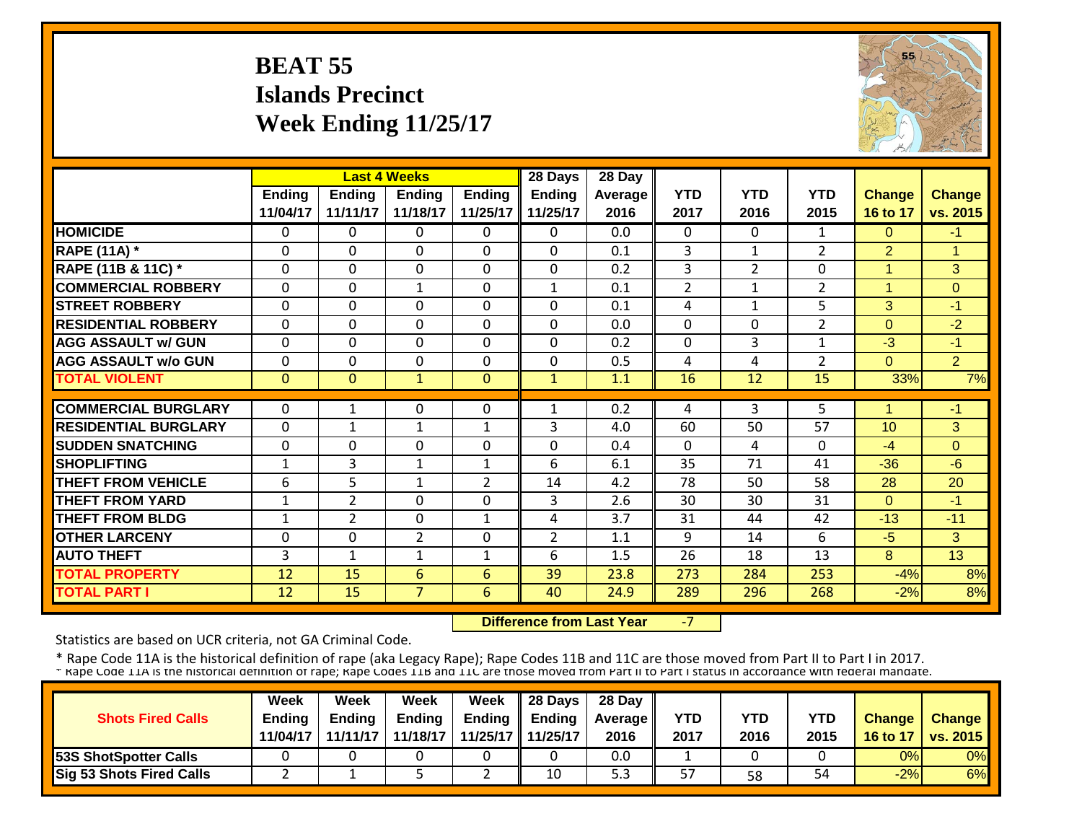# **BEAT 55 Islands Precinct Week Ending 11/25/17**



|                             |                |                | <b>Last 4 Weeks</b> |                | 28 Days        | 28 Day  |                |                |                |                 |                |
|-----------------------------|----------------|----------------|---------------------|----------------|----------------|---------|----------------|----------------|----------------|-----------------|----------------|
|                             | Ending         | <b>Ending</b>  | <b>Ending</b>       | <b>Ending</b>  | <b>Ending</b>  | Average | <b>YTD</b>     | <b>YTD</b>     | <b>YTD</b>     | <b>Change</b>   | <b>Change</b>  |
|                             | 11/04/17       | 11/11/17       | 11/18/17            | 11/25/17       | 11/25/17       | 2016    | 2017           | 2016           | 2015           | 16 to 17        | vs. 2015       |
| <b>HOMICIDE</b>             | $\Omega$       | 0              | $\Omega$            | $\Omega$       | 0              | 0.0     | 0              | 0              | 1              | $\Omega$        | $-1$           |
| <b>RAPE (11A) *</b>         | $\Omega$       | 0              | $\Omega$            | $\Omega$       | $\Omega$       | 0.1     | 3              | 1              | 2              | $\overline{2}$  | 1              |
| RAPE (11B & 11C) *          | $\Omega$       | 0              | $\Omega$            | $\mathbf 0$    | $\Omega$       | 0.2     | 3              | $\overline{2}$ | $\mathbf 0$    | 1               | $\overline{3}$ |
| <b>COMMERCIAL ROBBERY</b>   | $\Omega$       | 0              | $\mathbf{1}$        | $\Omega$       | $\mathbf{1}$   | 0.1     | $\overline{2}$ | $\mathbf{1}$   | $\overline{2}$ | $\overline{1}$  | $\Omega$       |
| <b>STREET ROBBERY</b>       | $\Omega$       | 0              | $\Omega$            | $\Omega$       | $\Omega$       | 0.1     | 4              | $\mathbf{1}$   | 5              | 3               | $-1$           |
| <b>RESIDENTIAL ROBBERY</b>  | $\Omega$       | 0              | 0                   | $\Omega$       | $\Omega$       | 0.0     | $\Omega$       | 0              | $\overline{2}$ | $\Omega$        | $-2$           |
| <b>AGG ASSAULT w/ GUN</b>   | $\Omega$       | 0              | 0                   | 0              | $\Omega$       | 0.2     | $\Omega$       | 3              | 1              | $-3$            | $-1$           |
| <b>AGG ASSAULT w/o GUN</b>  | $\Omega$       | 0              | $\Omega$            | $\Omega$       | $\Omega$       | 0.5     | 4              | 4              | $\overline{2}$ | $\Omega$        | $\overline{2}$ |
| <b>TOTAL VIOLENT</b>        | $\Omega$       | $\Omega$       | $\mathbf{1}$        | $\mathbf{0}$   | $\mathbf{1}$   | 1.1     | 16             | 12             | 15             | 33%             | 7%             |
|                             |                |                |                     |                |                |         |                |                |                |                 |                |
| <b>COMMERCIAL BURGLARY</b>  | 0              | 1              | 0                   | 0              | 1              | 0.2     | 4              | 3              | 5.             | 1               | $-1$           |
| <b>RESIDENTIAL BURGLARY</b> | $\Omega$       | 1              | 1                   | 1              | 3              | 4.0     | 60             | 50             | 57             | 10 <sup>1</sup> | 3              |
| <b>ISUDDEN SNATCHING</b>    | $\Omega$       | 0              | $\Omega$            | $\Omega$       | $\Omega$       | 0.4     | 0              | 4              | $\Omega$       | $-4$            | $\Omega$       |
| <b>SHOPLIFTING</b>          | 1              | 3              | $\mathbf{1}$        | $\mathbf{1}$   | 6              | 6.1     | 35             | 71             | 41             | $-36$           | $-6$           |
| THEFT FROM VEHICLE          | 6              | 5              | $\mathbf{1}$        | $\overline{2}$ | 14             | 4.2     | 78             | 50             | 58             | 28              | 20             |
| <b>THEFT FROM YARD</b>      | $\mathbf{1}$   | $\overline{2}$ | $\Omega$            | $\Omega$       | 3              | 2.6     | 30             | 30             | 31             | $\Omega$        | $-1$           |
| <b>THEFT FROM BLDG</b>      | $\mathbf{1}$   | $\overline{2}$ | $\Omega$            | $\mathbf{1}$   | 4              | 3.7     | 31             | 44             | 42             | $-13$           | $-11$          |
| <b>OTHER LARCENY</b>        | $\mathbf 0$    | 0              | $\overline{2}$      | $\mathbf 0$    | $\overline{2}$ | 1.1     | 9              | 14             | 6              | $-5$            | 3              |
| <b>AUTO THEFT</b>           | $\overline{3}$ | $\mathbf{1}$   | $\mathbf{1}$        | 1              | 6              | 1.5     | 26             | 18             | 13             | 8               | 13             |
| <b>TOTAL PROPERTY</b>       | 12             | 15             | 6                   | 6              | 39             | 23.8    | 273            | 284            | 253            | $-4%$           | 8%             |
| <b>TOTAL PART I</b>         | 12             | 15             | $\overline{7}$      | 6              | 40             | 24.9    | 289            | 296            | 268            | $-2%$           | 8%             |

 **Difference from Last Year**‐7

Statistics are based on UCR criteria, not GA Criminal Code.

|                              | Week          | Week          | Week          | Week                | $\parallel$ 28 Days       | 28 Day            |            |      |      |               |                 |
|------------------------------|---------------|---------------|---------------|---------------------|---------------------------|-------------------|------------|------|------|---------------|-----------------|
| <b>Shots Fired Calls</b>     | <b>Endina</b> | <b>Ending</b> | <b>Ending</b> |                     | Ending $\parallel$ Ending | <b>Average</b> II | <b>YTD</b> | YTD  | YTD  | <b>Change</b> | <b>Change</b>   |
|                              | 11/04/17      | 11/11/17      | 11/18/17      | 11/25/17   11/25/17 |                           | 2016              | 2017       | 2016 | 2015 | 16 to 17      | <b>vs. 2015</b> |
| <b>53S ShotSpotter Calls</b> |               |               |               |                     |                           | 0.0               |            |      |      | 0%            | 0%              |
| Sig 53 Shots Fired Calls     |               |               |               | -                   | 10                        | 5.3               | 57         | 58   | 54   | $-2%$         | 6%              |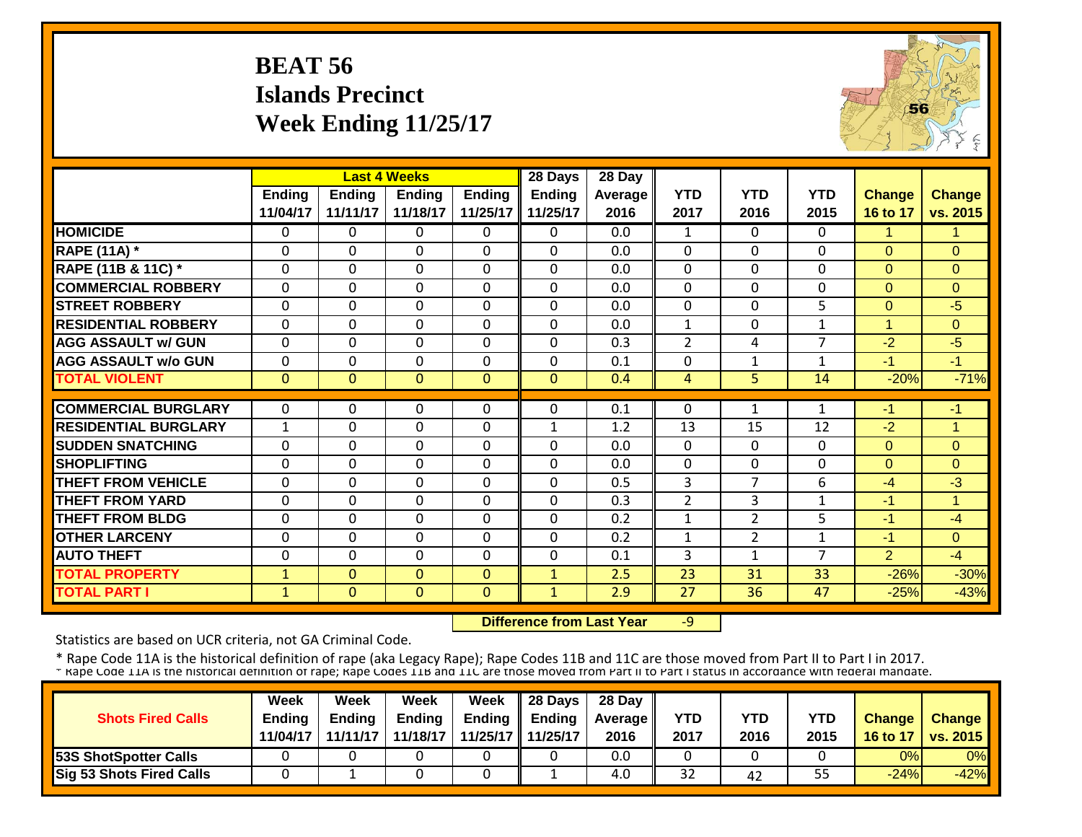# **BEAT 56 Islands Precinct Week Ending 11/25/17**



|                             |              |               | <b>Last 4 Weeks</b> |               | 28 Days        | 28 Day         |                |                |                |                      |               |
|-----------------------------|--------------|---------------|---------------------|---------------|----------------|----------------|----------------|----------------|----------------|----------------------|---------------|
|                             | Ending       | <b>Ending</b> | <b>Ending</b>       | <b>Ending</b> | <b>Ending</b>  | <b>Average</b> | <b>YTD</b>     | <b>YTD</b>     | <b>YTD</b>     | <b>Change</b>        | <b>Change</b> |
|                             | 11/04/17     | 11/11/17      | 11/18/17            | 11/25/17      | 11/25/17       | 2016           | 2017           | 2016           | 2015           | 16 to 17             | vs. 2015      |
| <b>HOMICIDE</b>             | $\mathbf{0}$ | 0             | $\Omega$            | $\Omega$      | $\Omega$       | 0.0            | $\mathbf{1}$   | $\Omega$       | 0              | 1                    | $\mathbf{1}$  |
| <b>RAPE (11A) *</b>         | $\Omega$     | 0             | $\Omega$            | $\Omega$      | $\Omega$       | 0.0            | $\Omega$       | $\Omega$       | 0              | $\Omega$             | $\Omega$      |
| RAPE (11B & 11C) *          | $\mathbf 0$  | 0             | $\mathbf 0$         | $\Omega$      | $\mathbf 0$    | 0.0            | $\mathbf 0$    | $\Omega$       | 0              | $\Omega$             | $\Omega$      |
| <b>COMMERCIAL ROBBERY</b>   | $\Omega$     | 0             | $\Omega$            | $\Omega$      | $\Omega$       | 0.0            | $\Omega$       | $\Omega$       | 0              | $\Omega$             | $\Omega$      |
| <b>STREET ROBBERY</b>       | $\mathbf 0$  | 0             | $\mathbf 0$         | $\Omega$      | $\overline{0}$ | 0.0            | $\mathbf 0$    | $\Omega$       | 5              | $\mathbf{0}$         | $-5$          |
| <b>RESIDENTIAL ROBBERY</b>  | $\Omega$     | $\Omega$      | $\Omega$            | $\Omega$      | $\Omega$       | 0.0            | $\mathbf{1}$   | $\Omega$       | $\mathbf{1}$   | $\blacktriangleleft$ | $\Omega$      |
| <b>AGG ASSAULT w/ GUN</b>   | $\Omega$     | 0             | $\mathbf 0$         | 0             | $\mathbf{0}$   | 0.3            | $\overline{2}$ | 4              | $\overline{7}$ | $-2$                 | $-5$          |
| <b>AGG ASSAULT w/o GUN</b>  | $\mathbf 0$  | 0             | $\mathbf 0$         | $\mathbf 0$   | $\mathbf{0}$   | 0.1            | 0              | $\mathbf{1}$   | $\mathbf{1}$   | $-1$                 | $-1$          |
| <b>TOTAL VIOLENT</b>        | $\mathbf 0$  | $\Omega$      | $\Omega$            | $\mathbf{0}$  | $\mathbf{0}$   | 0.4            | 4              | 5              | 14             | $-20%$               | $-71%$        |
|                             |              |               |                     |               |                |                |                |                |                |                      |               |
| <b>COMMERCIAL BURGLARY</b>  | $\Omega$     | 0             | 0                   | $\Omega$      | $\Omega$       | 0.1            | $\mathbf 0$    | $\mathbf{1}$   | $\mathbf{1}$   | -1                   | $-1$          |
| <b>RESIDENTIAL BURGLARY</b> | $\mathbf{1}$ | 0             | $\mathbf 0$         | 0             | $\mathbf{1}$   | 1.2            | 13             | 15             | 12             | $-2$                 | 1             |
| <b>SUDDEN SNATCHING</b>     | $\mathbf 0$  | 0             | $\mathbf 0$         | 0             | $\mathbf{0}$   | 0.0            | $\mathbf{0}$   | $\Omega$       | 0              | $\Omega$             | $\Omega$      |
| <b>SHOPLIFTING</b>          | $\Omega$     | $\Omega$      | $\mathbf 0$         | 0             | $\mathbf{0}$   | 0.0            | $\Omega$       | $\Omega$       | 0              | $\Omega$             | $\Omega$      |
| <b>THEFT FROM VEHICLE</b>   | $\Omega$     | 0             | 0                   | 0             | $\Omega$       | 0.5            | 3              | 7              | 6              | $-4$                 | $-3$          |
| <b>THEFT FROM YARD</b>      | $\mathbf{0}$ | 0             | $\Omega$            | 0             | $\mathbf{0}$   | 0.3            | $\overline{2}$ | 3              | $\mathbf{1}$   | $-1$                 | $\mathbf{1}$  |
| <b>THEFT FROM BLDG</b>      | $\Omega$     | 0             | $\Omega$            | 0             | $\Omega$       | 0.2            | $\mathbf{1}$   | $\overline{2}$ | 5              | $-1$                 | $-4$          |
| <b>OTHER LARCENY</b>        | $\Omega$     | 0             | $\Omega$            | 0             | $\Omega$       | 0.2            | 1              | $\overline{2}$ | 1              | -1                   | $\Omega$      |
| <b>AUTO THEFT</b>           | $\Omega$     | 0             | $\Omega$            | $\Omega$      | $\mathbf{0}$   | 0.1            | 3              | 1              | $\overline{7}$ | $\overline{2}$       | $-4$          |
| <b>TOTAL PROPERTY</b>       | $\mathbf{1}$ | $\Omega$      | $\Omega$            | $\Omega$      | $\mathbf{1}$   | 2.5            | 23             | 31             | 33             | $-26%$               | $-30%$        |
| <b>TOTAL PART I</b>         | $\mathbf{1}$ | $\mathbf{0}$  | $\mathbf{0}$        | $\mathbf{0}$  | $\mathbf{1}$   | 2.9            | 27             | 36             | 47             | $-25%$               | $-43%$        |

 **Difference from Last Year**‐9

Statistics are based on UCR criteria, not GA Criminal Code.

|                              | Week          | Week          | Week          | Week                | $\parallel$ 28 Days       | 28 Day            |            |      |      |               |                 |
|------------------------------|---------------|---------------|---------------|---------------------|---------------------------|-------------------|------------|------|------|---------------|-----------------|
| <b>Shots Fired Calls</b>     | <b>Ending</b> | <b>Ending</b> | <b>Ending</b> |                     | Ending $\parallel$ Ending | <b>Average</b> II | <b>YTD</b> | YTD  | YTD  | <b>Change</b> | <b>Change</b>   |
|                              | 11/04/17      | 11/11/17      | 11/18/17      | 11/25/17   11/25/17 |                           | 2016              | 2017       | 2016 | 2015 | 16 to 17      | <b>vs. 2015</b> |
| <b>53S ShotSpotter Calls</b> |               |               |               |                     |                           | 0.0               |            |      |      | 0%            | 0%              |
| Sig 53 Shots Fired Calls     |               |               |               |                     |                           | 4.0               | 32         | 42   | 55   | $-24%$        | $-42%$          |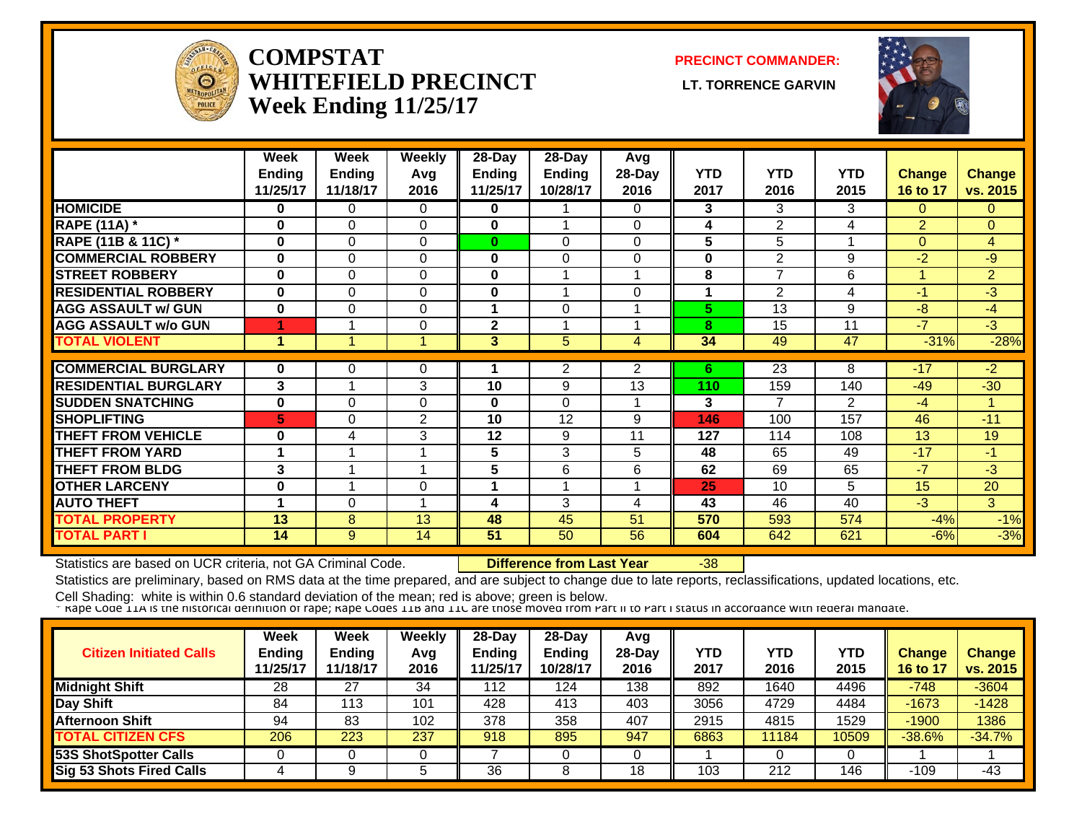

#### **COMPSTATWHITEFIELD PRECINCT Week Ending 11/25/17**

**PRECINCT COMMANDER:**

**LT. TORRENCE GARVIN** 



|                             | Week          | Week          | <b>Weekly</b>  | $28 - Day$    | 28-Day         | Avg            |            |                 |                |                |                |
|-----------------------------|---------------|---------------|----------------|---------------|----------------|----------------|------------|-----------------|----------------|----------------|----------------|
|                             | <b>Ending</b> | <b>Ending</b> | Avg            | <b>Ending</b> | <b>Ending</b>  | 28-Day         | <b>YTD</b> | <b>YTD</b>      | <b>YTD</b>     | <b>Change</b>  | <b>Change</b>  |
|                             | 11/25/17      | 11/18/17      | 2016           | 11/25/17      | 10/28/17       | 2016           | 2017       | 2016            | 2015           | 16 to 17       | vs. 2015       |
| <b>HOMICIDE</b>             | 0             | 0             | 0              | 0             |                | $\Omega$       | 3          | 3               | 3              | $\Omega$       | $\Omega$       |
| <b>RAPE (11A) *</b>         | $\bf{0}$      | 0             | 0              | 0             |                | $\Omega$       | 4          | 2               | 4              | $\overline{2}$ | $\overline{0}$ |
| RAPE (11B & 11C) *          | $\bf{0}$      | 0             | 0              | $\bf{0}$      | 0              | $\Omega$       | 5          | 5               | $\overline{A}$ | $\Omega$       | 4              |
| <b>COMMERCIAL ROBBERY</b>   | $\bf{0}$      | 0             | $\Omega$       | $\bf{0}$      | $\Omega$       | $\Omega$       | 0          | $\overline{2}$  | 9              | $-2$           | -9             |
| <b>ISTREET ROBBERY</b>      | $\bf{0}$      | 0             | $\Omega$       | $\mathbf 0$   |                |                | 8          | $\overline{7}$  | 6              | $\overline{ }$ | $\overline{2}$ |
| <b>RESIDENTIAL ROBBERY</b>  | $\bf{0}$      | 0             | $\Omega$       | $\mathbf 0$   |                | 0              | 1          | 2               | 4              | $-1$           | $-3$           |
| <b>AGG ASSAULT w/ GUN</b>   | $\bf{0}$      | 0             | $\Omega$       |               | $\Omega$       |                | 5          | 13              | 9              | $-8$           | $-4$           |
| <b>AGG ASSAULT w/o GUN</b>  | 4             |               | $\mathbf 0$    | $\mathbf{2}$  |                |                | 8          | 15              | 11             | $-7$           | $-3$           |
| <b>TOTAL VIOLENT</b>        | 1             |               |                | 3             | $\overline{5}$ | 4              | 34         | 49              | 47             | $-31%$         | $-28%$         |
|                             |               |               |                |               |                |                |            |                 |                |                |                |
| <b>COMMERCIAL BURGLARY</b>  | 0             | 0             | 0              |               | $\overline{2}$ | $\overline{2}$ | 6          | $\overline{23}$ | 8              | $-17$          | $-2$           |
| <b>RESIDENTIAL BURGLARY</b> | 3             |               | 3              | 10            | 9              | 13             | 110        | 159             | 140            | $-49$          | $-30$          |
| <b>ISUDDEN SNATCHING</b>    | $\bf{0}$      | 0             | $\Omega$       | 0             | $\Omega$       |                | 3          | 7               | 2              | $-4$           |                |
| <b>SHOPLIFTING</b>          | 5             | 0             | $\overline{2}$ | 10            | 12             | 9              | 146        | 100             | 157            | 46             | $-11$          |
| <b>THEFT FROM VEHICLE</b>   | $\bf{0}$      | 4             | 3              | 12            | 9              | 11             | 127        | 114             | 108            | 13             | 19             |
| <b>THEFT FROM YARD</b>      | 1             |               |                | 5             | 3              | 5              | 48         | 65              | 49             | $-17$          | $-1$           |
| <b>THEFT FROM BLDG</b>      | 3             |               |                | 5             | 6              | 6              | 62         | 69              | 65             | $-7$           | $-3$           |
| <b>OTHER LARCENY</b>        | $\bf{0}$      |               | 0              |               |                |                | 25         | 10              | 5              | 15             | 20             |
| <b>AUTO THEFT</b>           | 1             | 0             |                | 4             | 3              | 4              | 43         | 46              | 40             | $-3$           | 3              |
| <b>TOTAL PROPERTY</b>       | 13            | 8             | 13             | 48            | 45             | 51             | 570        | 593             | 574            | $-4%$          | $-1%$          |
| <b>TOTAL PART I</b>         | 14            | 9             | 14             | 51            | 50             | 56             | 604        | 642             | 621            | $-6%$          | $-3%$          |

Statistics are based on UCR criteria, not GA Criminal Code. **Difference from Last Year** -38

Statistics are preliminary, based on RMS data at the time prepared, and are subject to change due to late reports, reclassifications, updated locations, etc.

| <b>Citizen Initiated Calls</b>  | Week<br>Ending<br>11/25/17 | Week<br><b>Ending</b><br>11/18/17 | Weekly<br>Avg<br>2016 | 28-Day<br><b>Endina</b><br>1/25/17 | $28-Day$<br><b>Endina</b><br>10/28/17 | Avg<br>$28-Day$<br>2016 | YTD<br>2017 | YTD<br>2016 | <b>YTD</b><br>2015 | <b>Change</b><br>16 to 17 | <b>Change</b><br>vs. 2015 |
|---------------------------------|----------------------------|-----------------------------------|-----------------------|------------------------------------|---------------------------------------|-------------------------|-------------|-------------|--------------------|---------------------------|---------------------------|
| <b>Midnight Shift</b>           | 28                         | 27                                | 34                    | 112                                | 124                                   | 138                     | 892         | 1640        | 4496               | $-748$                    | $-3604$                   |
| Day Shift                       | 84                         | 113                               | 101                   | 428                                | 413                                   | 403                     | 3056        | 4729        | 4484               | $-1673$                   | $-1428$                   |
| <b>Afternoon Shift</b>          | 94                         | 83                                | 102                   | 378                                | 358                                   | 407                     | 2915        | 4815        | 1529               | $-1900$                   | 1386                      |
| <b>TOTAL CITIZEN CFS</b>        | 206                        | 223                               | 237                   | 918                                | 895                                   | 947                     | 6863        | 11184       | 10509              | $-38.6%$                  | $-34.7%$                  |
| 53S ShotSpotter Calls           |                            |                                   |                       |                                    |                                       |                         |             |             |                    |                           |                           |
| <b>Sig 53 Shots Fired Calls</b> |                            |                                   |                       | 36                                 |                                       | 18                      | 103         | 212         | 146                | -109                      | $-43$                     |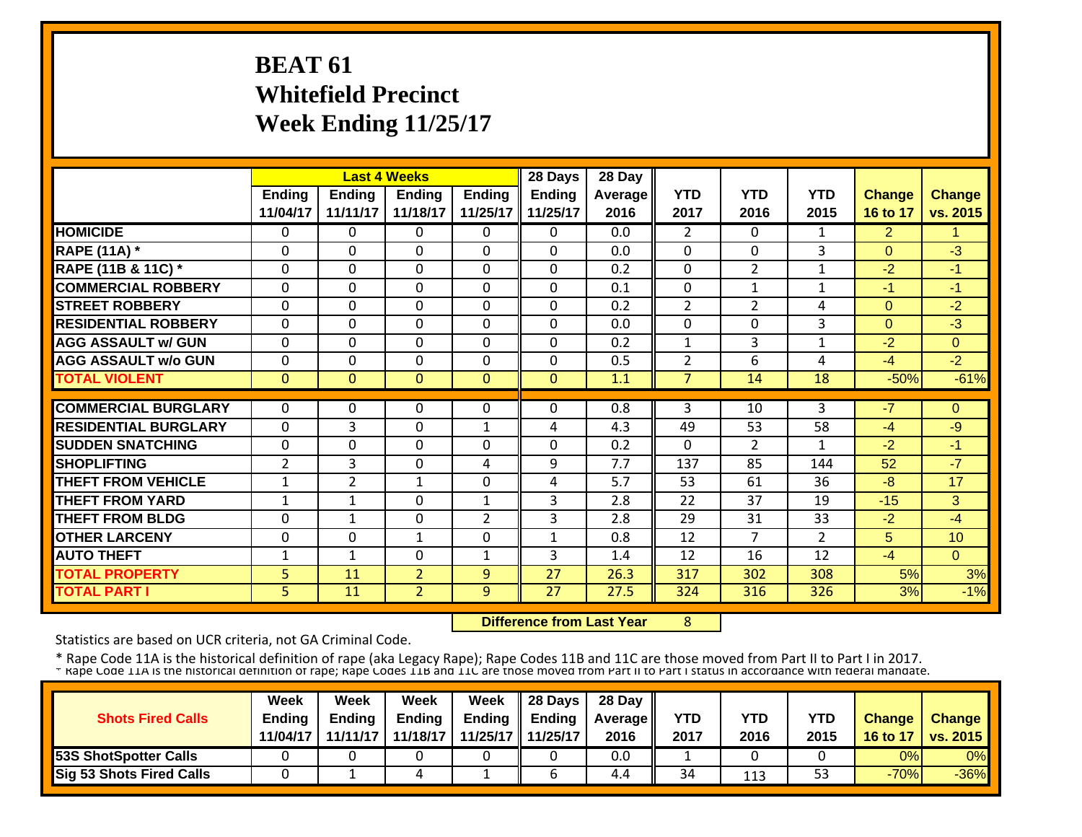# **BEAT 61 Whitefield Precinct Week Ending 11/25/17**

|                             |                |                | <b>Last 4 Weeks</b> |                | 28 Days       | 28 Day  |                |                |                |                |               |
|-----------------------------|----------------|----------------|---------------------|----------------|---------------|---------|----------------|----------------|----------------|----------------|---------------|
|                             | <b>Ending</b>  | <b>Ending</b>  | <b>Ending</b>       | <b>Ending</b>  | <b>Ending</b> | Average | <b>YTD</b>     | <b>YTD</b>     | <b>YTD</b>     | <b>Change</b>  | <b>Change</b> |
|                             | 11/04/17       | 11/11/17       | 11/18/17            | 11/25/17       | 11/25/17      | 2016    | 2017           | 2016           | 2015           | 16 to 17       | vs. 2015      |
| <b>HOMICIDE</b>             | $\Omega$       | $\Omega$       | $\Omega$            | $\Omega$       | $\Omega$      | 0.0     | $\overline{2}$ | $\Omega$       | $\mathbf{1}$   | $\overline{2}$ | 1             |
| <b>RAPE (11A) *</b>         | 0              | $\Omega$       | $\Omega$            | $\Omega$       | $\Omega$      | 0.0     | $\Omega$       | 0              | 3              | $\Omega$       | $-3$          |
| RAPE (11B & 11C) *          | $\Omega$       | $\Omega$       | $\Omega$            | $\Omega$       | $\Omega$      | 0.2     | $\Omega$       | $\overline{2}$ | $\mathbf{1}$   | $-2$           | $-1$          |
| <b>COMMERCIAL ROBBERY</b>   | $\Omega$       | $\Omega$       | $\Omega$            | $\Omega$       | $\Omega$      | 0.1     | $\Omega$       | 1              | 1              | -1             | $-1$          |
| <b>STREET ROBBERY</b>       | $\Omega$       | $\Omega$       | $\mathbf 0$         | $\Omega$       | $\Omega$      | 0.2     | $\overline{2}$ | 2              | 4              | $\Omega$       | $-2$          |
| <b>RESIDENTIAL ROBBERY</b>  | 0              | $\Omega$       | $\Omega$            | $\Omega$       | $\Omega$      | 0.0     | 0              | $\Omega$       | 3              | $\Omega$       | $-3$          |
| <b>AGG ASSAULT w/ GUN</b>   | $\Omega$       | $\Omega$       | $\Omega$            | $\Omega$       | $\Omega$      | 0.2     | $\mathbf{1}$   | 3              | 1              | $-2$           | $\Omega$      |
| <b>AGG ASSAULT w/o GUN</b>  | 0              | 0              | $\Omega$            | $\mathbf 0$    | $\Omega$      | 0.5     | $\overline{2}$ | 6              | 4              | $-4$           | $-2$          |
| <b>TOTAL VIOLENT</b>        | $\mathbf{0}$   | $\Omega$       | $\Omega$            | $\mathbf{0}$   | $\Omega$      | 1.1     | $\overline{7}$ | 14             | 18             | $-50%$         | $-61%$        |
|                             |                |                |                     |                |               |         |                |                |                |                |               |
| <b>COMMERCIAL BURGLARY</b>  | $\Omega$       | $\Omega$       | $\Omega$            | $\Omega$       | $\Omega$      | 0.8     | 3              | 10             | 3              | $-7$           | $\Omega$      |
| <b>RESIDENTIAL BURGLARY</b> | $\Omega$       | 3              | $\Omega$            | $\mathbf{1}$   | 4             | 4.3     | 49             | 53             | 58             | $-4$           | $-9$          |
| <b>SUDDEN SNATCHING</b>     | $\Omega$       | $\Omega$       | $\Omega$            | $\Omega$       | 0             | 0.2     | $\Omega$       | $\overline{2}$ | $\mathbf{1}$   | $-2$           | $-1$          |
| <b>SHOPLIFTING</b>          | $\overline{2}$ | 3              | $\Omega$            | 4              | 9             | 7.7     | 137            | 85             | 144            | 52             | $-7$          |
| <b>THEFT FROM VEHICLE</b>   | $\mathbf 1$    | $\overline{2}$ | $\mathbf{1}$        | $\mathbf 0$    | 4             | 5.7     | 53             | 61             | 36             | -8             | 17            |
| <b>THEFT FROM YARD</b>      | $\mathbf{1}$   | $\mathbf{1}$   | $\Omega$            | $\mathbf{1}$   | 3             | 2.8     | 22             | 37             | 19             | $-15$          | 3             |
| <b>THEFT FROM BLDG</b>      | $\mathbf 0$    | $\mathbf{1}$   | $\mathbf 0$         | $\overline{2}$ | 3             | 2.8     | 29             | 31             | 33             | $-2$           | $-4$          |
| <b>OTHER LARCENY</b>        | $\mathbf 0$    | $\Omega$       | $\mathbf{1}$        | $\Omega$       | 1             | 0.8     | 12             | $\overline{7}$ | $\overline{2}$ | 5              | 10            |
| <b>AUTO THEFT</b>           | $\mathbf{1}$   | $\mathbf{1}$   | $\mathbf 0$         | $\mathbf{1}$   | 3             | 1.4     | 12             | 16             | 12             | $-4$           | $\Omega$      |
| <b>TOTAL PROPERTY</b>       | 5              | 11             | $\overline{2}$      | 9              | 27            | 26.3    | 317            | 302            | 308            | 5%             | 3%            |
| <b>TOTAL PART I</b>         | 5              | 11             | $\overline{2}$      | 9              | 27            | 27.5    | 324            | 316            | 326            | 3%             | $-1%$         |

 **Difference from Last Year**8

Statistics are based on UCR criteria, not GA Criminal Code.

\* Rape Code 11A is the historical definition of rape (aka Legacy Rape); Rape Codes 11B and 11C are those moved from Part II to Part I in 2017.<br>\* Rape Code 11A is the historical definition of rape; Rape Codes 11B and 11C ar

|                                 | Week          | Week          | Week          | Week          | 28 Days       | 28 Day            |            |      |      |               |                     |
|---------------------------------|---------------|---------------|---------------|---------------|---------------|-------------------|------------|------|------|---------------|---------------------|
| <b>Shots Fired Calls</b>        | <b>Ending</b> | <b>Ending</b> | <b>Ending</b> | <b>Ending</b> | <b>Ending</b> | <b>Average II</b> | <b>YTD</b> | YTD  | YTD  | <b>Change</b> | <b>Change</b>       |
|                                 | 11/04/17      | 11/11/17      | 11/18/17      | 11/25/17 II   | 11/25/17      | 2016              | 2017       | 2016 | 2015 |               | 16 to 17   vs. 2015 |
| <b>53S ShotSpotter Calls</b>    |               |               |               |               |               | 0.0               |            |      |      | 0%            | 0%                  |
| <b>Sig 53 Shots Fired Calls</b> |               |               |               |               |               | 4.4               | 34         | 113  | 53   | $-70%$        | $-36\%$             |